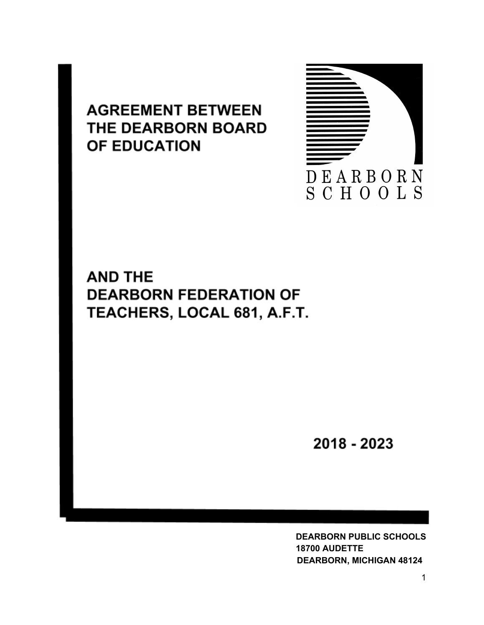# **AGREEMENT BETWEEN** THE DEARBORN BOARD OF EDUCATION



# **AND THE DEARBORN FEDERATION OF** TEACHERS, LOCAL 681, A.F.T.

2018 - 2023

**DEARBORN PUBLIC SCHOOLS 18700 AUDETTE DEARBORN, MICHIGAN 48124**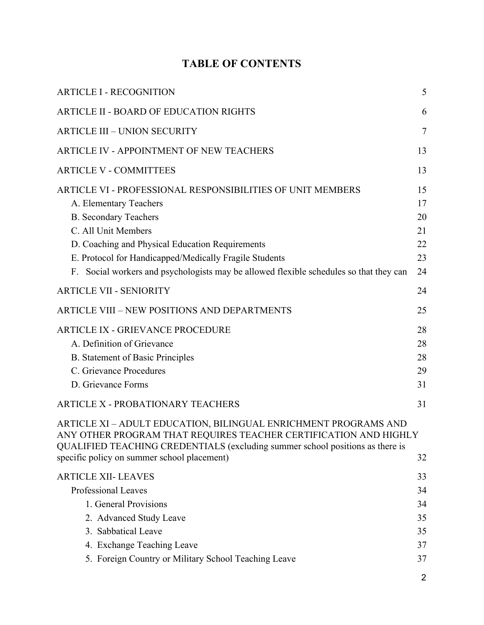# **TABLE OF CONTENTS**

| <b>ARTICLE I - RECOGNITION</b>                                                                                                                                                                                                                                                                                                                     | 5                                      |
|----------------------------------------------------------------------------------------------------------------------------------------------------------------------------------------------------------------------------------------------------------------------------------------------------------------------------------------------------|----------------------------------------|
| <b>ARTICLE II - BOARD OF EDUCATION RIGHTS</b>                                                                                                                                                                                                                                                                                                      | 6                                      |
| <b>ARTICLE III - UNION SECURITY</b>                                                                                                                                                                                                                                                                                                                | 7                                      |
| ARTICLE IV - APPOINTMENT OF NEW TEACHERS                                                                                                                                                                                                                                                                                                           | 13                                     |
| <b>ARTICLE V - COMMITTEES</b>                                                                                                                                                                                                                                                                                                                      | 13                                     |
| ARTICLE VI - PROFESSIONAL RESPONSIBILITIES OF UNIT MEMBERS<br>A. Elementary Teachers<br><b>B.</b> Secondary Teachers<br>C. All Unit Members<br>D. Coaching and Physical Education Requirements<br>E. Protocol for Handicapped/Medically Fragile Students<br>F. Social workers and psychologists may be allowed flexible schedules so that they can | 15<br>17<br>20<br>21<br>22<br>23<br>24 |
| <b>ARTICLE VII - SENIORITY</b>                                                                                                                                                                                                                                                                                                                     | 24                                     |
| <b>ARTICLE VIII - NEW POSITIONS AND DEPARTMENTS</b>                                                                                                                                                                                                                                                                                                | 25                                     |
| <b>ARTICLE IX - GRIEVANCE PROCEDURE</b><br>A. Definition of Grievance<br><b>B.</b> Statement of Basic Principles<br>C. Grievance Procedures<br>D. Grievance Forms                                                                                                                                                                                  | 28<br>28<br>28<br>29<br>31             |
| <b>ARTICLE X - PROBATIONARY TEACHERS</b>                                                                                                                                                                                                                                                                                                           | 31                                     |
| ARTICLE XI - ADULT EDUCATION, BILINGUAL ENRICHMENT PROGRAMS AND<br>ANY OTHER PROGRAM THAT REQUIRES TEACHER CERTIFICATION AND HIGHLY<br>QUALIFIED TEACHING CREDENTIALS (excluding summer school positions as there is<br>specific policy on summer school placement)                                                                                | 32                                     |
| <b>ARTICLE XII- LEAVES</b><br>Professional Leaves<br>1. General Provisions<br>2. Advanced Study Leave<br>3. Sabbatical Leave                                                                                                                                                                                                                       | 33<br>34<br>34<br>35<br>35             |
| 4. Exchange Teaching Leave<br>5. Foreign Country or Military School Teaching Leave                                                                                                                                                                                                                                                                 | 37<br>37                               |
|                                                                                                                                                                                                                                                                                                                                                    |                                        |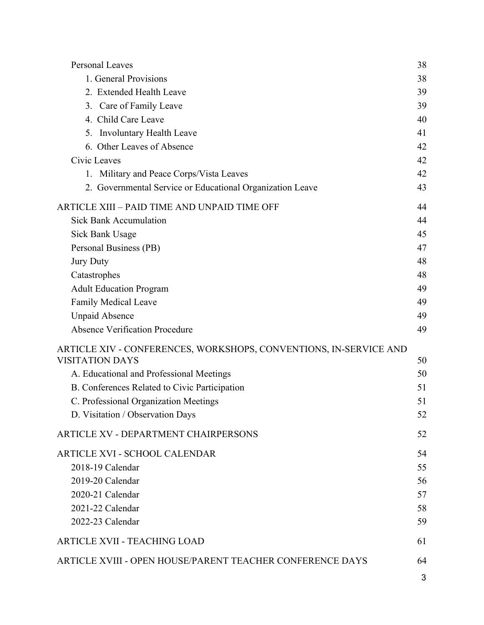| Personal Leaves                                                   | 38 |
|-------------------------------------------------------------------|----|
| 1. General Provisions                                             | 38 |
| 2. Extended Health Leave                                          | 39 |
| 3. Care of Family Leave                                           | 39 |
| 4. Child Care Leave                                               | 40 |
| <b>Involuntary Health Leave</b><br>5.                             | 41 |
| 6. Other Leaves of Absence                                        | 42 |
| Civic Leaves                                                      | 42 |
| 1. Military and Peace Corps/Vista Leaves                          | 42 |
| 2. Governmental Service or Educational Organization Leave         | 43 |
| ARTICLE XIII – PAID TIME AND UNPAID TIME OFF                      | 44 |
| <b>Sick Bank Accumulation</b>                                     | 44 |
| Sick Bank Usage                                                   | 45 |
| Personal Business (PB)                                            | 47 |
| <b>Jury Duty</b>                                                  | 48 |
| Catastrophes                                                      | 48 |
| <b>Adult Education Program</b>                                    | 49 |
| <b>Family Medical Leave</b>                                       | 49 |
| <b>Unpaid Absence</b>                                             | 49 |
| Absence Verification Procedure                                    | 49 |
| ARTICLE XIV - CONFERENCES, WORKSHOPS, CONVENTIONS, IN-SERVICE AND |    |
| <b>VISITATION DAYS</b>                                            | 50 |
| A. Educational and Professional Meetings                          | 50 |
| B. Conferences Related to Civic Participation                     | 51 |
| C. Professional Organization Meetings                             | 51 |
| D. Visitation / Observation Days                                  | 52 |
| <b>ARTICLE XV - DEPARTMENT CHAIRPERSONS</b>                       | 52 |
| <b>ARTICLE XVI - SCHOOL CALENDAR</b>                              | 54 |
| 2018-19 Calendar                                                  | 55 |
| 2019-20 Calendar                                                  | 56 |
| 2020-21 Calendar                                                  | 57 |
| 2021-22 Calendar                                                  | 58 |
| 2022-23 Calendar                                                  | 59 |
| ARTICLE XVII - TEACHING LOAD                                      | 61 |
| ARTICLE XVIII - OPEN HOUSE/PARENT TEACHER CONFERENCE DAYS         | 64 |
|                                                                   |    |

3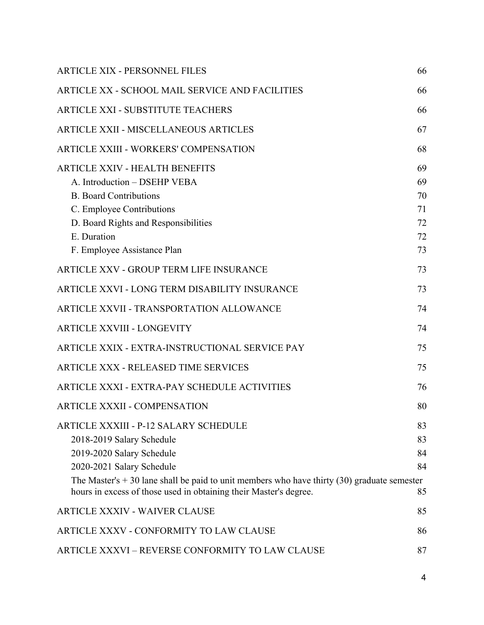| <b>ARTICLE XIX - PERSONNEL FILES</b>                                                                                                                                                                                                                                                                     | 66                                     |
|----------------------------------------------------------------------------------------------------------------------------------------------------------------------------------------------------------------------------------------------------------------------------------------------------------|----------------------------------------|
| ARTICLE XX - SCHOOL MAIL SERVICE AND FACILITIES                                                                                                                                                                                                                                                          | 66                                     |
| <b>ARTICLE XXI - SUBSTITUTE TEACHERS</b>                                                                                                                                                                                                                                                                 | 66                                     |
| <b>ARTICLE XXII - MISCELLANEOUS ARTICLES</b>                                                                                                                                                                                                                                                             | 67                                     |
| <b>ARTICLE XXIII - WORKERS' COMPENSATION</b>                                                                                                                                                                                                                                                             | 68                                     |
| <b>ARTICLE XXIV - HEALTH BENEFITS</b><br>A. Introduction - DSEHP VEBA<br><b>B.</b> Board Contributions<br>C. Employee Contributions<br>D. Board Rights and Responsibilities<br>E. Duration<br>F. Employee Assistance Plan                                                                                | 69<br>69<br>70<br>71<br>72<br>72<br>73 |
| <b>ARTICLE XXV - GROUP TERM LIFE INSURANCE</b>                                                                                                                                                                                                                                                           | 73                                     |
| ARTICLE XXVI - LONG TERM DISABILITY INSURANCE                                                                                                                                                                                                                                                            | 73                                     |
| ARTICLE XXVII - TRANSPORTATION ALLOWANCE                                                                                                                                                                                                                                                                 | 74                                     |
| <b>ARTICLE XXVIII - LONGEVITY</b>                                                                                                                                                                                                                                                                        | 74                                     |
| ARTICLE XXIX - EXTRA-INSTRUCTIONAL SERVICE PAY                                                                                                                                                                                                                                                           | 75                                     |
| <b>ARTICLE XXX - RELEASED TIME SERVICES</b>                                                                                                                                                                                                                                                              | 75                                     |
| ARTICLE XXXI - EXTRA-PAY SCHEDULE ACTIVITIES                                                                                                                                                                                                                                                             | 76                                     |
| <b>ARTICLE XXXII - COMPENSATION</b>                                                                                                                                                                                                                                                                      | 80                                     |
| <b>ARTICLE XXXIII - P-12 SALARY SCHEDULE</b><br>2018-2019 Salary Schedule<br>2019-2020 Salary Schedule<br>2020-2021 Salary Schedule<br>The Master's $+30$ lane shall be paid to unit members who have thirty (30) graduate semester<br>hours in excess of those used in obtaining their Master's degree. | 83<br>83<br>84<br>84<br>85             |
| <b>ARTICLE XXXIV - WAIVER CLAUSE</b>                                                                                                                                                                                                                                                                     | 85                                     |
| ARTICLE XXXV - CONFORMITY TO LAW CLAUSE                                                                                                                                                                                                                                                                  | 86                                     |
| ARTICLE XXXVI - REVERSE CONFORMITY TO LAW CLAUSE                                                                                                                                                                                                                                                         | 87                                     |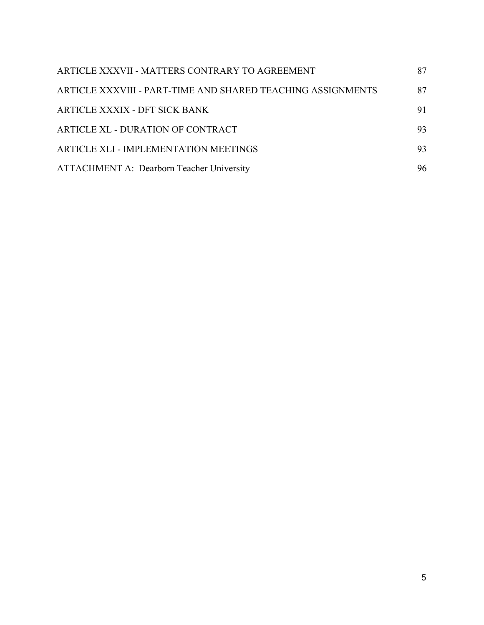| ARTICLE XXXVII - MATTERS CONTRARY TO AGREEMENT              | 87 |
|-------------------------------------------------------------|----|
| ARTICLE XXXVIII - PART-TIME AND SHARED TEACHING ASSIGNMENTS | 87 |
| ARTICLE XXXIX - DFT SICK BANK                               | 91 |
| ARTICLE XL - DURATION OF CONTRACT                           | 93 |
| ARTICLE XLI - IMPLEMENTATION MEETINGS                       | 93 |
| <b>ATTACHMENT A: Dearborn Teacher University</b>            | 96 |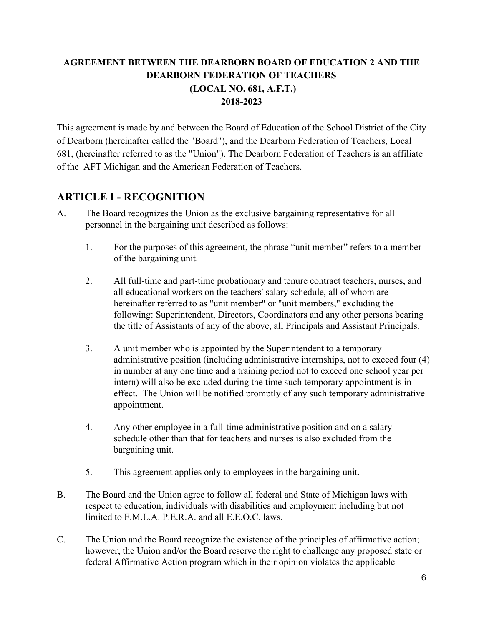### **AGREEMENT BETWEEN THE DEARBORN BOARD OF EDUCATION 2 AND THE DEARBORN FEDERATION OF TEACHERS (LOCAL NO. 681, A.F.T.) 2018-2023**

This agreement is made by and between the Board of Education of the School District of the City of Dearborn (hereinafter called the "Board"), and the Dearborn Federation of Teachers, Local 681, (hereinafter referred to as the "Union"). The Dearborn Federation of Teachers is an affiliate of the AFT Michigan and the American Federation of Teachers.

# <span id="page-5-0"></span>**ARTICLE I - RECOGNITION**

- A. The Board recognizes the Union as the exclusive bargaining representative for all personnel in the bargaining unit described as follows:
	- 1. For the purposes of this agreement, the phrase "unit member" refers to a member of the bargaining unit.
	- 2. All full-time and part-time probationary and tenure contract teachers, nurses, and all educational workers on the teachers' salary schedule, all of whom are hereinafter referred to as "unit member" or "unit members," excluding the following: Superintendent, Directors, Coordinators and any other persons bearing the title of Assistants of any of the above, all Principals and Assistant Principals.
	- 3. A unit member who is appointed by the Superintendent to a temporary administrative position (including administrative internships, not to exceed four (4) in number at any one time and a training period not to exceed one school year per intern) will also be excluded during the time such temporary appointment is in effect. The Union will be notified promptly of any such temporary administrative appointment.
	- 4. Any other employee in a full-time administrative position and on a salary schedule other than that for teachers and nurses is also excluded from the bargaining unit.
	- 5. This agreement applies only to employees in the bargaining unit.
- B. The Board and the Union agree to follow all federal and State of Michigan laws with respect to education, individuals with disabilities and employment including but not limited to F.M.L.A. P.E.R.A. and all E.E.O.C. laws.
- C. The Union and the Board recognize the existence of the principles of affirmative action; however, the Union and/or the Board reserve the right to challenge any proposed state or federal Affirmative Action program which in their opinion violates the applicable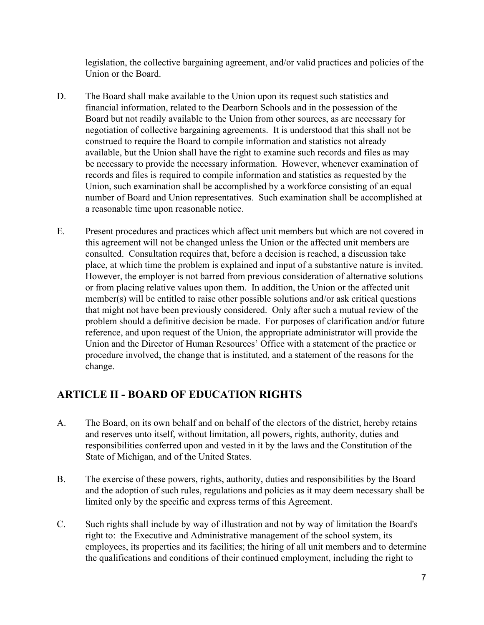legislation, the collective bargaining agreement, and/or valid practices and policies of the Union or the Board.

- D. The Board shall make available to the Union upon its request such statistics and financial information, related to the Dearborn Schools and in the possession of the Board but not readily available to the Union from other sources, as are necessary for negotiation of collective bargaining agreements. It is understood that this shall not be construed to require the Board to compile information and statistics not already available, but the Union shall have the right to examine such records and files as may be necessary to provide the necessary information. However, whenever examination of records and files is required to compile information and statistics as requested by the Union, such examination shall be accomplished by a workforce consisting of an equal number of Board and Union representatives. Such examination shall be accomplished at a reasonable time upon reasonable notice.
- E. Present procedures and practices which affect unit members but which are not covered in this agreement will not be changed unless the Union or the affected unit members are consulted. Consultation requires that, before a decision is reached, a discussion take place, at which time the problem is explained and input of a substantive nature is invited. However, the employer is not barred from previous consideration of alternative solutions or from placing relative values upon them. In addition, the Union or the affected unit member(s) will be entitled to raise other possible solutions and/or ask critical questions that might not have been previously considered. Only after such a mutual review of the problem should a definitive decision be made. For purposes of clarification and/or future reference, and upon request of the Union, the appropriate administrator will provide the Union and the Director of Human Resources' Office with a statement of the practice or procedure involved, the change that is instituted, and a statement of the reasons for the change.

# <span id="page-6-0"></span>**ARTICLE II - BOARD OF EDUCATION RIGHTS**

- A. The Board, on its own behalf and on behalf of the electors of the district, hereby retains and reserves unto itself, without limitation, all powers, rights, authority, duties and responsibilities conferred upon and vested in it by the laws and the Constitution of the State of Michigan, and of the United States.
- B. The exercise of these powers, rights, authority, duties and responsibilities by the Board and the adoption of such rules, regulations and policies as it may deem necessary shall be limited only by the specific and express terms of this Agreement.
- C. Such rights shall include by way of illustration and not by way of limitation the Board's right to: the Executive and Administrative management of the school system, its employees, its properties and its facilities; the hiring of all unit members and to determine the qualifications and conditions of their continued employment, including the right to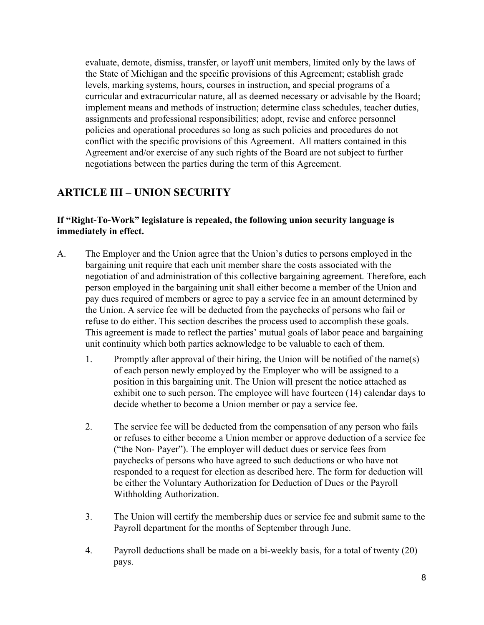evaluate, demote, dismiss, transfer, or layoff unit members, limited only by the laws of the State of Michigan and the specific provisions of this Agreement; establish grade levels, marking systems, hours, courses in instruction, and special programs of a curricular and extracurricular nature, all as deemed necessary or advisable by the Board; implement means and methods of instruction; determine class schedules, teacher duties, assignments and professional responsibilities; adopt, revise and enforce personnel policies and operational procedures so long as such policies and procedures do not conflict with the specific provisions of this Agreement. All matters contained in this Agreement and/or exercise of any such rights of the Board are not subject to further negotiations between the parties during the term of this Agreement.

# <span id="page-7-0"></span>**ARTICLE III – UNION SECURITY**

#### **If "Right-To-Work" legislature is repealed, the following union security language is immediately in effect.**

- A. The Employer and the Union agree that the Union's duties to persons employed in the bargaining unit require that each unit member share the costs associated with the negotiation of and administration of this collective bargaining agreement. Therefore, each person employed in the bargaining unit shall either become a member of the Union and pay dues required of members or agree to pay a service fee in an amount determined by the Union. A service fee will be deducted from the paychecks of persons who fail or refuse to do either. This section describes the process used to accomplish these goals. This agreement is made to reflect the parties' mutual goals of labor peace and bargaining unit continuity which both parties acknowledge to be valuable to each of them.
	- 1. Promptly after approval of their hiring, the Union will be notified of the name(s) of each person newly employed by the Employer who will be assigned to a position in this bargaining unit. The Union will present the notice attached as exhibit one to such person. The employee will have fourteen (14) calendar days to decide whether to become a Union member or pay a service fee.
	- 2. The service fee will be deducted from the compensation of any person who fails or refuses to either become a Union member or approve deduction of a service fee ("the Non- Payer"). The employer will deduct dues or service fees from paychecks of persons who have agreed to such deductions or who have not responded to a request for election as described here. The form for deduction will be either the Voluntary Authorization for Deduction of Dues or the Payroll Withholding Authorization.
	- 3. The Union will certify the membership dues or service fee and submit same to the Payroll department for the months of September through June.
	- 4. Payroll deductions shall be made on a bi-weekly basis, for a total of twenty (20) pays.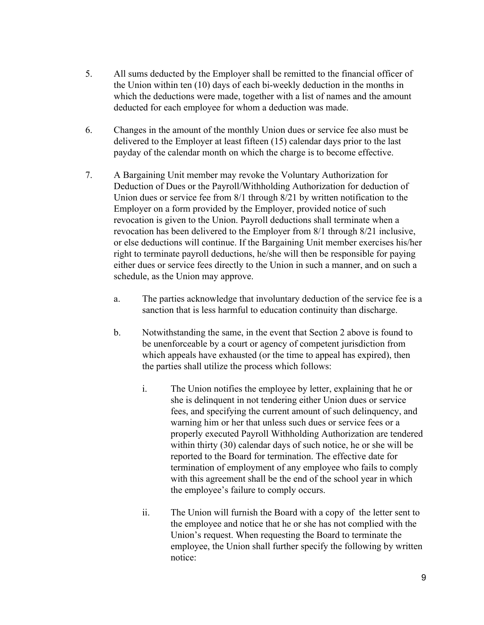- 5. All sums deducted by the Employer shall be remitted to the financial officer of the Union within ten (10) days of each bi-weekly deduction in the months in which the deductions were made, together with a list of names and the amount deducted for each employee for whom a deduction was made.
- 6. Changes in the amount of the monthly Union dues or service fee also must be delivered to the Employer at least fifteen (15) calendar days prior to the last payday of the calendar month on which the charge is to become effective.
- 7. A Bargaining Unit member may revoke the Voluntary Authorization for Deduction of Dues or the Payroll/Withholding Authorization for deduction of Union dues or service fee from 8/1 through 8/21 by written notification to the Employer on a form provided by the Employer, provided notice of such revocation is given to the Union. Payroll deductions shall terminate when a revocation has been delivered to the Employer from 8/1 through 8/21 inclusive, or else deductions will continue. If the Bargaining Unit member exercises his/her right to terminate payroll deductions, he/she will then be responsible for paying either dues or service fees directly to the Union in such a manner, and on such a schedule, as the Union may approve.
	- a. The parties acknowledge that involuntary deduction of the service fee is a sanction that is less harmful to education continuity than discharge.
	- b. Notwithstanding the same, in the event that Section 2 above is found to be unenforceable by a court or agency of competent jurisdiction from which appeals have exhausted (or the time to appeal has expired), then the parties shall utilize the process which follows:
		- i. The Union notifies the employee by letter, explaining that he or she is delinquent in not tendering either Union dues or service fees, and specifying the current amount of such delinquency, and warning him or her that unless such dues or service fees or a properly executed Payroll Withholding Authorization are tendered within thirty (30) calendar days of such notice, he or she will be reported to the Board for termination. The effective date for termination of employment of any employee who fails to comply with this agreement shall be the end of the school year in which the employee's failure to comply occurs.
		- ii. The Union will furnish the Board with a copy of the letter sent to the employee and notice that he or she has not complied with the Union's request. When requesting the Board to terminate the employee, the Union shall further specify the following by written notice: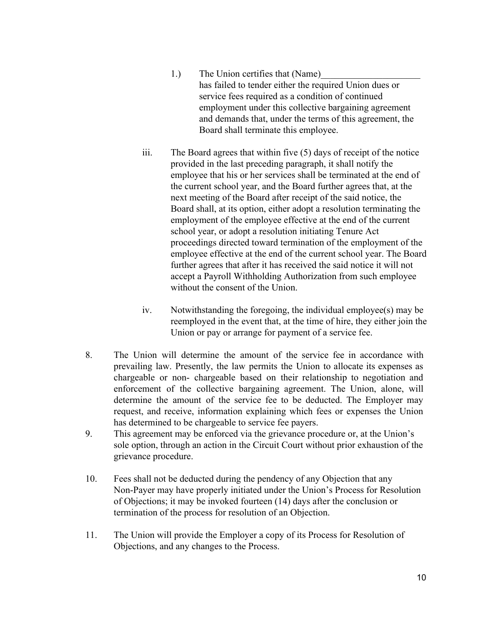- 1.) The Union certifies that (Name) has failed to tender either the required Union dues or service fees required as a condition of continued employment under this collective bargaining agreement and demands that, under the terms of this agreement, the Board shall terminate this employee.
- iii. The Board agrees that within five (5) days of receipt of the notice provided in the last preceding paragraph, it shall notify the employee that his or her services shall be terminated at the end of the current school year, and the Board further agrees that, at the next meeting of the Board after receipt of the said notice, the Board shall, at its option, either adopt a resolution terminating the employment of the employee effective at the end of the current school year, or adopt a resolution initiating Tenure Act proceedings directed toward termination of the employment of the employee effective at the end of the current school year. The Board further agrees that after it has received the said notice it will not accept a Payroll Withholding Authorization from such employee without the consent of the Union.
- iv. Notwithstanding the foregoing, the individual employee(s) may be reemployed in the event that, at the time of hire, they either join the Union or pay or arrange for payment of a service fee.
- 8. The Union will determine the amount of the service fee in accordance with prevailing law. Presently, the law permits the Union to allocate its expenses as chargeable or non- chargeable based on their relationship to negotiation and enforcement of the collective bargaining agreement. The Union, alone, will determine the amount of the service fee to be deducted. The Employer may request, and receive, information explaining which fees or expenses the Union has determined to be chargeable to service fee payers.
- 9. This agreement may be enforced via the grievance procedure or, at the Union's sole option, through an action in the Circuit Court without prior exhaustion of the grievance procedure.
- 10. Fees shall not be deducted during the pendency of any Objection that any Non-Payer may have properly initiated under the Union's Process for Resolution of Objections; it may be invoked fourteen (14) days after the conclusion or termination of the process for resolution of an Objection.
- 11. The Union will provide the Employer a copy of its Process for Resolution of Objections, and any changes to the Process.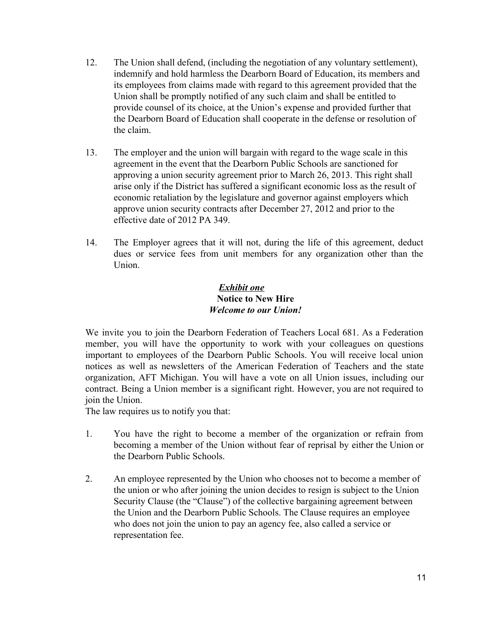- 12. The Union shall defend, (including the negotiation of any voluntary settlement), indemnify and hold harmless the Dearborn Board of Education, its members and its employees from claims made with regard to this agreement provided that the Union shall be promptly notified of any such claim and shall be entitled to provide counsel of its choice, at the Union's expense and provided further that the Dearborn Board of Education shall cooperate in the defense or resolution of the claim.
- 13. The employer and the union will bargain with regard to the wage scale in this agreement in the event that the Dearborn Public Schools are sanctioned for approving a union security agreement prior to March 26, 2013. This right shall arise only if the District has suffered a significant economic loss as the result of economic retaliation by the legislature and governor against employers which approve union security contracts after December 27, 2012 and prior to the effective date of 2012 PA 349.
- 14. The Employer agrees that it will not, during the life of this agreement, deduct dues or service fees from unit members for any organization other than the **Union**

### *Exhibit one* **Notice to New Hire** *Welcome to our Union!*

We invite you to join the Dearborn Federation of Teachers Local 681. As a Federation member, you will have the opportunity to work with your colleagues on questions important to employees of the Dearborn Public Schools. You will receive local union notices as well as newsletters of the American Federation of Teachers and the state organization, AFT Michigan. You will have a vote on all Union issues, including our contract. Being a Union member is a significant right. However, you are not required to join the Union.

The law requires us to notify you that:

- 1. You have the right to become a member of the organization or refrain from becoming a member of the Union without fear of reprisal by either the Union or the Dearborn Public Schools.
- 2. An employee represented by the Union who chooses not to become a member of the union or who after joining the union decides to resign is subject to the Union Security Clause (the "Clause") of the collective bargaining agreement between the Union and the Dearborn Public Schools. The Clause requires an employee who does not join the union to pay an agency fee, also called a service or representation fee.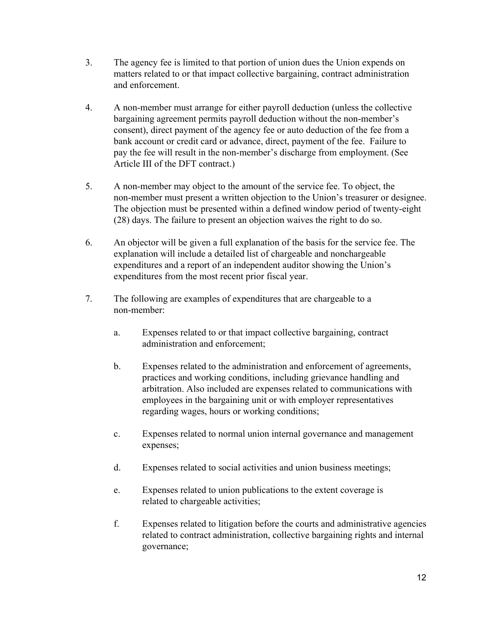- 3. The agency fee is limited to that portion of union dues the Union expends on matters related to or that impact collective bargaining, contract administration and enforcement.
- 4. A non-member must arrange for either payroll deduction (unless the collective bargaining agreement permits payroll deduction without the non-member's consent), direct payment of the agency fee or auto deduction of the fee from a bank account or credit card or advance, direct, payment of the fee. Failure to pay the fee will result in the non-member's discharge from employment. (See Article III of the DFT contract.)
- 5. A non-member may object to the amount of the service fee. To object, the non-member must present a written objection to the Union's treasurer or designee. The objection must be presented within a defined window period of twenty-eight (28) days. The failure to present an objection waives the right to do so.
- 6. An objector will be given a full explanation of the basis for the service fee. The explanation will include a detailed list of chargeable and nonchargeable expenditures and a report of an independent auditor showing the Union's expenditures from the most recent prior fiscal year.
- 7. The following are examples of expenditures that are chargeable to a non-member:
	- a. Expenses related to or that impact collective bargaining, contract administration and enforcement;
	- b. Expenses related to the administration and enforcement of agreements, practices and working conditions, including grievance handling and arbitration. Also included are expenses related to communications with employees in the bargaining unit or with employer representatives regarding wages, hours or working conditions;
	- c. Expenses related to normal union internal governance and management expenses;
	- d. Expenses related to social activities and union business meetings;
	- e. Expenses related to union publications to the extent coverage is related to chargeable activities;
	- f. Expenses related to litigation before the courts and administrative agencies related to contract administration, collective bargaining rights and internal governance;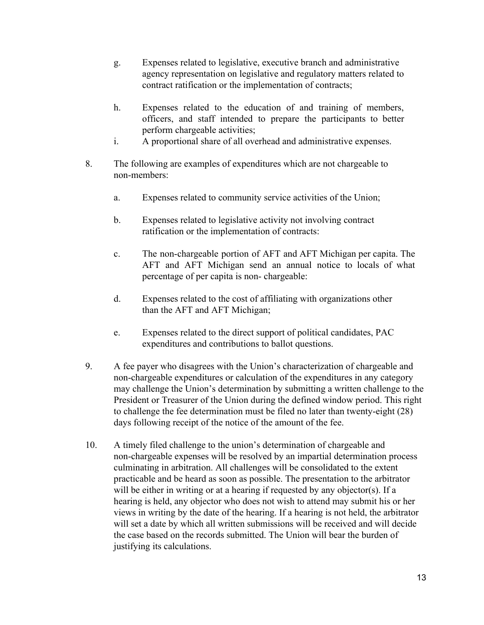- g. Expenses related to legislative, executive branch and administrative agency representation on legislative and regulatory matters related to contract ratification or the implementation of contracts;
- h. Expenses related to the education of and training of members, officers, and staff intended to prepare the participants to better perform chargeable activities;
- i. A proportional share of all overhead and administrative expenses.
- 8. The following are examples of expenditures which are not chargeable to non-members:
	- a. Expenses related to community service activities of the Union;
	- b. Expenses related to legislative activity not involving contract ratification or the implementation of contracts:
	- c. The non-chargeable portion of AFT and AFT Michigan per capita. The AFT and AFT Michigan send an annual notice to locals of what percentage of per capita is non- chargeable:
	- d. Expenses related to the cost of affiliating with organizations other than the AFT and AFT Michigan;
	- e. Expenses related to the direct support of political candidates, PAC expenditures and contributions to ballot questions.
- 9. A fee payer who disagrees with the Union's characterization of chargeable and non-chargeable expenditures or calculation of the expenditures in any category may challenge the Union's determination by submitting a written challenge to the President or Treasurer of the Union during the defined window period. This right to challenge the fee determination must be filed no later than twenty-eight (28) days following receipt of the notice of the amount of the fee.
- 10. A timely filed challenge to the union's determination of chargeable and non-chargeable expenses will be resolved by an impartial determination process culminating in arbitration. All challenges will be consolidated to the extent practicable and be heard as soon as possible. The presentation to the arbitrator will be either in writing or at a hearing if requested by any objector(s). If a hearing is held, any objector who does not wish to attend may submit his or her views in writing by the date of the hearing. If a hearing is not held, the arbitrator will set a date by which all written submissions will be received and will decide the case based on the records submitted. The Union will bear the burden of justifying its calculations.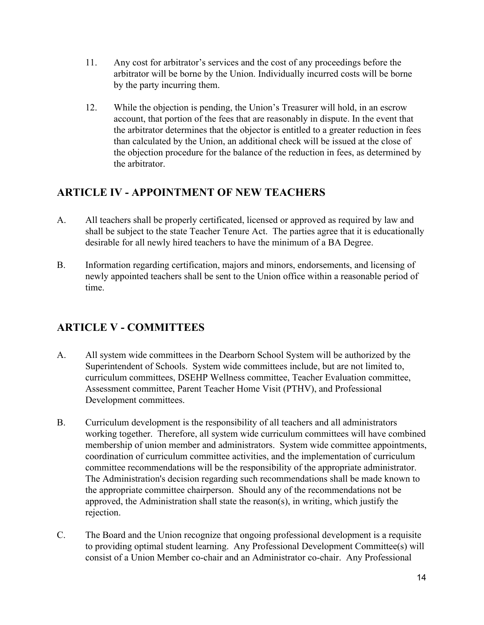- 11. Any cost for arbitrator's services and the cost of any proceedings before the arbitrator will be borne by the Union. Individually incurred costs will be borne by the party incurring them.
- 12. While the objection is pending, the Union's Treasurer will hold, in an escrow account, that portion of the fees that are reasonably in dispute. In the event that the arbitrator determines that the objector is entitled to a greater reduction in fees than calculated by the Union, an additional check will be issued at the close of the objection procedure for the balance of the reduction in fees, as determined by the arbitrator.

# <span id="page-13-0"></span>**ARTICLE IV - APPOINTMENT OF NEW TEACHERS**

- A. All teachers shall be properly certificated, licensed or approved as required by law and shall be subject to the state Teacher Tenure Act. The parties agree that it is educationally desirable for all newly hired teachers to have the minimum of a BA Degree.
- B. Information regarding certification, majors and minors, endorsements, and licensing of newly appointed teachers shall be sent to the Union office within a reasonable period of time.

# <span id="page-13-1"></span>**ARTICLE V - COMMITTEES**

- A. All system wide committees in the Dearborn School System will be authorized by the Superintendent of Schools. System wide committees include, but are not limited to, curriculum committees, DSEHP Wellness committee, Teacher Evaluation committee, Assessment committee, Parent Teacher Home Visit (PTHV), and Professional Development committees.
- B. Curriculum development is the responsibility of all teachers and all administrators working together. Therefore, all system wide curriculum committees will have combined membership of union member and administrators. System wide committee appointments, coordination of curriculum committee activities, and the implementation of curriculum committee recommendations will be the responsibility of the appropriate administrator. The Administration's decision regarding such recommendations shall be made known to the appropriate committee chairperson. Should any of the recommendations not be approved, the Administration shall state the reason(s), in writing, which justify the rejection.
- C. The Board and the Union recognize that ongoing professional development is a requisite to providing optimal student learning. Any Professional Development Committee(s) will consist of a Union Member co-chair and an Administrator co-chair. Any Professional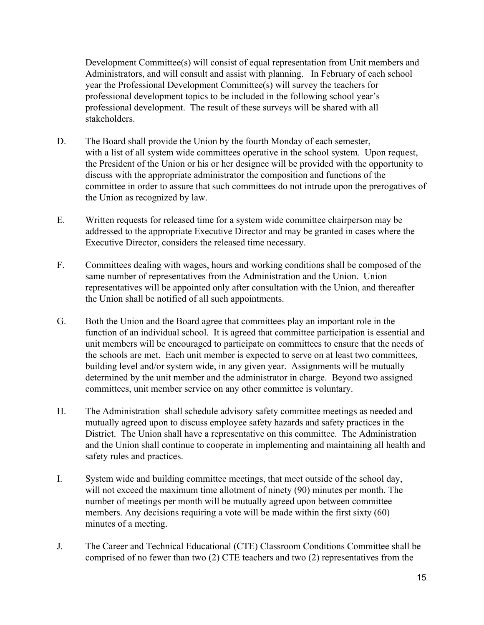Development Committee(s) will consist of equal representation from Unit members and Administrators, and will consult and assist with planning. In February of each school year the Professional Development Committee(s) will survey the teachers for professional development topics to be included in the following school year's professional development. The result of these surveys will be shared with all stakeholders.

- D. The Board shall provide the Union by the fourth Monday of each semester, with a list of all system wide committees operative in the school system. Upon request, the President of the Union or his or her designee will be provided with the opportunity to discuss with the appropriate administrator the composition and functions of the committee in order to assure that such committees do not intrude upon the prerogatives of the Union as recognized by law.
- E. Written requests for released time for a system wide committee chairperson may be addressed to the appropriate Executive Director and may be granted in cases where the Executive Director, considers the released time necessary.
- F. Committees dealing with wages, hours and working conditions shall be composed of the same number of representatives from the Administration and the Union. Union representatives will be appointed only after consultation with the Union, and thereafter the Union shall be notified of all such appointments.
- G. Both the Union and the Board agree that committees play an important role in the function of an individual school. It is agreed that committee participation is essential and unit members will be encouraged to participate on committees to ensure that the needs of the schools are met. Each unit member is expected to serve on at least two committees, building level and/or system wide, in any given year. Assignments will be mutually determined by the unit member and the administrator in charge. Beyond two assigned committees, unit member service on any other committee is voluntary.
- H. The Administration shall schedule advisory safety committee meetings as needed and mutually agreed upon to discuss employee safety hazards and safety practices in the District. The Union shall have a representative on this committee. The Administration and the Union shall continue to cooperate in implementing and maintaining all health and safety rules and practices.
- I. System wide and building committee meetings, that meet outside of the school day, will not exceed the maximum time allotment of ninety (90) minutes per month. The number of meetings per month will be mutually agreed upon between committee members. Any decisions requiring a vote will be made within the first sixty (60) minutes of a meeting.
- J. The Career and Technical Educational (CTE) Classroom Conditions Committee shall be comprised of no fewer than two (2) CTE teachers and two (2) representatives from the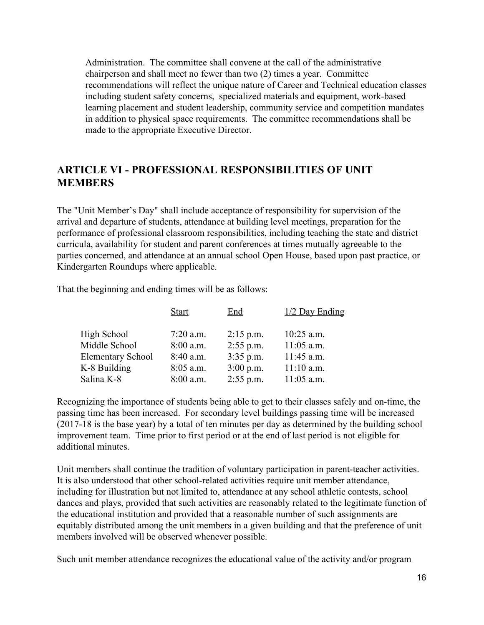Administration. The committee shall convene at the call of the administrative chairperson and shall meet no fewer than two (2) times a year. Committee recommendations will reflect the unique nature of Career and Technical education classes including student safety concerns, specialized materials and equipment, work-based learning placement and student leadership, community service and competition mandates in addition to physical space requirements. The committee recommendations shall be made to the appropriate Executive Director.

### <span id="page-15-0"></span>**ARTICLE VI - PROFESSIONAL RESPONSIBILITIES OF UNIT MEMBERS**

The "Unit Member's Day" shall include acceptance of responsibility for supervision of the arrival and departure of students, attendance at building level meetings, preparation for the performance of professional classroom responsibilities, including teaching the state and district curricula, availability for student and parent conferences at times mutually agreeable to the parties concerned, and attendance at an annual school Open House, based upon past practice, or Kindergarten Roundups where applicable.

That the beginning and ending times will be as follows:

|                          | <b>Start</b> | End         | $1/2$ Day Ending |
|--------------------------|--------------|-------------|------------------|
| High School              | $7:20$ a.m.  | $2:15$ p.m. | $10:25$ a.m.     |
| Middle School            | $8:00$ a.m.  | $2:55$ p.m. | $11:05$ a.m.     |
| <b>Elementary School</b> | $8:40$ a.m.  | $3:35$ p.m. | $11:45$ a.m.     |
| K-8 Building             | $8:05$ a.m.  | $3:00$ p.m. | $11:10$ a.m.     |
| Salina K-8               | $8:00$ a.m.  | $2:55$ p.m. | $11:05$ a.m.     |

Recognizing the importance of students being able to get to their classes safely and on-time, the passing time has been increased. For secondary level buildings passing time will be increased (2017-18 is the base year) by a total of ten minutes per day as determined by the building school improvement team. Time prior to first period or at the end of last period is not eligible for additional minutes.

Unit members shall continue the tradition of voluntary participation in parent-teacher activities. It is also understood that other school-related activities require unit member attendance, including for illustration but not limited to, attendance at any school athletic contests, school dances and plays, provided that such activities are reasonably related to the legitimate function of the educational institution and provided that a reasonable number of such assignments are equitably distributed among the unit members in a given building and that the preference of unit members involved will be observed whenever possible.

Such unit member attendance recognizes the educational value of the activity and/or program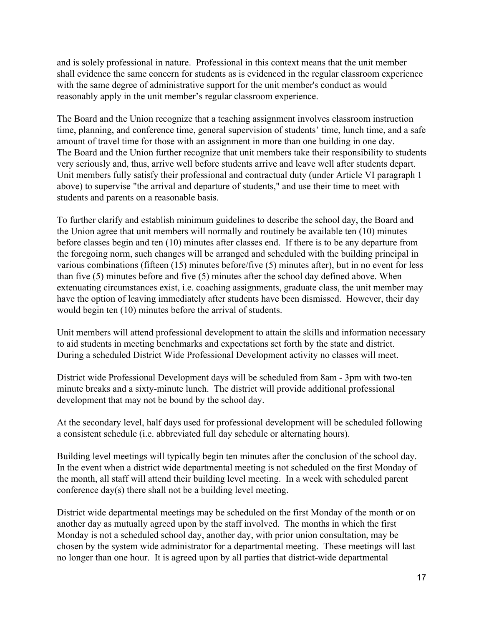and is solely professional in nature. Professional in this context means that the unit member shall evidence the same concern for students as is evidenced in the regular classroom experience with the same degree of administrative support for the unit member's conduct as would reasonably apply in the unit member's regular classroom experience.

The Board and the Union recognize that a teaching assignment involves classroom instruction time, planning, and conference time, general supervision of students' time, lunch time, and a safe amount of travel time for those with an assignment in more than one building in one day. The Board and the Union further recognize that unit members take their responsibility to students very seriously and, thus, arrive well before students arrive and leave well after students depart. Unit members fully satisfy their professional and contractual duty (under Article VI paragraph 1 above) to supervise "the arrival and departure of students," and use their time to meet with students and parents on a reasonable basis.

To further clarify and establish minimum guidelines to describe the school day, the Board and the Union agree that unit members will normally and routinely be available ten (10) minutes before classes begin and ten (10) minutes after classes end. If there is to be any departure from the foregoing norm, such changes will be arranged and scheduled with the building principal in various combinations (fifteen (15) minutes before/five (5) minutes after), but in no event for less than five (5) minutes before and five (5) minutes after the school day defined above. When extenuating circumstances exist, i.e. coaching assignments, graduate class, the unit member may have the option of leaving immediately after students have been dismissed. However, their day would begin ten (10) minutes before the arrival of students.

Unit members will attend professional development to attain the skills and information necessary to aid students in meeting benchmarks and expectations set forth by the state and district. During a scheduled District Wide Professional Development activity no classes will meet.

District wide Professional Development days will be scheduled from 8am - 3pm with two-ten minute breaks and a sixty-minute lunch. The district will provide additional professional development that may not be bound by the school day.

At the secondary level, half days used for professional development will be scheduled following a consistent schedule (i.e. abbreviated full day schedule or alternating hours).

Building level meetings will typically begin ten minutes after the conclusion of the school day. In the event when a district wide departmental meeting is not scheduled on the first Monday of the month, all staff will attend their building level meeting. In a week with scheduled parent conference day(s) there shall not be a building level meeting.

District wide departmental meetings may be scheduled on the first Monday of the month or on another day as mutually agreed upon by the staff involved. The months in which the first Monday is not a scheduled school day, another day, with prior union consultation, may be chosen by the system wide administrator for a departmental meeting. These meetings will last no longer than one hour. It is agreed upon by all parties that district-wide departmental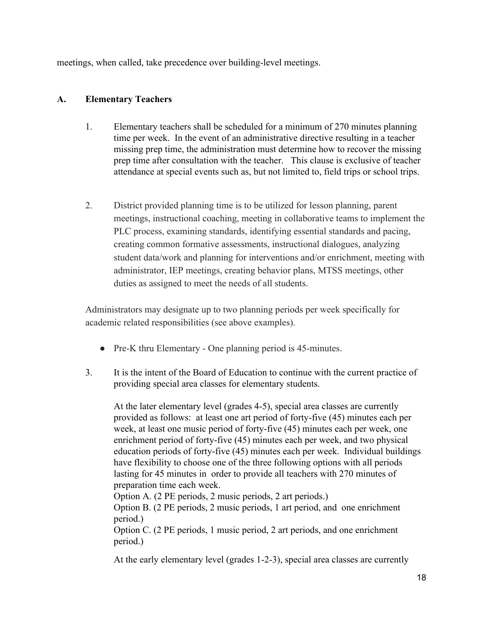meetings, when called, take precedence over building-level meetings.

### <span id="page-17-0"></span>**A. Elementary Teachers**

- 1. Elementary teachers shall be scheduled for a minimum of 270 minutes planning time per week. In the event of an administrative directive resulting in a teacher missing prep time, the administration must determine how to recover the missing prep time after consultation with the teacher. This clause is exclusive of teacher attendance at special events such as, but not limited to, field trips or school trips.
- 2. District provided planning time is to be utilized for lesson planning, parent meetings, instructional coaching, meeting in collaborative teams to implement the PLC process, examining standards, identifying essential standards and pacing, creating common formative assessments, instructional dialogues, analyzing student data/work and planning for interventions and/or enrichment, meeting with administrator, IEP meetings, creating behavior plans, MTSS meetings, other duties as assigned to meet the needs of all students.

Administrators may designate up to two planning periods per week specifically for academic related responsibilities (see above examples).

- Pre-K thru Elementary One planning period is 45-minutes.
- 3. It is the intent of the Board of Education to continue with the current practice of providing special area classes for elementary students.

At the later elementary level (grades 4-5), special area classes are currently provided as follows: at least one art period of forty-five (45) minutes each per week, at least one music period of forty-five (45) minutes each per week, one enrichment period of forty-five (45) minutes each per week, and two physical education periods of forty-five (45) minutes each per week. Individual buildings have flexibility to choose one of the three following options with all periods lasting for 45 minutes in order to provide all teachers with 270 minutes of preparation time each week.

Option A. (2 PE periods, 2 music periods, 2 art periods.)

Option B. (2 PE periods, 2 music periods, 1 art period, and one enrichment period.)

Option C. (2 PE periods, 1 music period, 2 art periods, and one enrichment period.)

At the early elementary level (grades 1-2-3), special area classes are currently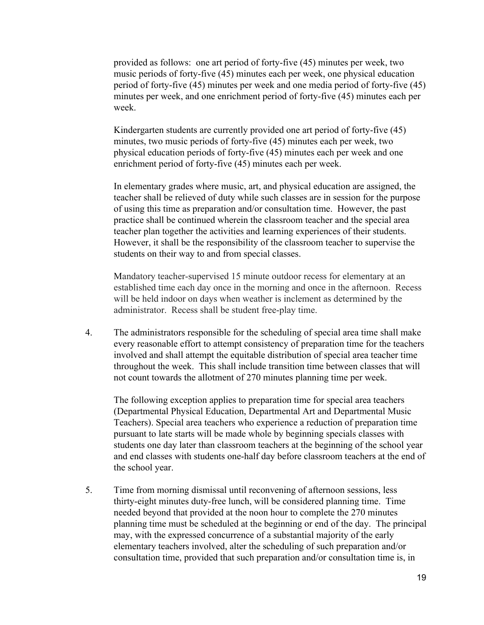provided as follows: one art period of forty-five (45) minutes per week, two music periods of forty-five (45) minutes each per week, one physical education period of forty-five (45) minutes per week and one media period of forty-five (45) minutes per week, and one enrichment period of forty-five (45) minutes each per week.

Kindergarten students are currently provided one art period of forty-five (45) minutes, two music periods of forty-five (45) minutes each per week, two physical education periods of forty-five (45) minutes each per week and one enrichment period of forty-five (45) minutes each per week.

In elementary grades where music, art, and physical education are assigned, the teacher shall be relieved of duty while such classes are in session for the purpose of using this time as preparation and/or consultation time. However, the past practice shall be continued wherein the classroom teacher and the special area teacher plan together the activities and learning experiences of their students. However, it shall be the responsibility of the classroom teacher to supervise the students on their way to and from special classes.

Mandatory teacher-supervised 15 minute outdoor recess for elementary at an established time each day once in the morning and once in the afternoon. Recess will be held indoor on days when weather is inclement as determined by the administrator. Recess shall be student free-play time.

4. The administrators responsible for the scheduling of special area time shall make every reasonable effort to attempt consistency of preparation time for the teachers involved and shall attempt the equitable distribution of special area teacher time throughout the week. This shall include transition time between classes that will not count towards the allotment of 270 minutes planning time per week.

The following exception applies to preparation time for special area teachers (Departmental Physical Education, Departmental Art and Departmental Music Teachers). Special area teachers who experience a reduction of preparation time pursuant to late starts will be made whole by beginning specials classes with students one day later than classroom teachers at the beginning of the school year and end classes with students one-half day before classroom teachers at the end of the school year.

5. Time from morning dismissal until reconvening of afternoon sessions, less thirty-eight minutes duty-free lunch, will be considered planning time. Time needed beyond that provided at the noon hour to complete the 270 minutes planning time must be scheduled at the beginning or end of the day. The principal may, with the expressed concurrence of a substantial majority of the early elementary teachers involved, alter the scheduling of such preparation and/or consultation time, provided that such preparation and/or consultation time is, in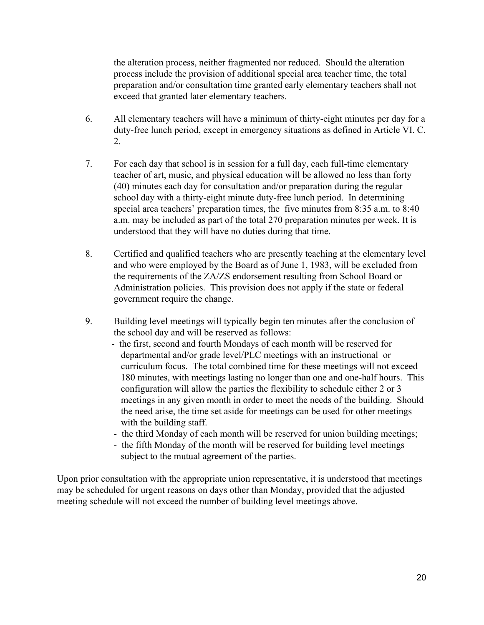the alteration process, neither fragmented nor reduced. Should the alteration process include the provision of additional special area teacher time, the total preparation and/or consultation time granted early elementary teachers shall not exceed that granted later elementary teachers.

- 6. All elementary teachers will have a minimum of thirty-eight minutes per day for a duty-free lunch period, except in emergency situations as defined in Article VI. C. 2.
- 7. For each day that school is in session for a full day, each full-time elementary teacher of art, music, and physical education will be allowed no less than forty (40) minutes each day for consultation and/or preparation during the regular school day with a thirty-eight minute duty-free lunch period. In determining special area teachers' preparation times, the five minutes from 8:35 a.m. to 8:40 a.m. may be included as part of the total 270 preparation minutes per week. It is understood that they will have no duties during that time.
- 8. Certified and qualified teachers who are presently teaching at the elementary level and who were employed by the Board as of June 1, 1983, will be excluded from the requirements of the ZA/ZS endorsement resulting from School Board or Administration policies. This provision does not apply if the state or federal government require the change.
- 9. Building level meetings will typically begin ten minutes after the conclusion of the school day and will be reserved as follows:
	- the first, second and fourth Mondays of each month will be reserved for departmental and/or grade level/PLC meetings with an instructional or curriculum focus. The total combined time for these meetings will not exceed 180 minutes, with meetings lasting no longer than one and one-half hours. This configuration will allow the parties the flexibility to schedule either 2 or 3 meetings in any given month in order to meet the needs of the building. Should the need arise, the time set aside for meetings can be used for other meetings with the building staff.
	- the third Monday of each month will be reserved for union building meetings;
	- the fifth Monday of the month will be reserved for building level meetings subject to the mutual agreement of the parties.

Upon prior consultation with the appropriate union representative, it is understood that meetings may be scheduled for urgent reasons on days other than Monday, provided that the adjusted meeting schedule will not exceed the number of building level meetings above.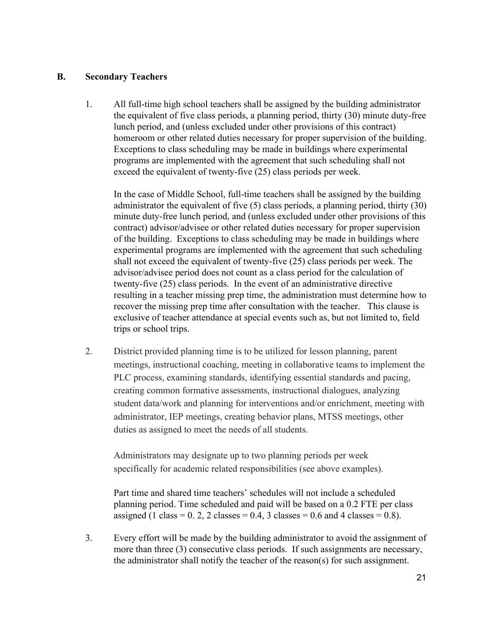#### <span id="page-20-0"></span>**B. Secondary Teachers**

1. All full-time high school teachers shall be assigned by the building administrator the equivalent of five class periods, a planning period, thirty (30) minute duty-free lunch period, and (unless excluded under other provisions of this contract) homeroom or other related duties necessary for proper supervision of the building. Exceptions to class scheduling may be made in buildings where experimental programs are implemented with the agreement that such scheduling shall not exceed the equivalent of twenty-five (25) class periods per week.

In the case of Middle School, full-time teachers shall be assigned by the building administrator the equivalent of five (5) class periods, a planning period, thirty (30) minute duty-free lunch period, and (unless excluded under other provisions of this contract) advisor/advisee or other related duties necessary for proper supervision of the building. Exceptions to class scheduling may be made in buildings where experimental programs are implemented with the agreement that such scheduling shall not exceed the equivalent of twenty-five (25) class periods per week. The advisor/advisee period does not count as a class period for the calculation of twenty-five (25) class periods. In the event of an administrative directive resulting in a teacher missing prep time, the administration must determine how to recover the missing prep time after consultation with the teacher. This clause is exclusive of teacher attendance at special events such as, but not limited to, field trips or school trips.

2. District provided planning time is to be utilized for lesson planning, parent meetings, instructional coaching, meeting in collaborative teams to implement the PLC process, examining standards, identifying essential standards and pacing, creating common formative assessments, instructional dialogues, analyzing student data/work and planning for interventions and/or enrichment, meeting with administrator, IEP meetings, creating behavior plans, MTSS meetings, other duties as assigned to meet the needs of all students.

Administrators may designate up to two planning periods per week specifically for academic related responsibilities (see above examples).

Part time and shared time teachers' schedules will not include a scheduled planning period. Time scheduled and paid will be based on a 0.2 FTE per class assigned (1 class =  $0.2$ , 2 classes =  $0.4$ , 3 classes =  $0.6$  and 4 classes =  $0.8$ ).

3. Every effort will be made by the building administrator to avoid the assignment of more than three (3) consecutive class periods. If such assignments are necessary, the administrator shall notify the teacher of the reason(s) for such assignment.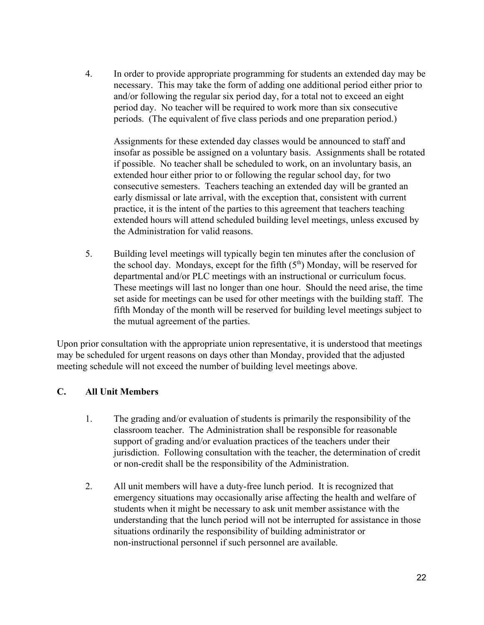4. In order to provide appropriate programming for students an extended day may be necessary. This may take the form of adding one additional period either prior to and/or following the regular six period day, for a total not to exceed an eight period day. No teacher will be required to work more than six consecutive periods. (The equivalent of five class periods and one preparation period.)

Assignments for these extended day classes would be announced to staff and insofar as possible be assigned on a voluntary basis. Assignments shall be rotated if possible. No teacher shall be scheduled to work, on an involuntary basis, an extended hour either prior to or following the regular school day, for two consecutive semesters. Teachers teaching an extended day will be granted an early dismissal or late arrival, with the exception that, consistent with current practice, it is the intent of the parties to this agreement that teachers teaching extended hours will attend scheduled building level meetings, unless excused by the Administration for valid reasons.

5. Building level meetings will typically begin ten minutes after the conclusion of the school day. Mondays, except for the fifth  $(5<sup>th</sup>)$  Monday, will be reserved for departmental and/or PLC meetings with an instructional or curriculum focus. These meetings will last no longer than one hour. Should the need arise, the time set aside for meetings can be used for other meetings with the building staff. The fifth Monday of the month will be reserved for building level meetings subject to the mutual agreement of the parties.

Upon prior consultation with the appropriate union representative, it is understood that meetings may be scheduled for urgent reasons on days other than Monday, provided that the adjusted meeting schedule will not exceed the number of building level meetings above.

### <span id="page-21-0"></span>**C. All Unit Members**

- 1. The grading and/or evaluation of students is primarily the responsibility of the classroom teacher. The Administration shall be responsible for reasonable support of grading and/or evaluation practices of the teachers under their jurisdiction. Following consultation with the teacher, the determination of credit or non-credit shall be the responsibility of the Administration.
- 2. All unit members will have a duty-free lunch period. It is recognized that emergency situations may occasionally arise affecting the health and welfare of students when it might be necessary to ask unit member assistance with the understanding that the lunch period will not be interrupted for assistance in those situations ordinarily the responsibility of building administrator or non-instructional personnel if such personnel are available.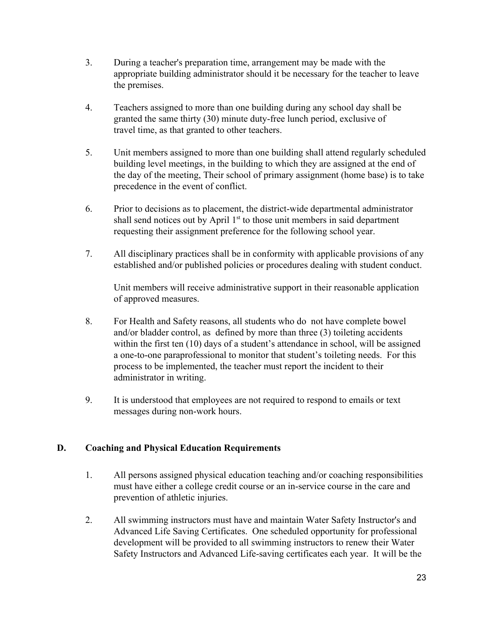- 3. During a teacher's preparation time, arrangement may be made with the appropriate building administrator should it be necessary for the teacher to leave the premises.
- 4. Teachers assigned to more than one building during any school day shall be granted the same thirty (30) minute duty-free lunch period, exclusive of travel time, as that granted to other teachers.
- 5. Unit members assigned to more than one building shall attend regularly scheduled building level meetings, in the building to which they are assigned at the end of the day of the meeting, Their school of primary assignment (home base) is to take precedence in the event of conflict.
- 6. Prior to decisions as to placement, the district-wide departmental administrator shall send notices out by April  $1<sup>st</sup>$  to those unit members in said department requesting their assignment preference for the following school year.
- 7. All disciplinary practices shall be in conformity with applicable provisions of any established and/or published policies or procedures dealing with student conduct.

Unit members will receive administrative support in their reasonable application of approved measures.

- 8. For Health and Safety reasons, all students who do not have complete bowel and/or bladder control, as defined by more than three (3) toileting accidents within the first ten (10) days of a student's attendance in school, will be assigned a one-to-one paraprofessional to monitor that student's toileting needs. For this process to be implemented, the teacher must report the incident to their administrator in writing.
- 9. It is understood that employees are not required to respond to emails or text messages during non-work hours.

### <span id="page-22-0"></span>**D. Coaching and Physical Education Requirements**

- 1. All persons assigned physical education teaching and/or coaching responsibilities must have either a college credit course or an in-service course in the care and prevention of athletic injuries.
- 2. All swimming instructors must have and maintain Water Safety Instructor's and Advanced Life Saving Certificates. One scheduled opportunity for professional development will be provided to all swimming instructors to renew their Water Safety Instructors and Advanced Life-saving certificates each year. It will be the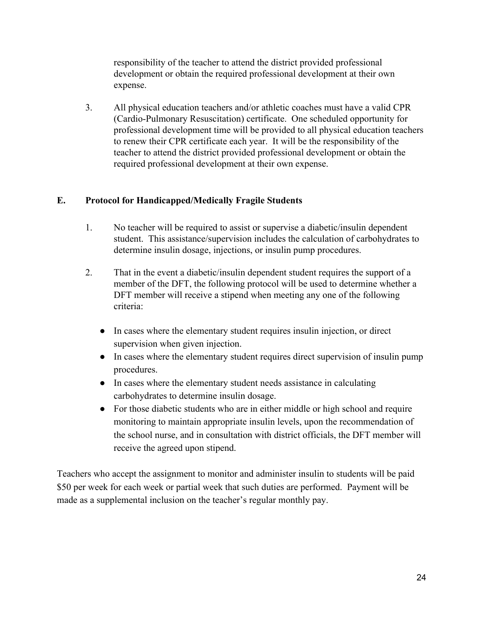responsibility of the teacher to attend the district provided professional development or obtain the required professional development at their own expense.

3. All physical education teachers and/or athletic coaches must have a valid CPR (Cardio-Pulmonary Resuscitation) certificate. One scheduled opportunity for professional development time will be provided to all physical education teachers to renew their CPR certificate each year. It will be the responsibility of the teacher to attend the district provided professional development or obtain the required professional development at their own expense.

### <span id="page-23-0"></span>**E. Protocol for Handicapped/Medically Fragile Students**

- 1. No teacher will be required to assist or supervise a diabetic/insulin dependent student. This assistance/supervision includes the calculation of carbohydrates to determine insulin dosage, injections, or insulin pump procedures.
- 2. That in the event a diabetic/insulin dependent student requires the support of a member of the DFT, the following protocol will be used to determine whether a DFT member will receive a stipend when meeting any one of the following criteria:
	- In cases where the elementary student requires insulin injection, or direct supervision when given injection.
	- In cases where the elementary student requires direct supervision of insulin pump procedures.
	- In cases where the elementary student needs assistance in calculating carbohydrates to determine insulin dosage.
	- For those diabetic students who are in either middle or high school and require monitoring to maintain appropriate insulin levels, upon the recommendation of the school nurse, and in consultation with district officials, the DFT member will receive the agreed upon stipend.

Teachers who accept the assignment to monitor and administer insulin to students will be paid \$50 per week for each week or partial week that such duties are performed. Payment will be made as a supplemental inclusion on the teacher's regular monthly pay.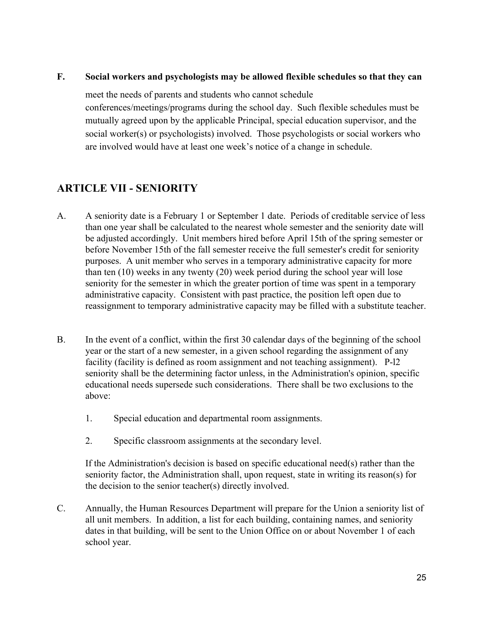#### <span id="page-24-0"></span>**F. Social workers and psychologists may be allowed flexible schedules so that they can**

meet the needs of parents and students who cannot schedule conferences/meetings/programs during the school day. Such flexible schedules must be mutually agreed upon by the applicable Principal, special education supervisor, and the social worker(s) or psychologists) involved. Those psychologists or social workers who are involved would have at least one week's notice of a change in schedule.

# <span id="page-24-1"></span>**ARTICLE VII - SENIORITY**

- A. A seniority date is a February 1 or September 1 date. Periods of creditable service of less than one year shall be calculated to the nearest whole semester and the seniority date will be adjusted accordingly. Unit members hired before April 15th of the spring semester or before November 15th of the fall semester receive the full semester's credit for seniority purposes. A unit member who serves in a temporary administrative capacity for more than ten (10) weeks in any twenty (20) week period during the school year will lose seniority for the semester in which the greater portion of time was spent in a temporary administrative capacity. Consistent with past practice, the position left open due to reassignment to temporary administrative capacity may be filled with a substitute teacher.
- B. In the event of a conflict, within the first 30 calendar days of the beginning of the school year or the start of a new semester, in a given school regarding the assignment of any facility (facility is defined as room assignment and not teaching assignment). P-l2 seniority shall be the determining factor unless, in the Administration's opinion, specific educational needs supersede such considerations. There shall be two exclusions to the above:
	- 1. Special education and departmental room assignments.
	- 2. Specific classroom assignments at the secondary level.

If the Administration's decision is based on specific educational need(s) rather than the seniority factor, the Administration shall, upon request, state in writing its reason(s) for the decision to the senior teacher(s) directly involved.

C. Annually, the Human Resources Department will prepare for the Union a seniority list of all unit members. In addition, a list for each building, containing names, and seniority dates in that building, will be sent to the Union Office on or about November 1 of each school year.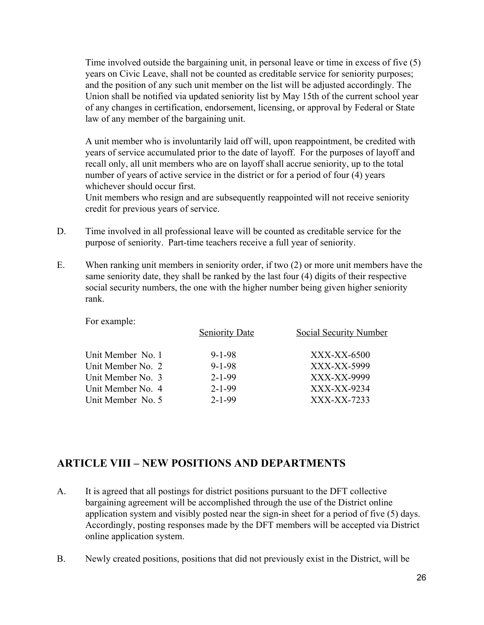Time involved outside the bargaining unit, in personal leave or time in excess of five (5) years on Civic Leave, shall not be counted as creditable service for seniority purposes; and the position of any such unit member on the list will be adjusted accordingly. The Union shall be notified via updated seniority list by May 15th of the current school year of any changes in certification, endorsement, licensing, or approval by Federal or State law of any member of the bargaining unit.

A unit member who is involuntarily laid off will, upon reappointment, be credited with years of service accumulated prior to the date of layoff. For the purposes of layoff and recall only, all unit members who are on layoff shall accrue seniority, up to the total number of years of active service in the district or for a period of four (4) years whichever should occur first.

Unit members who resign and are subsequently reappointed will not receive seniority credit for previous years of service.

- D. Time involved in all professional leave will be counted as creditable service for the purpose of seniority. Part-time teachers receive a full year of seniority.
- E. When ranking unit members in seniority order, if two (2) or more unit members have the same seniority date, they shall be ranked by the last four (4) digits of their respective social security numbers, the one with the higher number being given higher seniority rank.

For example:

|                   | <b>Seniority Date</b> | <b>Social Security Number</b> |
|-------------------|-----------------------|-------------------------------|
| Unit Member No. 1 | $9 - 1 - 98$          | XXX-XX-6500                   |
| Unit Member No. 2 | $9 - 1 - 98$          | XXX-XX-5999                   |
| Unit Member No. 3 | $2 - 1 - 99$          | XXX-XX-9999                   |
| Unit Member No. 4 | $2 - 1 - 99$          | XXX-XX-9234                   |
| Unit Member No. 5 | $2 - 1 - 99$          | XXX-XX-7233                   |
|                   |                       |                               |

### <span id="page-25-0"></span>**ARTICLE VIII – NEW POSITIONS AND DEPARTMENTS**

- A. It is agreed that all postings for district positions pursuant to the DFT collective bargaining agreement will be accomplished through the use of the District online application system and visibly posted near the sign-in sheet for a period of five (5) days. Accordingly, posting responses made by the DFT members will be accepted via District online application system.
- B. Newly created positions, positions that did not previously exist in the District, will be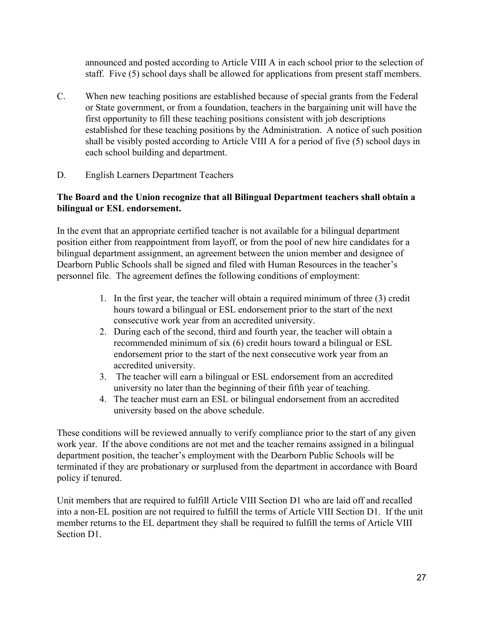announced and posted according to Article VIII A in each school prior to the selection of staff. Five (5) school days shall be allowed for applications from present staff members.

- C. When new teaching positions are established because of special grants from the Federal or State government, or from a foundation, teachers in the bargaining unit will have the first opportunity to fill these teaching positions consistent with job descriptions established for these teaching positions by the Administration. A notice of such position shall be visibly posted according to Article VIII A for a period of five (5) school days in each school building and department.
- D. English Learners Department Teachers

### **The Board and the Union recognize that all Bilingual Department teachers shall obtain a bilingual or ESL endorsement.**

In the event that an appropriate certified teacher is not available for a bilingual department position either from reappointment from layoff, or from the pool of new hire candidates for a bilingual department assignment, an agreement between the union member and designee of Dearborn Public Schools shall be signed and filed with Human Resources in the teacher's personnel file. The agreement defines the following conditions of employment:

- 1. In the first year, the teacher will obtain a required minimum of three (3) credit hours toward a bilingual or ESL endorsement prior to the start of the next consecutive work year from an accredited university.
- 2. During each of the second, third and fourth year, the teacher will obtain a recommended minimum of six (6) credit hours toward a bilingual or ESL endorsement prior to the start of the next consecutive work year from an accredited university.
- 3. The teacher will earn a bilingual or ESL endorsement from an accredited university no later than the beginning of their fifth year of teaching.
- 4. The teacher must earn an ESL or bilingual endorsement from an accredited university based on the above schedule.

These conditions will be reviewed annually to verify compliance prior to the start of any given work year. If the above conditions are not met and the teacher remains assigned in a bilingual department position, the teacher's employment with the Dearborn Public Schools will be terminated if they are probationary or surplused from the department in accordance with Board policy if tenured.

Unit members that are required to fulfill Article VIII Section D1 who are laid off and recalled into a non-EL position are not required to fulfill the terms of Article VIII Section D1. If the unit member returns to the EL department they shall be required to fulfill the terms of Article VIII Section D1.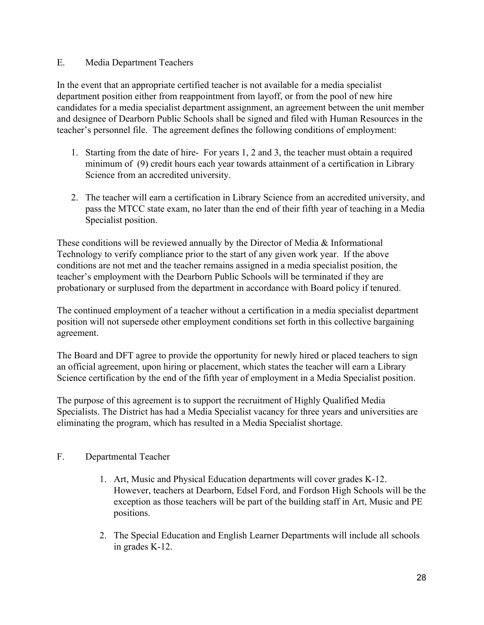#### E. Media Department Teachers

In the event that an appropriate certified teacher is not available for a media specialist department position either from reappointment from layoff, or from the pool of new hire candidates for a media specialist department assignment, an agreement between the unit member and designee of Dearborn Public Schools shall be signed and filed with Human Resources in the teacher's personnel file. The agreement defines the following conditions of employment:

- 1. Starting from the date of hire- For years 1, 2 and 3, the teacher must obtain a required minimum of (9) credit hours each year towards attainment of a certification in Library Science from an accredited university.
- 2. The teacher will earn a certification in Library Science from an accredited university, and pass the MTCC state exam, no later than the end of their fifth year of teaching in a Media Specialist position.

These conditions will be reviewed annually by the Director of Media & Informational Technology to verify compliance prior to the start of any given work year. If the above conditions are not met and the teacher remains assigned in a media specialist position, the teacher's employment with the Dearborn Public Schools will be terminated if they are probationary or surplused from the department in accordance with Board policy if tenured.

The continued employment of a teacher without a certification in a media specialist department position will not supersede other employment conditions set forth in this collective bargaining agreement.

The Board and DFT agree to provide the opportunity for newly hired or placed teachers to sign an official agreement, upon hiring or placement, which states the teacher will earn a Library Science certification by the end of the fifth year of employment in a Media Specialist position.

The purpose of this agreement is to support the recruitment of Highly Qualified Media Specialists. The District has had a Media Specialist vacancy for three years and universities are eliminating the program, which has resulted in a Media Specialist shortage.

### F. Departmental Teacher

- 1. Art, Music and Physical Education departments will cover grades K-12. However, teachers at Dearborn, Edsel Ford, and Fordson High Schools will be the exception as those teachers will be part of the building staff in Art, Music and PE positions.
- 2. The Special Education and English Learner Departments will include all schools in grades K-12.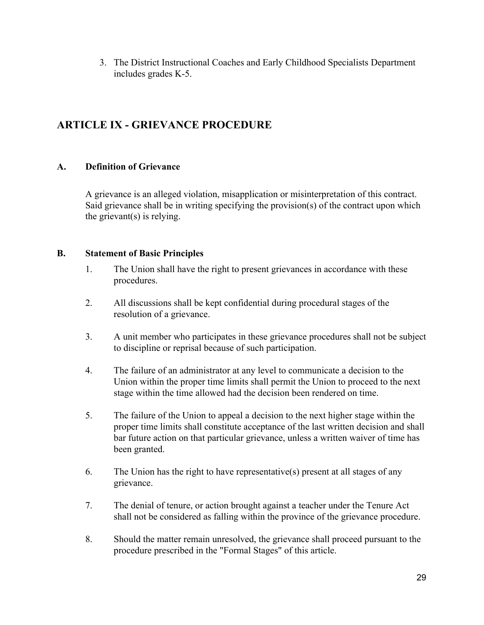3. The District Instructional Coaches and Early Childhood Specialists Department includes grades K-5.

# <span id="page-28-0"></span>**ARTICLE IX - GRIEVANCE PROCEDURE**

### <span id="page-28-1"></span>**A. Definition of Grievance**

A grievance is an alleged violation, misapplication or misinterpretation of this contract. Said grievance shall be in writing specifying the provision(s) of the contract upon which the grievant(s) is relying.

### <span id="page-28-2"></span>**B. Statement of Basic Principles**

- 1. The Union shall have the right to present grievances in accordance with these procedures.
- 2. All discussions shall be kept confidential during procedural stages of the resolution of a grievance.
- 3. A unit member who participates in these grievance procedures shall not be subject to discipline or reprisal because of such participation.
- 4. The failure of an administrator at any level to communicate a decision to the Union within the proper time limits shall permit the Union to proceed to the next stage within the time allowed had the decision been rendered on time.
- 5. The failure of the Union to appeal a decision to the next higher stage within the proper time limits shall constitute acceptance of the last written decision and shall bar future action on that particular grievance, unless a written waiver of time has been granted.
- 6. The Union has the right to have representative(s) present at all stages of any grievance.
- 7. The denial of tenure, or action brought against a teacher under the Tenure Act shall not be considered as falling within the province of the grievance procedure.
- 8. Should the matter remain unresolved, the grievance shall proceed pursuant to the procedure prescribed in the "Formal Stages" of this article.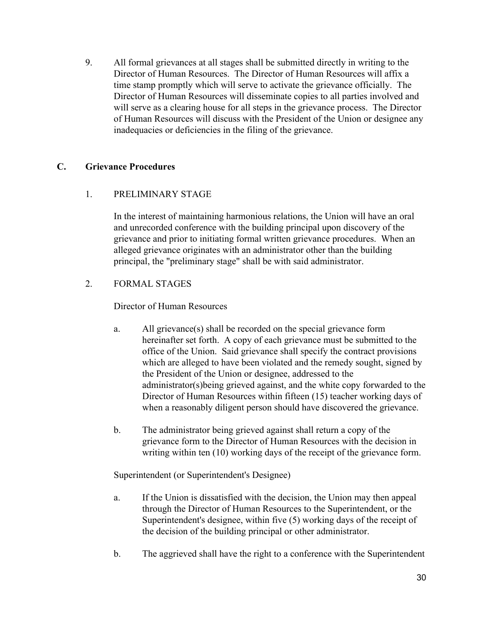9. All formal grievances at all stages shall be submitted directly in writing to the Director of Human Resources. The Director of Human Resources will affix a time stamp promptly which will serve to activate the grievance officially. The Director of Human Resources will disseminate copies to all parties involved and will serve as a clearing house for all steps in the grievance process. The Director of Human Resources will discuss with the President of the Union or designee any inadequacies or deficiencies in the filing of the grievance.

### <span id="page-29-0"></span>**C. Grievance Procedures**

### 1. PRELIMINARY STAGE

In the interest of maintaining harmonious relations, the Union will have an oral and unrecorded conference with the building principal upon discovery of the grievance and prior to initiating formal written grievance procedures. When an alleged grievance originates with an administrator other than the building principal, the "preliminary stage" shall be with said administrator.

### 2. FORMAL STAGES

Director of Human Resources

- a. All grievance(s) shall be recorded on the special grievance form hereinafter set forth. A copy of each grievance must be submitted to the office of the Union. Said grievance shall specify the contract provisions which are alleged to have been violated and the remedy sought, signed by the President of the Union or designee, addressed to the administrator(s)being grieved against, and the white copy forwarded to the Director of Human Resources within fifteen (15) teacher working days of when a reasonably diligent person should have discovered the grievance.
- b. The administrator being grieved against shall return a copy of the grievance form to the Director of Human Resources with the decision in writing within ten (10) working days of the receipt of the grievance form.

Superintendent (or Superintendent's Designee)

- a. If the Union is dissatisfied with the decision, the Union may then appeal through the Director of Human Resources to the Superintendent, or the Superintendent's designee, within five (5) working days of the receipt of the decision of the building principal or other administrator.
- b. The aggrieved shall have the right to a conference with the Superintendent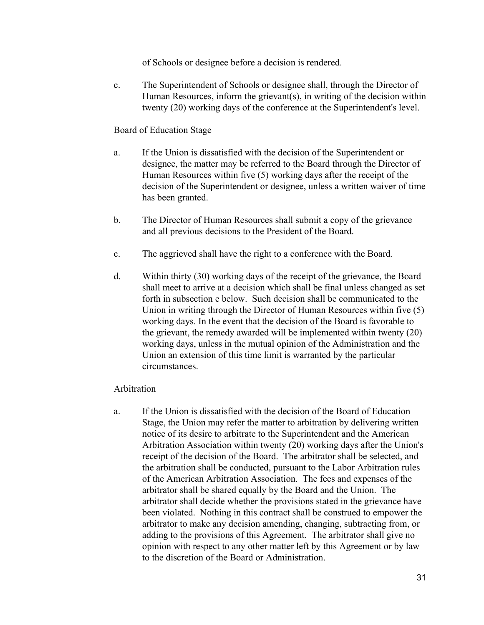of Schools or designee before a decision is rendered.

c. The Superintendent of Schools or designee shall, through the Director of Human Resources, inform the grievant(s), in writing of the decision within twenty (20) working days of the conference at the Superintendent's level.

#### Board of Education Stage

- a. If the Union is dissatisfied with the decision of the Superintendent or designee, the matter may be referred to the Board through the Director of Human Resources within five (5) working days after the receipt of the decision of the Superintendent or designee, unless a written waiver of time has been granted.
- b. The Director of Human Resources shall submit a copy of the grievance and all previous decisions to the President of the Board.
- c. The aggrieved shall have the right to a conference with the Board.
- d. Within thirty (30) working days of the receipt of the grievance, the Board shall meet to arrive at a decision which shall be final unless changed as set forth in subsection e below. Such decision shall be communicated to the Union in writing through the Director of Human Resources within five (5) working days. In the event that the decision of the Board is favorable to the grievant, the remedy awarded will be implemented within twenty (20) working days, unless in the mutual opinion of the Administration and the Union an extension of this time limit is warranted by the particular circumstances.

#### Arbitration

a. If the Union is dissatisfied with the decision of the Board of Education Stage, the Union may refer the matter to arbitration by delivering written notice of its desire to arbitrate to the Superintendent and the American Arbitration Association within twenty (20) working days after the Union's receipt of the decision of the Board. The arbitrator shall be selected, and the arbitration shall be conducted, pursuant to the Labor Arbitration rules of the American Arbitration Association. The fees and expenses of the arbitrator shall be shared equally by the Board and the Union. The arbitrator shall decide whether the provisions stated in the grievance have been violated. Nothing in this contract shall be construed to empower the arbitrator to make any decision amending, changing, subtracting from, or adding to the provisions of this Agreement. The arbitrator shall give no opinion with respect to any other matter left by this Agreement or by law to the discretion of the Board or Administration.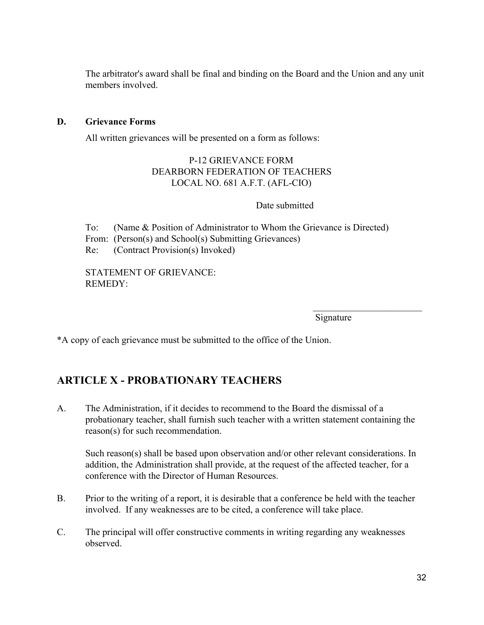The arbitrator's award shall be final and binding on the Board and the Union and any unit members involved.

#### <span id="page-31-0"></span>**D. Grievance Forms**

All written grievances will be presented on a form as follows:

#### P-12 GRIEVANCE FORM DEARBORN FEDERATION OF TEACHERS LOCAL NO. 681 A.F.T. (AFL-CIO)

#### Date submitted

To: (Name & Position of Administrator to Whom the Grievance is Directed) From: (Person(s) and School(s) Submitting Grievances) Re: (Contract Provision(s) Invoked)

STATEMENT OF GRIEVANCE: REMEDY:

Signature

 $\mathcal{L}_\text{max}$  , where  $\mathcal{L}_\text{max}$  , we have the set of  $\mathcal{L}_\text{max}$ 

\*A copy of each grievance must be submitted to the office of the Union.

### <span id="page-31-1"></span>**ARTICLE X - PROBATIONARY TEACHERS**

A. The Administration, if it decides to recommend to the Board the dismissal of a probationary teacher, shall furnish such teacher with a written statement containing the reason(s) for such recommendation.

Such reason(s) shall be based upon observation and/or other relevant considerations. In addition, the Administration shall provide, at the request of the affected teacher, for a conference with the Director of Human Resources.

- B. Prior to the writing of a report, it is desirable that a conference be held with the teacher involved. If any weaknesses are to be cited, a conference will take place.
- C. The principal will offer constructive comments in writing regarding any weaknesses observed.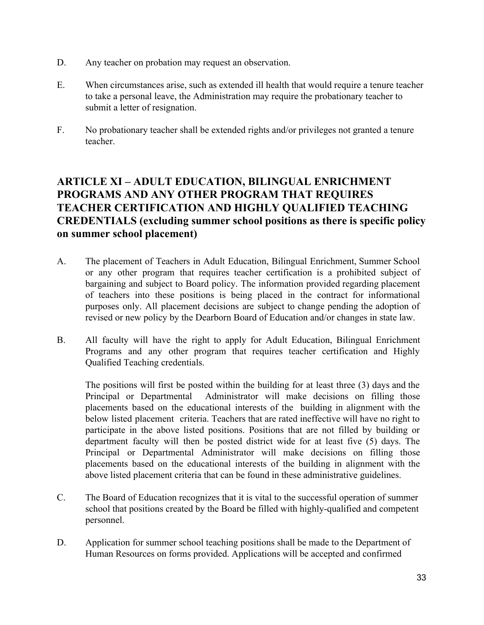- D. Any teacher on probation may request an observation.
- E. When circumstances arise, such as extended ill health that would require a tenure teacher to take a personal leave, the Administration may require the probationary teacher to submit a letter of resignation.
- F. No probationary teacher shall be extended rights and/or privileges not granted a tenure teacher.

### <span id="page-32-0"></span>**ARTICLE XI – ADULT EDUCATION, BILINGUAL ENRICHMENT PROGRAMS AND ANY OTHER PROGRAM THAT REQUIRES TEACHER CERTIFICATION AND HIGHLY QUALIFIED TEACHING CREDENTIALS (excluding summer school positions as there is specific policy on summer school placement)**

- A. The placement of Teachers in Adult Education, Bilingual Enrichment, Summer School or any other program that requires teacher certification is a prohibited subject of bargaining and subject to Board policy. The information provided regarding placement of teachers into these positions is being placed in the contract for informational purposes only. All placement decisions are subject to change pending the adoption of revised or new policy by the Dearborn Board of Education and/or changes in state law.
- B. All faculty will have the right to apply for Adult Education, Bilingual Enrichment Programs and any other program that requires teacher certification and Highly Qualified Teaching credentials.

The positions will first be posted within the building for at least three (3) days and the Principal or Departmental Administrator will make decisions on filling those placements based on the educational interests of the building in alignment with the below listed placement criteria. Teachers that are rated ineffective will have no right to participate in the above listed positions. Positions that are not filled by building or department faculty will then be posted district wide for at least five (5) days. The Principal or Departmental Administrator will make decisions on filling those placements based on the educational interests of the building in alignment with the above listed placement criteria that can be found in these administrative guidelines.

- C. The Board of Education recognizes that it is vital to the successful operation of summer school that positions created by the Board be filled with highly-qualified and competent personnel.
- D. Application for summer school teaching positions shall be made to the Department of Human Resources on forms provided. Applications will be accepted and confirmed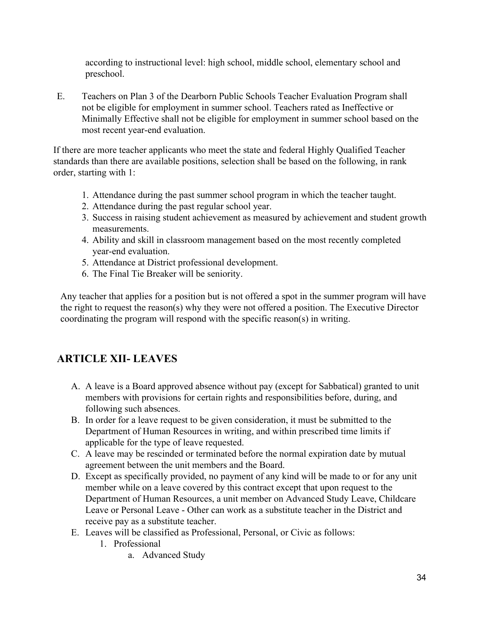according to instructional level: high school, middle school, elementary school and preschool.

E. Teachers on Plan 3 of the Dearborn Public Schools Teacher Evaluation Program shall not be eligible for employment in summer school. Teachers rated as Ineffective or Minimally Effective shall not be eligible for employment in summer school based on the most recent year-end evaluation.

If there are more teacher applicants who meet the state and federal Highly Qualified Teacher standards than there are available positions, selection shall be based on the following, in rank order, starting with 1:

- 1. Attendance during the past summer school program in which the teacher taught.
- 2. Attendance during the past regular school year.
- 3. Success in raising student achievement as measured by achievement and student growth measurements.
- 4. Ability and skill in classroom management based on the most recently completed year-end evaluation.
- 5. Attendance at District professional development.
- 6. The Final Tie Breaker will be seniority.

Any teacher that applies for a position but is not offered a spot in the summer program will have the right to request the reason(s) why they were not offered a position. The Executive Director coordinating the program will respond with the specific reason(s) in writing.

# <span id="page-33-0"></span>**ARTICLE XII- LEAVES**

- A. A leave is a Board approved absence without pay (except for Sabbatical) granted to unit members with provisions for certain rights and responsibilities before, during, and following such absences.
- B. In order for a leave request to be given consideration, it must be submitted to the Department of Human Resources in writing, and within prescribed time limits if applicable for the type of leave requested.
- C. A leave may be rescinded or terminated before the normal expiration date by mutual agreement between the unit members and the Board.
- D. Except as specifically provided, no payment of any kind will be made to or for any unit member while on a leave covered by this contract except that upon request to the Department of Human Resources, a unit member on Advanced Study Leave, Childcare Leave or Personal Leave - Other can work as a substitute teacher in the District and receive pay as a substitute teacher.
- E. Leaves will be classified as Professional, Personal, or Civic as follows:
	- 1. Professional
		- a. Advanced Study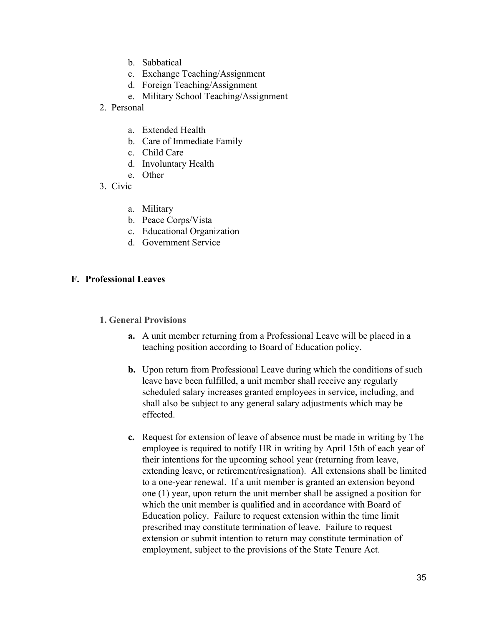- b. Sabbatical
- c. Exchange Teaching/Assignment
- d. Foreign Teaching/Assignment
- e. Military School Teaching/Assignment
- 2. Personal
	- a. Extended Health
	- b. Care of Immediate Family
	- c. Child Care
	- d. Involuntary Health
	- e. Other
- 3. Civic
	- a. Military
	- b. Peace Corps/Vista
	- c. Educational Organization
	- d. Government Service

#### <span id="page-34-1"></span><span id="page-34-0"></span>**F. Professional Leaves**

#### **1. General Provisions**

- **a.** A unit member returning from a Professional Leave will be placed in a teaching position according to Board of Education policy.
- **b.** Upon return from Professional Leave during which the conditions of such leave have been fulfilled, a unit member shall receive any regularly scheduled salary increases granted employees in service, including, and shall also be subject to any general salary adjustments which may be effected.
- **c.** Request for extension of leave of absence must be made in writing by The employee is required to notify HR in writing by April 15th of each year of their intentions for the upcoming school year (returning from leave, extending leave, or retirement/resignation). All extensions shall be limited to a one-year renewal. If a unit member is granted an extension beyond one (1) year, upon return the unit member shall be assigned a position for which the unit member is qualified and in accordance with Board of Education policy. Failure to request extension within the time limit prescribed may constitute termination of leave. Failure to request extension or submit intention to return may constitute termination of employment, subject to the provisions of the State Tenure Act.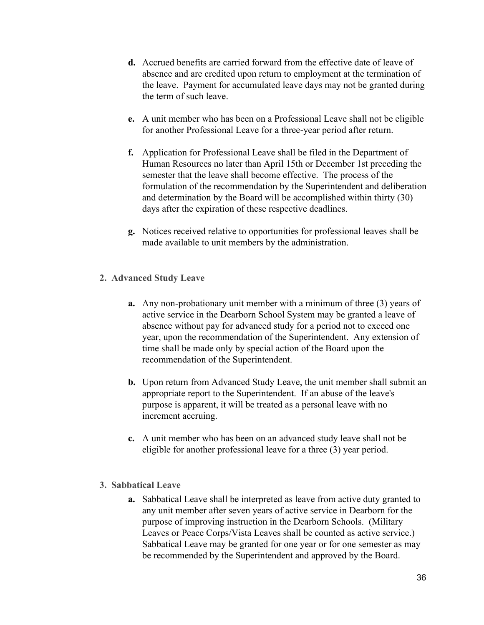- **d.** Accrued benefits are carried forward from the effective date of leave of absence and are credited upon return to employment at the termination of the leave. Payment for accumulated leave days may not be granted during the term of such leave.
- **e.** A unit member who has been on a Professional Leave shall not be eligible for another Professional Leave for a three-year period after return.
- **f.** Application for Professional Leave shall be filed in the Department of Human Resources no later than April 15th or December 1st preceding the semester that the leave shall become effective. The process of the formulation of the recommendation by the Superintendent and deliberation and determination by the Board will be accomplished within thirty (30) days after the expiration of these respective deadlines.
- **g.** Notices received relative to opportunities for professional leaves shall be made available to unit members by the administration.
- <span id="page-35-0"></span>**2. Advanced Study Leave**
	- **a.** Any non-probationary unit member with a minimum of three (3) years of active service in the Dearborn School System may be granted a leave of absence without pay for advanced study for a period not to exceed one year, upon the recommendation of the Superintendent. Any extension of time shall be made only by special action of the Board upon the recommendation of the Superintendent.
	- **b.** Upon return from Advanced Study Leave, the unit member shall submit an appropriate report to the Superintendent. If an abuse of the leave's purpose is apparent, it will be treated as a personal leave with no increment accruing.
	- **c.** A unit member who has been on an advanced study leave shall not be eligible for another professional leave for a three (3) year period.
- <span id="page-35-1"></span>**3. Sabbatical Leave**
	- **a.** Sabbatical Leave shall be interpreted as leave from active duty granted to any unit member after seven years of active service in Dearborn for the purpose of improving instruction in the Dearborn Schools. (Military Leaves or Peace Corps/Vista Leaves shall be counted as active service.) Sabbatical Leave may be granted for one year or for one semester as may be recommended by the Superintendent and approved by the Board.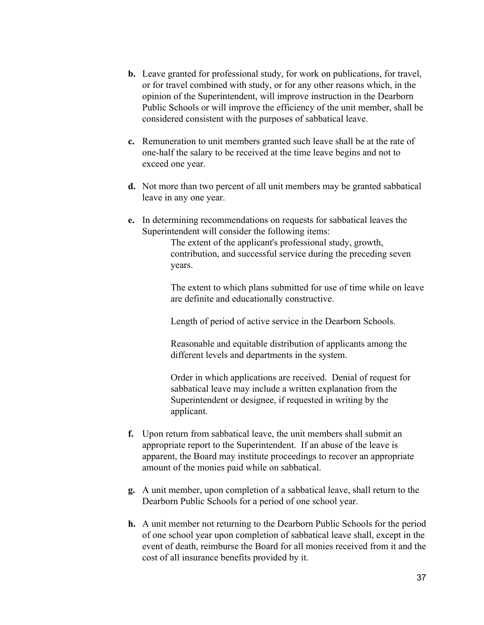- **b.** Leave granted for professional study, for work on publications, for travel, or for travel combined with study, or for any other reasons which, in the opinion of the Superintendent, will improve instruction in the Dearborn Public Schools or will improve the efficiency of the unit member, shall be considered consistent with the purposes of sabbatical leave.
- **c.** Remuneration to unit members granted such leave shall be at the rate of one-half the salary to be received at the time leave begins and not to exceed one year.
- **d.** Not more than two percent of all unit members may be granted sabbatical leave in any one year.
- **e.** In determining recommendations on requests for sabbatical leaves the Superintendent will consider the following items:

The extent of the applicant's professional study, growth, contribution, and successful service during the preceding seven years.

The extent to which plans submitted for use of time while on leave are definite and educationally constructive.

Length of period of active service in the Dearborn Schools.

Reasonable and equitable distribution of applicants among the different levels and departments in the system.

Order in which applications are received. Denial of request for sabbatical leave may include a written explanation from the Superintendent or designee, if requested in writing by the applicant.

- **f.** Upon return from sabbatical leave, the unit members shall submit an appropriate report to the Superintendent. If an abuse of the leave is apparent, the Board may institute proceedings to recover an appropriate amount of the monies paid while on sabbatical.
- **g.** A unit member, upon completion of a sabbatical leave, shall return to the Dearborn Public Schools for a period of one school year.
- **h.** A unit member not returning to the Dearborn Public Schools for the period of one school year upon completion of sabbatical leave shall, except in the event of death, reimburse the Board for all monies received from it and the cost of all insurance benefits provided by it.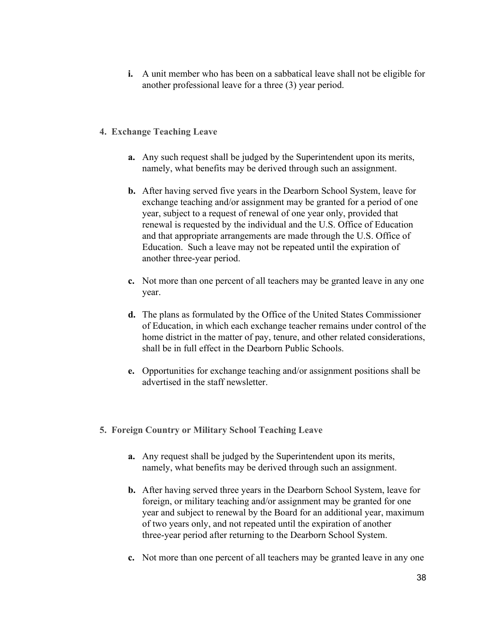- **i.** A unit member who has been on a sabbatical leave shall not be eligible for another professional leave for a three (3) year period.
- **4. Exchange Teaching Leave**
	- **a.** Any such request shall be judged by the Superintendent upon its merits, namely, what benefits may be derived through such an assignment.
	- **b.** After having served five years in the Dearborn School System, leave for exchange teaching and/or assignment may be granted for a period of one year, subject to a request of renewal of one year only, provided that renewal is requested by the individual and the U.S. Office of Education and that appropriate arrangements are made through the U.S. Office of Education. Such a leave may not be repeated until the expiration of another three-year period.
	- **c.** Not more than one percent of all teachers may be granted leave in any one year.
	- **d.** The plans as formulated by the Office of the United States Commissioner of Education, in which each exchange teacher remains under control of the home district in the matter of pay, tenure, and other related considerations, shall be in full effect in the Dearborn Public Schools.
	- **e.** Opportunities for exchange teaching and/or assignment positions shall be advertised in the staff newsletter.
- **5. Foreign Country or Military School Teaching Leave**
	- **a.** Any request shall be judged by the Superintendent upon its merits, namely, what benefits may be derived through such an assignment.
	- **b.** After having served three years in the Dearborn School System, leave for foreign, or military teaching and/or assignment may be granted for one year and subject to renewal by the Board for an additional year, maximum of two years only, and not repeated until the expiration of another three-year period after returning to the Dearborn School System.
	- **c.** Not more than one percent of all teachers may be granted leave in any one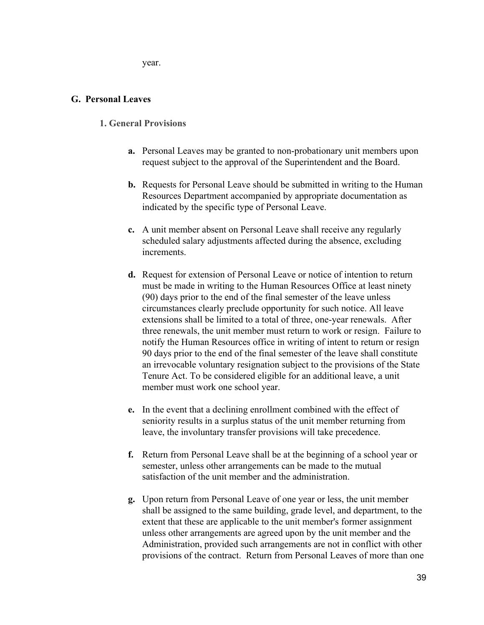year.

#### **G. Personal Leaves**

#### **1. General Provisions**

- **a.** Personal Leaves may be granted to non-probationary unit members upon request subject to the approval of the Superintendent and the Board.
- **b.** Requests for Personal Leave should be submitted in writing to the Human Resources Department accompanied by appropriate documentation as indicated by the specific type of Personal Leave.
- **c.** A unit member absent on Personal Leave shall receive any regularly scheduled salary adjustments affected during the absence, excluding increments.
- **d.** Request for extension of Personal Leave or notice of intention to return must be made in writing to the Human Resources Office at least ninety (90) days prior to the end of the final semester of the leave unless circumstances clearly preclude opportunity for such notice. All leave extensions shall be limited to a total of three, one-year renewals. After three renewals, the unit member must return to work or resign. Failure to notify the Human Resources office in writing of intent to return or resign 90 days prior to the end of the final semester of the leave shall constitute an irrevocable voluntary resignation subject to the provisions of the State Tenure Act. To be considered eligible for an additional leave, a unit member must work one school year.
- **e.** In the event that a declining enrollment combined with the effect of seniority results in a surplus status of the unit member returning from leave, the involuntary transfer provisions will take precedence.
- **f.** Return from Personal Leave shall be at the beginning of a school year or semester, unless other arrangements can be made to the mutual satisfaction of the unit member and the administration.
- **g.** Upon return from Personal Leave of one year or less, the unit member shall be assigned to the same building, grade level, and department, to the extent that these are applicable to the unit member's former assignment unless other arrangements are agreed upon by the unit member and the Administration, provided such arrangements are not in conflict with other provisions of the contract. Return from Personal Leaves of more than one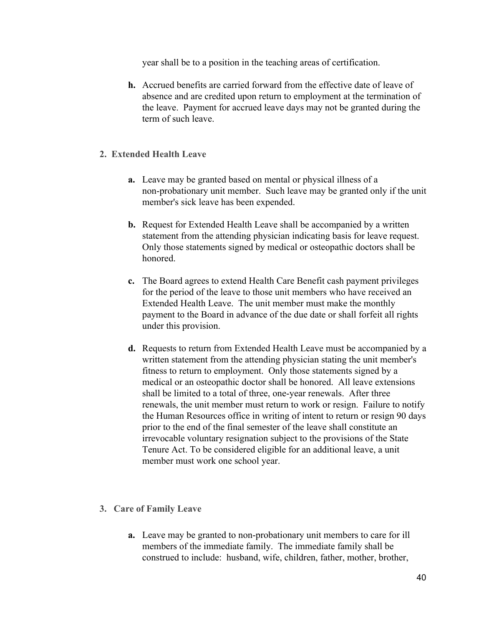year shall be to a position in the teaching areas of certification.

- **h.** Accrued benefits are carried forward from the effective date of leave of absence and are credited upon return to employment at the termination of the leave. Payment for accrued leave days may not be granted during the term of such leave.
- **2. Extended Health Leave**
	- **a.** Leave may be granted based on mental or physical illness of a non-probationary unit member. Such leave may be granted only if the unit member's sick leave has been expended.
	- **b.** Request for Extended Health Leave shall be accompanied by a written statement from the attending physician indicating basis for leave request. Only those statements signed by medical or osteopathic doctors shall be honored.
	- **c.** The Board agrees to extend Health Care Benefit cash payment privileges for the period of the leave to those unit members who have received an Extended Health Leave. The unit member must make the monthly payment to the Board in advance of the due date or shall forfeit all rights under this provision.
	- **d.** Requests to return from Extended Health Leave must be accompanied by a written statement from the attending physician stating the unit member's fitness to return to employment. Only those statements signed by a medical or an osteopathic doctor shall be honored. All leave extensions shall be limited to a total of three, one-year renewals. After three renewals, the unit member must return to work or resign. Failure to notify the Human Resources office in writing of intent to return or resign 90 days prior to the end of the final semester of the leave shall constitute an irrevocable voluntary resignation subject to the provisions of the State Tenure Act. To be considered eligible for an additional leave, a unit member must work one school year.
- **3. Care of Family Leave**
	- **a.** Leave may be granted to non-probationary unit members to care for ill members of the immediate family. The immediate family shall be construed to include: husband, wife, children, father, mother, brother,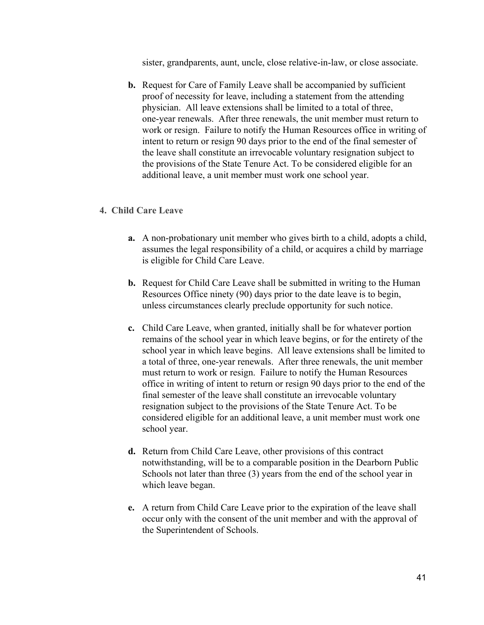sister, grandparents, aunt, uncle, close relative-in-law, or close associate.

**b.** Request for Care of Family Leave shall be accompanied by sufficient proof of necessity for leave, including a statement from the attending physician. All leave extensions shall be limited to a total of three, one-year renewals. After three renewals, the unit member must return to work or resign. Failure to notify the Human Resources office in writing of intent to return or resign 90 days prior to the end of the final semester of the leave shall constitute an irrevocable voluntary resignation subject to the provisions of the State Tenure Act. To be considered eligible for an additional leave, a unit member must work one school year.

#### **4. Child Care Leave**

- **a.** A non-probationary unit member who gives birth to a child, adopts a child, assumes the legal responsibility of a child, or acquires a child by marriage is eligible for Child Care Leave.
- **b.** Request for Child Care Leave shall be submitted in writing to the Human Resources Office ninety (90) days prior to the date leave is to begin, unless circumstances clearly preclude opportunity for such notice.
- **c.** Child Care Leave, when granted, initially shall be for whatever portion remains of the school year in which leave begins, or for the entirety of the school year in which leave begins. All leave extensions shall be limited to a total of three, one-year renewals. After three renewals, the unit member must return to work or resign. Failure to notify the Human Resources office in writing of intent to return or resign 90 days prior to the end of the final semester of the leave shall constitute an irrevocable voluntary resignation subject to the provisions of the State Tenure Act. To be considered eligible for an additional leave, a unit member must work one school year.
- **d.** Return from Child Care Leave, other provisions of this contract notwithstanding, will be to a comparable position in the Dearborn Public Schools not later than three (3) years from the end of the school year in which leave began.
- **e.** A return from Child Care Leave prior to the expiration of the leave shall occur only with the consent of the unit member and with the approval of the Superintendent of Schools.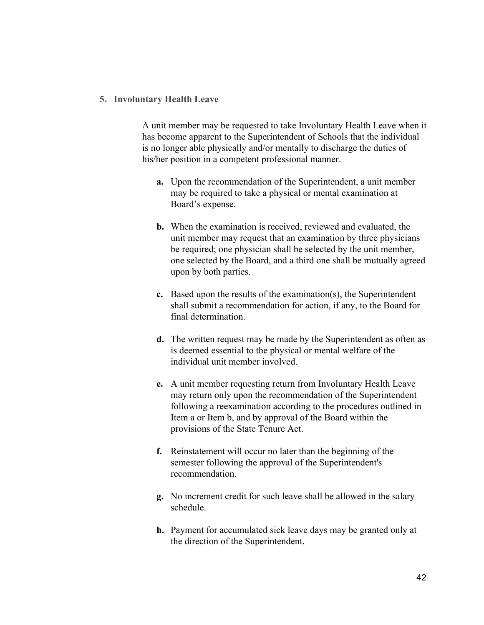#### **5. Involuntary Health Leave**

A unit member may be requested to take Involuntary Health Leave when it has become apparent to the Superintendent of Schools that the individual is no longer able physically and/or mentally to discharge the duties of his/her position in a competent professional manner.

- **a.** Upon the recommendation of the Superintendent, a unit member may be required to take a physical or mental examination at Board's expense.
- **b.** When the examination is received, reviewed and evaluated, the unit member may request that an examination by three physicians be required; one physician shall be selected by the unit member, one selected by the Board, and a third one shall be mutually agreed upon by both parties.
- **c.** Based upon the results of the examination(s), the Superintendent shall submit a recommendation for action, if any, to the Board for final determination.
- **d.** The written request may be made by the Superintendent as often as is deemed essential to the physical or mental welfare of the individual unit member involved.
- **e.** A unit member requesting return from Involuntary Health Leave may return only upon the recommendation of the Superintendent following a reexamination according to the procedures outlined in Item a or Item b, and by approval of the Board within the provisions of the State Tenure Act.
- **f.** Reinstatement will occur no later than the beginning of the semester following the approval of the Superintendent's recommendation.
- **g.** No increment credit for such leave shall be allowed in the salary schedule.
- **h.** Payment for accumulated sick leave days may be granted only at the direction of the Superintendent.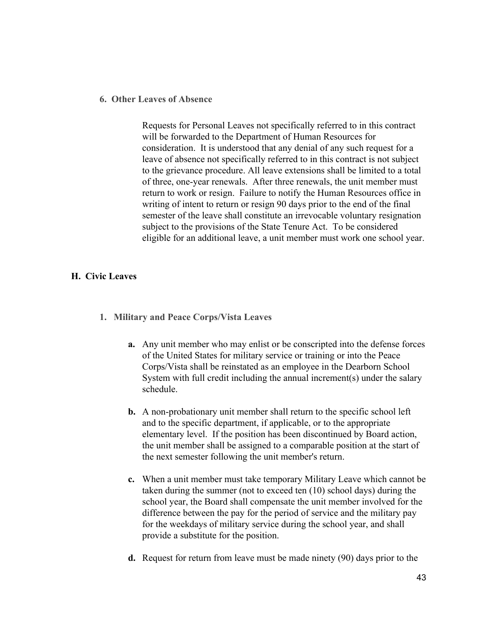#### **6. Other Leaves of Absence**

Requests for Personal Leaves not specifically referred to in this contract will be forwarded to the Department of Human Resources for consideration. It is understood that any denial of any such request for a leave of absence not specifically referred to in this contract is not subject to the grievance procedure. All leave extensions shall be limited to a total of three, one-year renewals. After three renewals, the unit member must return to work or resign. Failure to notify the Human Resources office in writing of intent to return or resign 90 days prior to the end of the final semester of the leave shall constitute an irrevocable voluntary resignation subject to the provisions of the State Tenure Act. To be considered eligible for an additional leave, a unit member must work one school year.

#### **H. Civic Leaves**

- **1. Military and Peace Corps/Vista Leaves**
	- **a.** Any unit member who may enlist or be conscripted into the defense forces of the United States for military service or training or into the Peace Corps/Vista shall be reinstated as an employee in the Dearborn School System with full credit including the annual increment(s) under the salary schedule.
	- **b.** A non-probationary unit member shall return to the specific school left and to the specific department, if applicable, or to the appropriate elementary level. If the position has been discontinued by Board action, the unit member shall be assigned to a comparable position at the start of the next semester following the unit member's return.
	- **c.** When a unit member must take temporary Military Leave which cannot be taken during the summer (not to exceed ten (10) school days) during the school year, the Board shall compensate the unit member involved for the difference between the pay for the period of service and the military pay for the weekdays of military service during the school year, and shall provide a substitute for the position.
	- **d.** Request for return from leave must be made ninety (90) days prior to the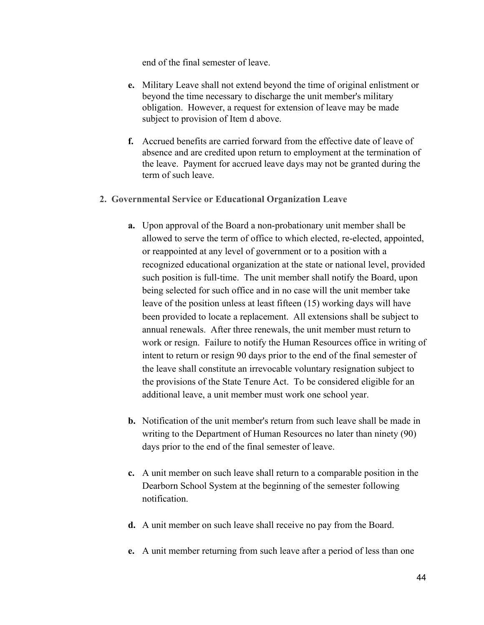end of the final semester of leave.

- **e.** Military Leave shall not extend beyond the time of original enlistment or beyond the time necessary to discharge the unit member's military obligation. However, a request for extension of leave may be made subject to provision of Item d above.
- **f.** Accrued benefits are carried forward from the effective date of leave of absence and are credited upon return to employment at the termination of the leave. Payment for accrued leave days may not be granted during the term of such leave.
- **2. Governmental Service or Educational Organization Leave**
	- **a.** Upon approval of the Board a non-probationary unit member shall be allowed to serve the term of office to which elected, re-elected, appointed, or reappointed at any level of government or to a position with a recognized educational organization at the state or national level, provided such position is full-time. The unit member shall notify the Board, upon being selected for such office and in no case will the unit member take leave of the position unless at least fifteen (15) working days will have been provided to locate a replacement. All extensions shall be subject to annual renewals. After three renewals, the unit member must return to work or resign. Failure to notify the Human Resources office in writing of intent to return or resign 90 days prior to the end of the final semester of the leave shall constitute an irrevocable voluntary resignation subject to the provisions of the State Tenure Act. To be considered eligible for an additional leave, a unit member must work one school year.
	- **b.** Notification of the unit member's return from such leave shall be made in writing to the Department of Human Resources no later than ninety (90) days prior to the end of the final semester of leave.
	- **c.** A unit member on such leave shall return to a comparable position in the Dearborn School System at the beginning of the semester following notification.
	- **d.** A unit member on such leave shall receive no pay from the Board.
	- **e.** A unit member returning from such leave after a period of less than one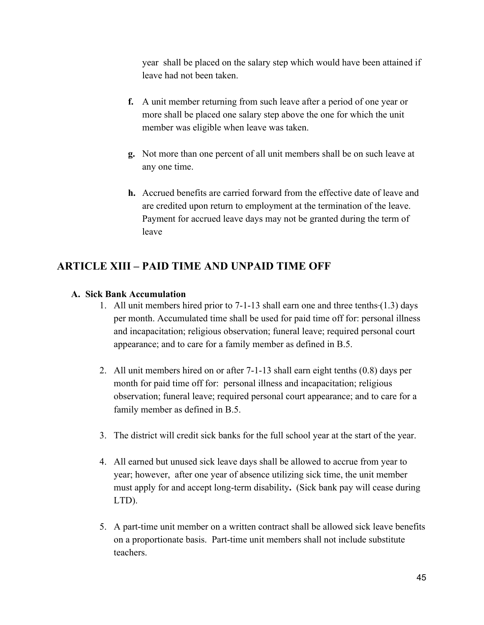year shall be placed on the salary step which would have been attained if leave had not been taken.

- **f.** A unit member returning from such leave after a period of one year or more shall be placed one salary step above the one for which the unit member was eligible when leave was taken.
- **g.** Not more than one percent of all unit members shall be on such leave at any one time.
- **h.** Accrued benefits are carried forward from the effective date of leave and are credited upon return to employment at the termination of the leave. Payment for accrued leave days may not be granted during the term of leave

### **ARTICLE XIII – PAID TIME AND UNPAID TIME OFF**

#### **A. Sick Bank Accumulation**

- 1. All unit members hired prior to 7-1-13 shall earn one and three tenths (1.3) days per month. Accumulated time shall be used for paid time off for: personal illness and incapacitation; religious observation; funeral leave; required personal court appearance; and to care for a family member as defined in B.5.
- 2. All unit members hired on or after 7-1-13 shall earn eight tenths (0.8) days per month for paid time off for: personal illness and incapacitation; religious observation; funeral leave; required personal court appearance; and to care for a family member as defined in B.5.
- 3. The district will credit sick banks for the full school year at the start of the year.
- 4. All earned but unused sick leave days shall be allowed to accrue from year to year; however, after one year of absence utilizing sick time, the unit member must apply for and accept long-term disability**.** (Sick bank pay will cease during LTD).
- 5. A part-time unit member on a written contract shall be allowed sick leave benefits on a proportionate basis. Part-time unit members shall not include substitute teachers.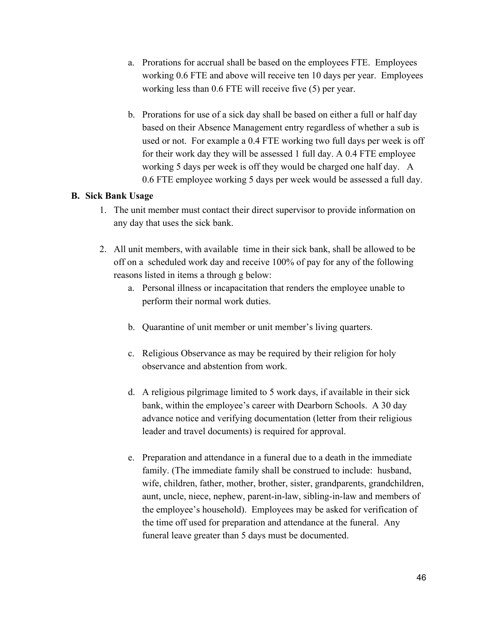- a. Prorations for accrual shall be based on the employees FTE. Employees working 0.6 FTE and above will receive ten 10 days per year. Employees working less than 0.6 FTE will receive five (5) per year.
- b. Prorations for use of a sick day shall be based on either a full or half day based on their Absence Management entry regardless of whether a sub is used or not. For example a 0.4 FTE working two full days per week is off for their work day they will be assessed 1 full day. A 0.4 FTE employee working 5 days per week is off they would be charged one half day. A 0.6 FTE employee working 5 days per week would be assessed a full day.

#### **B. Sick Bank Usage**

- 1. The unit member must contact their direct supervisor to provide information on any day that uses the sick bank.
- 2. All unit members, with available time in their sick bank, shall be allowed to be off on a scheduled work day and receive 100% of pay for any of the following reasons listed in items a through g below:
	- a. Personal illness or incapacitation that renders the employee unable to perform their normal work duties.
	- b. Quarantine of unit member or unit member's living quarters.
	- c. Religious Observance as may be required by their religion for holy observance and abstention from work.
	- d. A religious pilgrimage limited to 5 work days, if available in their sick bank, within the employee's career with Dearborn Schools. A 30 day advance notice and verifying documentation (letter from their religious leader and travel documents) is required for approval.
	- e. Preparation and attendance in a funeral due to a death in the immediate family. (The immediate family shall be construed to include: husband, wife, children, father, mother, brother, sister, grandparents, grandchildren, aunt, uncle, niece, nephew, parent-in-law, sibling-in-law and members of the employee's household). Employees may be asked for verification of the time off used for preparation and attendance at the funeral. Any funeral leave greater than 5 days must be documented.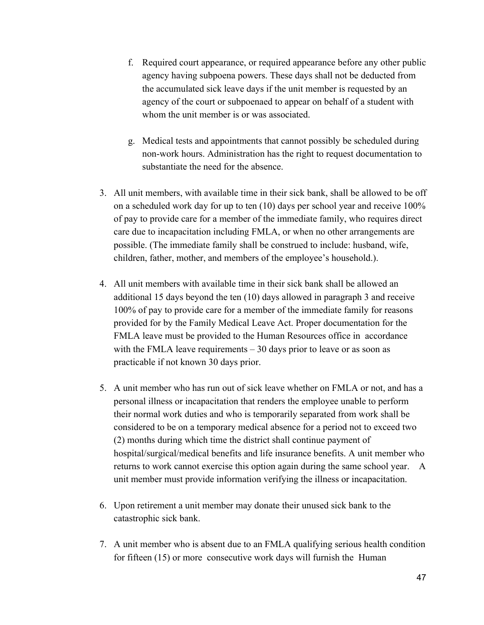- f. Required court appearance, or required appearance before any other public agency having subpoena powers. These days shall not be deducted from the accumulated sick leave days if the unit member is requested by an agency of the court or subpoenaed to appear on behalf of a student with whom the unit member is or was associated.
- g. Medical tests and appointments that cannot possibly be scheduled during non-work hours. Administration has the right to request documentation to substantiate the need for the absence.
- 3. All unit members, with available time in their sick bank, shall be allowed to be off on a scheduled work day for up to ten (10) days per school year and receive 100% of pay to provide care for a member of the immediate family, who requires direct care due to incapacitation including FMLA, or when no other arrangements are possible. (The immediate family shall be construed to include: husband, wife, children, father, mother, and members of the employee's household.).
- 4. All unit members with available time in their sick bank shall be allowed an additional 15 days beyond the ten (10) days allowed in paragraph 3 and receive 100% of pay to provide care for a member of the immediate family for reasons provided for by the Family Medical Leave Act. Proper documentation for the FMLA leave must be provided to the Human Resources office in accordance with the FMLA leave requirements – 30 days prior to leave or as soon as practicable if not known 30 days prior.
- 5. A unit member who has run out of sick leave whether on FMLA or not, and has a personal illness or incapacitation that renders the employee unable to perform their normal work duties and who is temporarily separated from work shall be considered to be on a temporary medical absence for a period not to exceed two (2) months during which time the district shall continue payment of hospital/surgical/medical benefits and life insurance benefits. A unit member who returns to work cannot exercise this option again during the same school year. A unit member must provide information verifying the illness or incapacitation.
- 6. Upon retirement a unit member may donate their unused sick bank to the catastrophic sick bank.
- 7. A unit member who is absent due to an FMLA qualifying serious health condition for fifteen (15) or more consecutive work days will furnish the Human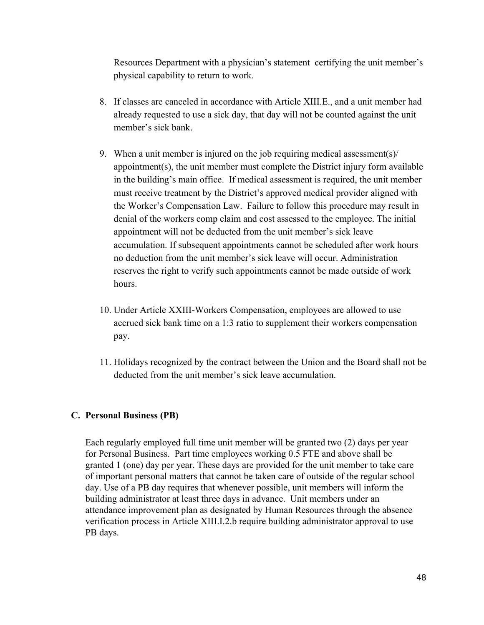Resources Department with a physician's statement certifying the unit member's physical capability to return to work.

- 8. If classes are canceled in accordance with Article XIII.E., and a unit member had already requested to use a sick day, that day will not be counted against the unit member's sick bank.
- 9. When a unit member is injured on the job requiring medical assessment(s)/ appointment(s), the unit member must complete the District injury form available in the building's main office. If medical assessment is required, the unit member must receive treatment by the District's approved medical provider aligned with the Worker's Compensation Law. Failure to follow this procedure may result in denial of the workers comp claim and cost assessed to the employee. The initial appointment will not be deducted from the unit member's sick leave accumulation. If subsequent appointments cannot be scheduled after work hours no deduction from the unit member's sick leave will occur. Administration reserves the right to verify such appointments cannot be made outside of work hours.
- 10. Under Article XXIII-Workers Compensation, employees are allowed to use accrued sick bank time on a 1:3 ratio to supplement their workers compensation pay.
- 11. Holidays recognized by the contract between the Union and the Board shall not be deducted from the unit member's sick leave accumulation.

### **C. Personal Business (PB)**

Each regularly employed full time unit member will be granted two (2) days per year for Personal Business. Part time employees working 0.5 FTE and above shall be granted 1 (one) day per year. These days are provided for the unit member to take care of important personal matters that cannot be taken care of outside of the regular school day. Use of a PB day requires that whenever possible, unit members will inform the building administrator at least three days in advance. Unit members under an attendance improvement plan as designated by Human Resources through the absence verification process in Article XIII.I.2.b require building administrator approval to use PB days.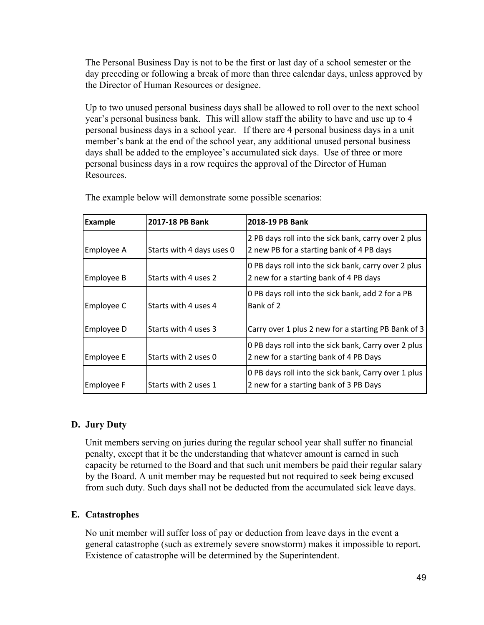The Personal Business Day is not to be the first or last day of a school semester or the day preceding or following a break of more than three calendar days, unless approved by the Director of Human Resources or designee.

Up to two unused personal business days shall be allowed to roll over to the next school year's personal business bank. This will allow staff the ability to have and use up to 4 personal business days in a school year. If there are 4 personal business days in a unit member's bank at the end of the school year, any additional unused personal business days shall be added to the employee's accumulated sick days. Use of three or more personal business days in a row requires the approval of the Director of Human **Resources** 

| <b>Example</b> | 2017-18 PB Bank           | 2018-19 PB Bank                                                                                   |
|----------------|---------------------------|---------------------------------------------------------------------------------------------------|
| Employee A     | Starts with 4 days uses 0 | 2 PB days roll into the sick bank, carry over 2 plus<br>2 new PB for a starting bank of 4 PB days |
| Employee B     | Starts with 4 uses 2      | 0 PB days roll into the sick bank, carry over 2 plus<br>2 new for a starting bank of 4 PB days    |
| Employee C     | Starts with 4 uses 4      | 0 PB days roll into the sick bank, add 2 for a PB<br>Bank of 2                                    |
| Employee D     | Starts with 4 uses 3      | Carry over 1 plus 2 new for a starting PB Bank of 3                                               |
| Employee E     | Starts with 2 uses 0      | 0 PB days roll into the sick bank, Carry over 2 plus<br>2 new for a starting bank of 4 PB Days    |
| Employee F     | Starts with 2 uses 1      | 0 PB days roll into the sick bank, Carry over 1 plus<br>2 new for a starting bank of 3 PB Days    |

The example below will demonstrate some possible scenarios:

### **D. Jury Duty**

Unit members serving on juries during the regular school year shall suffer no financial penalty, except that it be the understanding that whatever amount is earned in such capacity be returned to the Board and that such unit members be paid their regular salary by the Board. A unit member may be requested but not required to seek being excused from such duty. Such days shall not be deducted from the accumulated sick leave days.

### **E. Catastrophes**

No unit member will suffer loss of pay or deduction from leave days in the event a general catastrophe (such as extremely severe snowstorm) makes it impossible to report. Existence of catastrophe will be determined by the Superintendent.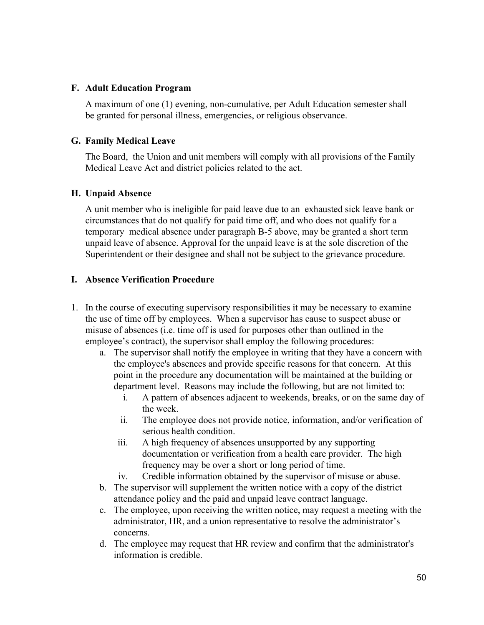#### **F. Adult Education Program**

A maximum of one (1) evening, non-cumulative, per Adult Education semester shall be granted for personal illness, emergencies, or religious observance.

### **G. Family Medical Leave**

The Board, the Union and unit members will comply with all provisions of the Family Medical Leave Act and district policies related to the act.

### **H. Unpaid Absence**

A unit member who is ineligible for paid leave due to an exhausted sick leave bank or circumstances that do not qualify for paid time off, and who does not qualify for a temporary medical absence under paragraph B-5 above, may be granted a short term unpaid leave of absence. Approval for the unpaid leave is at the sole discretion of the Superintendent or their designee and shall not be subject to the grievance procedure.

### **I. Absence Verification Procedure**

- 1. In the course of executing supervisory responsibilities it may be necessary to examine the use of time off by employees. When a supervisor has cause to suspect abuse or misuse of absences (i.e. time off is used for purposes other than outlined in the employee's contract), the supervisor shall employ the following procedures:
	- a. The supervisor shall notify the employee in writing that they have a concern with the employee's absences and provide specific reasons for that concern. At this point in the procedure any documentation will be maintained at the building or department level. Reasons may include the following, but are not limited to:
		- i. A pattern of absences adjacent to weekends, breaks, or on the same day of the week.
		- ii. The employee does not provide notice, information, and/or verification of serious health condition.
		- iii. A high frequency of absences unsupported by any supporting documentation or verification from a health care provider. The high frequency may be over a short or long period of time.
		- iv. Credible information obtained by the supervisor of misuse or abuse.
	- b. The supervisor will supplement the written notice with a copy of the district attendance policy and the paid and unpaid leave contract language.
	- c. The employee, upon receiving the written notice, may request a meeting with the administrator, HR, and a union representative to resolve the administrator's concerns.
	- d. The employee may request that HR review and confirm that the administrator's information is credible.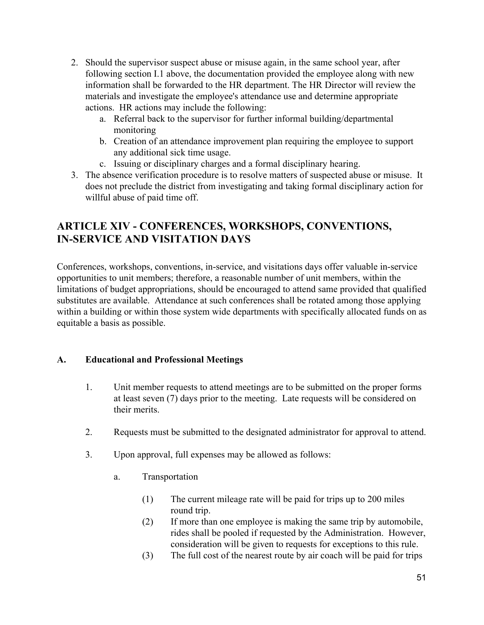- 2. Should the supervisor suspect abuse or misuse again, in the same school year, after following section I.1 above, the documentation provided the employee along with new information shall be forwarded to the HR department. The HR Director will review the materials and investigate the employee's attendance use and determine appropriate actions. HR actions may include the following:
	- a. Referral back to the supervisor for further informal building/departmental monitoring
	- b. Creation of an attendance improvement plan requiring the employee to support any additional sick time usage.
	- c. Issuing or disciplinary charges and a formal disciplinary hearing.
- 3. The absence verification procedure is to resolve matters of suspected abuse or misuse. It does not preclude the district from investigating and taking formal disciplinary action for willful abuse of paid time off.

# **ARTICLE XIV - CONFERENCES, WORKSHOPS, CONVENTIONS, IN-SERVICE AND VISITATION DAYS**

Conferences, workshops, conventions, in-service, and visitations days offer valuable in-service opportunities to unit members; therefore, a reasonable number of unit members, within the limitations of budget appropriations, should be encouraged to attend same provided that qualified substitutes are available. Attendance at such conferences shall be rotated among those applying within a building or within those system wide departments with specifically allocated funds on as equitable a basis as possible.

### **A. Educational and Professional Meetings**

- 1. Unit member requests to attend meetings are to be submitted on the proper forms at least seven (7) days prior to the meeting. Late requests will be considered on their merits.
- 2. Requests must be submitted to the designated administrator for approval to attend.
- 3. Upon approval, full expenses may be allowed as follows:
	- a. Transportation
		- (1) The current mileage rate will be paid for trips up to 200 miles round trip.
		- (2) If more than one employee is making the same trip by automobile, rides shall be pooled if requested by the Administration. However, consideration will be given to requests for exceptions to this rule.
		- (3) The full cost of the nearest route by air coach will be paid for trips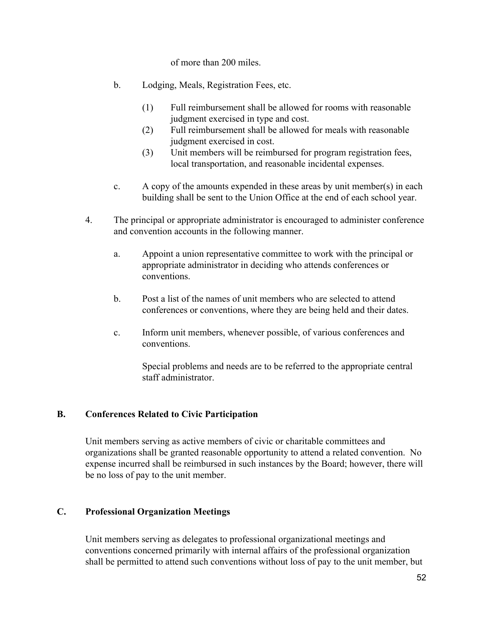of more than 200 miles.

- b. Lodging, Meals, Registration Fees, etc.
	- (1) Full reimbursement shall be allowed for rooms with reasonable judgment exercised in type and cost.
	- (2) Full reimbursement shall be allowed for meals with reasonable judgment exercised in cost.
	- (3) Unit members will be reimbursed for program registration fees, local transportation, and reasonable incidental expenses.
- c. A copy of the amounts expended in these areas by unit member(s) in each building shall be sent to the Union Office at the end of each school year.
- 4. The principal or appropriate administrator is encouraged to administer conference and convention accounts in the following manner.
	- a. Appoint a union representative committee to work with the principal or appropriate administrator in deciding who attends conferences or conventions.
	- b. Post a list of the names of unit members who are selected to attend conferences or conventions, where they are being held and their dates.
	- c. Inform unit members, whenever possible, of various conferences and conventions.

Special problems and needs are to be referred to the appropriate central staff administrator.

#### **B. Conferences Related to Civic Participation**

Unit members serving as active members of civic or charitable committees and organizations shall be granted reasonable opportunity to attend a related convention. No expense incurred shall be reimbursed in such instances by the Board; however, there will be no loss of pay to the unit member.

#### **C. Professional Organization Meetings**

Unit members serving as delegates to professional organizational meetings and conventions concerned primarily with internal affairs of the professional organization shall be permitted to attend such conventions without loss of pay to the unit member, but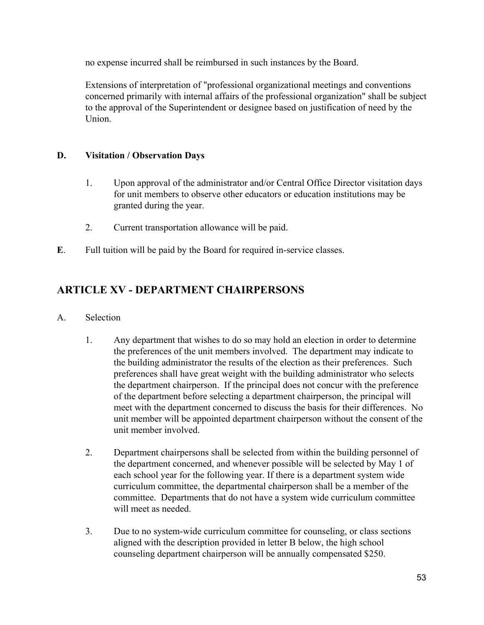no expense incurred shall be reimbursed in such instances by the Board.

Extensions of interpretation of "professional organizational meetings and conventions concerned primarily with internal affairs of the professional organization" shall be subject to the approval of the Superintendent or designee based on justification of need by the **Union** 

### **D. Visitation / Observation Days**

- 1. Upon approval of the administrator and/or Central Office Director visitation days for unit members to observe other educators or education institutions may be granted during the year.
- 2. Current transportation allowance will be paid.
- **E**. Full tuition will be paid by the Board for required in-service classes.

# **ARTICLE XV - DEPARTMENT CHAIRPERSONS**

- A. Selection
	- 1. Any department that wishes to do so may hold an election in order to determine the preferences of the unit members involved. The department may indicate to the building administrator the results of the election as their preferences. Such preferences shall have great weight with the building administrator who selects the department chairperson. If the principal does not concur with the preference of the department before selecting a department chairperson, the principal will meet with the department concerned to discuss the basis for their differences. No unit member will be appointed department chairperson without the consent of the unit member involved.
	- 2. Department chairpersons shall be selected from within the building personnel of the department concerned, and whenever possible will be selected by May 1 of each school year for the following year. If there is a department system wide curriculum committee, the departmental chairperson shall be a member of the committee. Departments that do not have a system wide curriculum committee will meet as needed.
	- 3. Due to no system-wide curriculum committee for counseling, or class sections aligned with the description provided in letter B below, the high school counseling department chairperson will be annually compensated \$250.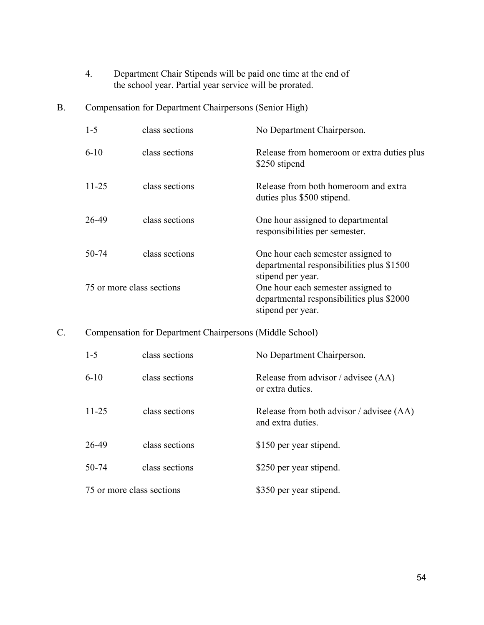- 4. Department Chair Stipends will be paid one time at the end of the school year. Partial year service will be prorated.
- B. Compensation for Department Chairpersons (Senior High)

| $1 - 5$                   | class sections | No Department Chairperson.                                                                           |
|---------------------------|----------------|------------------------------------------------------------------------------------------------------|
| $6 - 10$                  | class sections | Release from homeroom or extra duties plus<br>\$250 stipend                                          |
| $11 - 25$                 | class sections | Release from both homeroom and extra<br>duties plus \$500 stipend.                                   |
| 26-49                     | class sections | One hour assigned to departmental<br>responsibilities per semester.                                  |
| 50-74                     | class sections | One hour each semester assigned to<br>departmental responsibilities plus \$1500<br>stipend per year. |
| 75 or more class sections |                | One hour each semester assigned to<br>departmental responsibilities plus \$2000<br>stipend per year. |

### C. Compensation for Department Chairpersons (Middle School)

| $1 - 5$                   | class sections | No Department Chairperson.                                    |
|---------------------------|----------------|---------------------------------------------------------------|
| $6-10$                    | class sections | Release from advisor / advisee (AA)<br>or extra duties.       |
| $11 - 25$                 | class sections | Release from both advisor / advisee (AA)<br>and extra duties. |
| 26-49                     | class sections | \$150 per year stipend.                                       |
| 50-74                     | class sections | \$250 per year stipend.                                       |
| 75 or more class sections |                | \$350 per year stipend.                                       |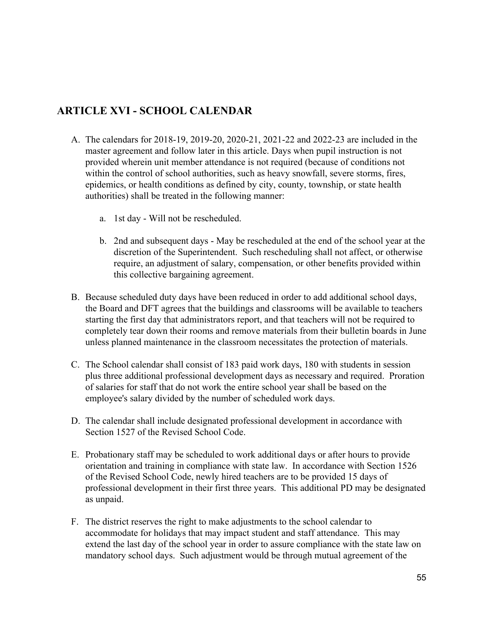## **ARTICLE XVI - SCHOOL CALENDAR**

- A. The calendars for 2018-19, 2019-20, 2020-21, 2021-22 and 2022-23 are included in the master agreement and follow later in this article. Days when pupil instruction is not provided wherein unit member attendance is not required (because of conditions not within the control of school authorities, such as heavy snowfall, severe storms, fires, epidemics, or health conditions as defined by city, county, township, or state health authorities) shall be treated in the following manner:
	- a. 1st day Will not be rescheduled.
	- b. 2nd and subsequent days May be rescheduled at the end of the school year at the discretion of the Superintendent. Such rescheduling shall not affect, or otherwise require, an adjustment of salary, compensation, or other benefits provided within this collective bargaining agreement.
- B. Because scheduled duty days have been reduced in order to add additional school days, the Board and DFT agrees that the buildings and classrooms will be available to teachers starting the first day that administrators report, and that teachers will not be required to completely tear down their rooms and remove materials from their bulletin boards in June unless planned maintenance in the classroom necessitates the protection of materials.
- C. The School calendar shall consist of 183 paid work days, 180 with students in session plus three additional professional development days as necessary and required. Proration of salaries for staff that do not work the entire school year shall be based on the employee's salary divided by the number of scheduled work days.
- D. The calendar shall include designated professional development in accordance with Section 1527 of the Revised School Code.
- E. Probationary staff may be scheduled to work additional days or after hours to provide orientation and training in compliance with state law. In accordance with Section 1526 of the Revised School Code, newly hired teachers are to be provided 15 days of professional development in their first three years. This additional PD may be designated as unpaid.
- F. The district reserves the right to make adjustments to the school calendar to accommodate for holidays that may impact student and staff attendance. This may extend the last day of the school year in order to assure compliance with the state law on mandatory school days. Such adjustment would be through mutual agreement of the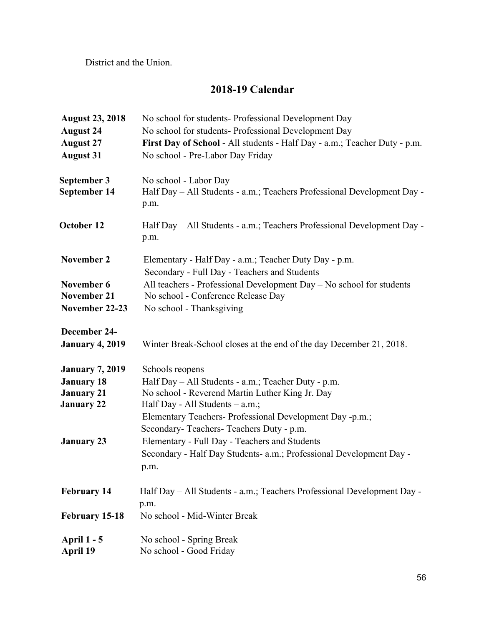District and the Union.

# **2018-19 Calendar**

| <b>August 23, 2018</b> | No school for students- Professional Development Day                      |  |
|------------------------|---------------------------------------------------------------------------|--|
| <b>August 24</b>       | No school for students- Professional Development Day                      |  |
| <b>August 27</b>       | First Day of School - All students - Half Day - a.m.; Teacher Duty - p.m. |  |
| <b>August 31</b>       | No school - Pre-Labor Day Friday                                          |  |
|                        |                                                                           |  |
| September 3            | No school - Labor Day                                                     |  |
| September 14           | Half Day - All Students - a.m.; Teachers Professional Development Day -   |  |
|                        | p.m.                                                                      |  |
|                        |                                                                           |  |
| October 12             | Half Day - All Students - a.m.; Teachers Professional Development Day -   |  |
|                        | p.m.                                                                      |  |
| November 2             | Elementary - Half Day - a.m.; Teacher Duty Day - p.m.                     |  |
|                        | Secondary - Full Day - Teachers and Students                              |  |
| November 6             | All teachers - Professional Development Day – No school for students      |  |
| <b>November 21</b>     | No school - Conference Release Day                                        |  |
| November 22-23         | No school - Thanksgiving                                                  |  |
|                        |                                                                           |  |
| December 24-           |                                                                           |  |
| <b>January 4, 2019</b> | Winter Break-School closes at the end of the day December 21, 2018.       |  |
|                        |                                                                           |  |
| <b>January 7, 2019</b> | Schools reopens                                                           |  |
| <b>January 18</b>      | Half Day - All Students - a.m.; Teacher Duty - p.m.                       |  |
| <b>January 21</b>      | No school - Reverend Martin Luther King Jr. Day                           |  |
| <b>January 22</b>      | Half Day - All Students – a.m.;                                           |  |
|                        | Elementary Teachers- Professional Development Day -p.m.;                  |  |
|                        | Secondary-Teachers-Teachers Duty - p.m.                                   |  |
| <b>January 23</b>      | Elementary - Full Day - Teachers and Students                             |  |
|                        | Secondary - Half Day Students- a.m.; Professional Development Day -       |  |
|                        | p.m.                                                                      |  |
|                        |                                                                           |  |
| <b>February 14</b>     | Half Day – All Students - a.m.; Teachers Professional Development Day -   |  |
|                        | p.m.                                                                      |  |
| <b>February 15-18</b>  | No school - Mid-Winter Break                                              |  |
| <b>April 1 - 5</b>     | No school - Spring Break                                                  |  |
| <b>April 19</b>        | No school - Good Friday                                                   |  |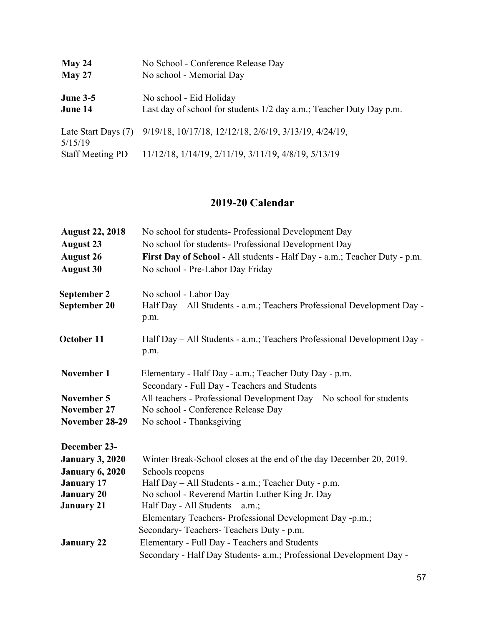| May 24                     | No School - Conference Release Day                                                             |
|----------------------------|------------------------------------------------------------------------------------------------|
| May 27                     | No school - Memorial Day                                                                       |
| <b>June 3-5</b><br>June 14 | No school - Eid Holiday<br>Last day of school for students 1/2 day a.m.; Teacher Duty Day p.m. |
| 5/15/19                    | Late Start Days (7) 9/19/18, 10/17/18, 12/12/18, 2/6/19, 3/13/19, 4/24/19,                     |
| <b>Staff Meeting PD</b>    | 11/12/18, 1/14/19, 2/11/19, 3/11/19, 4/8/19, 5/13/19                                           |

# **2019-20 Calendar**

| <b>August 22, 2018</b> | No school for students- Professional Development Day                                                  |
|------------------------|-------------------------------------------------------------------------------------------------------|
| <b>August 23</b>       | No school for students- Professional Development Day                                                  |
| <b>August 26</b>       | First Day of School - All students - Half Day - a.m.; Teacher Duty - p.m.                             |
| <b>August 30</b>       | No school - Pre-Labor Day Friday                                                                      |
| September 2            | No school - Labor Day                                                                                 |
| September 20           | Half Day - All Students - a.m.; Teachers Professional Development Day -<br>p.m.                       |
| October 11             | Half Day – All Students - a.m.; Teachers Professional Development Day -<br>p.m.                       |
| November 1             | Elementary - Half Day - a.m.; Teacher Duty Day - p.m.<br>Secondary - Full Day - Teachers and Students |
| November 5             | All teachers - Professional Development Day - No school for students                                  |
| <b>November 27</b>     | No school - Conference Release Day                                                                    |
| November 28-29         | No school - Thanksgiving                                                                              |
| December 23-           |                                                                                                       |
| <b>January 3, 2020</b> | Winter Break-School closes at the end of the day December 20, 2019.                                   |
| <b>January 6, 2020</b> | Schools reopens                                                                                       |
| <b>January 17</b>      | Half Day – All Students - a.m.; Teacher Duty - p.m.                                                   |
| <b>January 20</b>      | No school - Reverend Martin Luther King Jr. Day                                                       |
| <b>January 21</b>      | Half Day - All Students $-$ a.m.;                                                                     |
|                        | Elementary Teachers- Professional Development Day -p.m.;                                              |
|                        | Secondary-Teachers-Teachers Duty - p.m.                                                               |
| <b>January 22</b>      | Elementary - Full Day - Teachers and Students                                                         |
|                        | Secondary - Half Day Students- a.m.; Professional Development Day -                                   |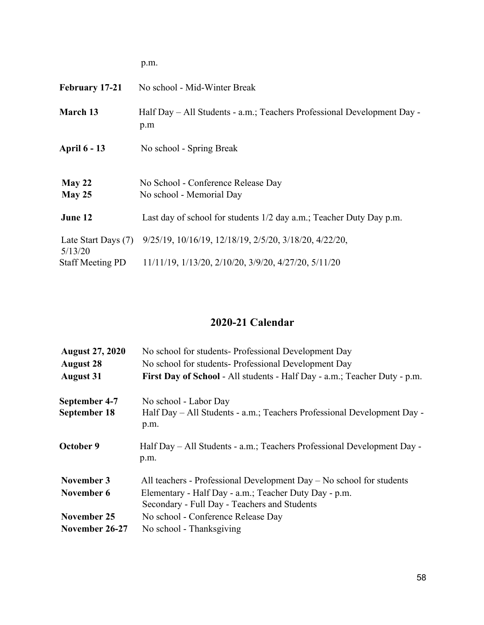|                                | p.m.                                                                           |
|--------------------------------|--------------------------------------------------------------------------------|
| <b>February 17-21</b>          | No school - Mid-Winter Break                                                   |
| March 13                       | Half Day – All Students - a.m.; Teachers Professional Development Day -<br>p.m |
| <b>April 6 - 13</b>            | No school - Spring Break                                                       |
| May 22<br>May 25               | No School - Conference Release Day<br>No school - Memorial Day                 |
| June 12                        | Last day of school for students 1/2 day a.m.; Teacher Duty Day p.m.            |
| Late Start Days (7)<br>5/13/20 | 9/25/19, 10/16/19, 12/18/19, 2/5/20, 3/18/20, 4/22/20,                         |
| <b>Staff Meeting PD</b>        | 11/11/19, 1/13/20, 2/10/20, 3/9/20, 4/27/20, 5/11/20                           |

# **2020-21 Calendar**

| <b>August 27, 2020</b>               | No school for students- Professional Development Day                                                                                                                            |
|--------------------------------------|---------------------------------------------------------------------------------------------------------------------------------------------------------------------------------|
| <b>August 28</b><br><b>August 31</b> | No school for students- Professional Development Day<br>First Day of School - All students - Half Day - a.m.; Teacher Duty - p.m.                                               |
| September 4-7<br>September 18        | No school - Labor Day<br>Half Day - All Students - a.m.; Teachers Professional Development Day -<br>p.m.                                                                        |
| October 9                            | Half Day – All Students - a.m.; Teachers Professional Development Day -<br>p.m.                                                                                                 |
| November 3<br>November 6             | All teachers - Professional Development Day $-$ No school for students<br>Elementary - Half Day - a.m.; Teacher Duty Day - p.m.<br>Secondary - Full Day - Teachers and Students |
| November 25<br>November 26-27        | No school - Conference Release Day<br>No school - Thanksgiving                                                                                                                  |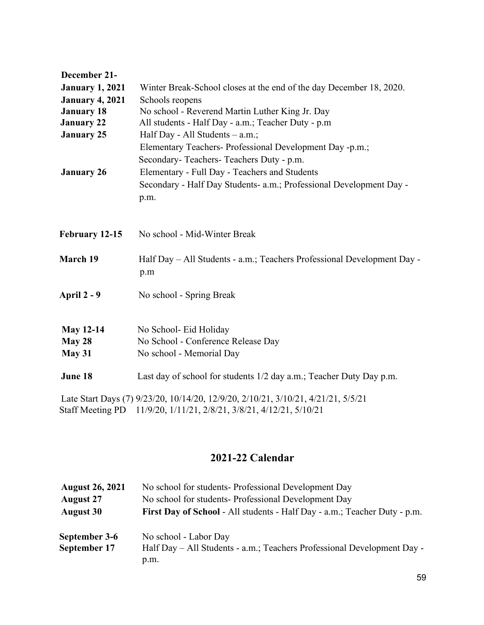| December 21-            |                                                                                   |
|-------------------------|-----------------------------------------------------------------------------------|
| <b>January 1, 2021</b>  | Winter Break-School closes at the end of the day December 18, 2020.               |
| <b>January 4, 2021</b>  | Schools reopens                                                                   |
| <b>January 18</b>       | No school - Reverend Martin Luther King Jr. Day                                   |
| <b>January 22</b>       | All students - Half Day - a.m.; Teacher Duty - p.m                                |
| <b>January 25</b>       | Half Day - All Students – a.m.;                                                   |
|                         | Elementary Teachers- Professional Development Day -p.m.;                          |
|                         | Secondary-Teachers-Teachers Duty - p.m.                                           |
| <b>January 26</b>       | Elementary - Full Day - Teachers and Students                                     |
|                         | Secondary - Half Day Students- a.m.; Professional Development Day -               |
|                         | p.m.                                                                              |
|                         |                                                                                   |
| February 12-15          | No school - Mid-Winter Break                                                      |
| March 19                | Half Day - All Students - a.m.; Teachers Professional Development Day -<br>p.m    |
| <b>April 2 - 9</b>      | No school - Spring Break                                                          |
| <b>May 12-14</b>        | No School- Eid Holiday                                                            |
| May 28                  | No School - Conference Release Day                                                |
| May 31                  | No school - Memorial Day                                                          |
| June 18                 | Last day of school for students 1/2 day a.m.; Teacher Duty Day p.m.               |
|                         | Late Start Days (7) 9/23/20, 10/14/20, 12/9/20, 2/10/21, 3/10/21, 4/21/21, 5/5/21 |
| <b>Staff Meeting PD</b> | 11/9/20, 1/11/21, 2/8/21, 3/8/21, 4/12/21, 5/10/21                                |

# **2021-22 Calendar**

| <b>August 26, 2021</b> | No school for students- Professional Development Day                      |  |
|------------------------|---------------------------------------------------------------------------|--|
| <b>August 27</b>       | No school for students- Professional Development Day                      |  |
| <b>August 30</b>       | First Day of School - All students - Half Day - a.m.; Teacher Duty - p.m. |  |
| September 3-6          | No school - Labor Day                                                     |  |
| September 17           | Half Day – All Students - a.m.; Teachers Professional Development Day -   |  |
|                        | p.m.                                                                      |  |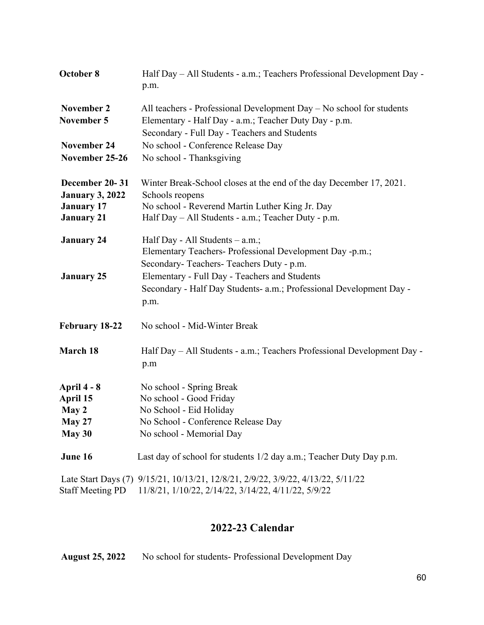| October 8              | Half Day - All Students - a.m.; Teachers Professional Development Day -<br>p.m.  |
|------------------------|----------------------------------------------------------------------------------|
| November 2             | All teachers - Professional Development Day – No school for students             |
| <b>November 5</b>      | Elementary - Half Day - a.m.; Teacher Duty Day - p.m.                            |
|                        | Secondary - Full Day - Teachers and Students                                     |
| <b>November 24</b>     | No school - Conference Release Day                                               |
| November 25-26         | No school - Thanksgiving                                                         |
| December 20-31         | Winter Break-School closes at the end of the day December 17, 2021.              |
| <b>January 3, 2022</b> | Schools reopens                                                                  |
| <b>January 17</b>      | No school - Reverend Martin Luther King Jr. Day                                  |
| <b>January 21</b>      | Half Day - All Students - a.m.; Teacher Duty - p.m.                              |
| <b>January 24</b>      | Half Day - All Students $-$ a.m.;                                                |
|                        | Elementary Teachers- Professional Development Day -p.m.;                         |
|                        | Secondary-Teachers-Teachers Duty - p.m.                                          |
| <b>January 25</b>      | Elementary - Full Day - Teachers and Students                                    |
|                        | Secondary - Half Day Students- a.m.; Professional Development Day -<br>p.m.      |
| February 18-22         | No school - Mid-Winter Break                                                     |
| March 18               | Half Day - All Students - a.m.; Teachers Professional Development Day -          |
|                        | p.m                                                                              |
| April 4 - 8            | No school - Spring Break                                                         |
| April 15               | No school - Good Friday                                                          |
| May 2                  | No School - Eid Holiday                                                          |
| May 27                 | No School - Conference Release Day                                               |
| May 30                 | No school - Memorial Day                                                         |
| June 16                | Last day of school for students 1/2 day a.m.; Teacher Duty Day p.m.              |
|                        | Late Start Days (7) 9/15/21, 10/13/21, 12/8/21, 2/9/22, 3/9/22, 4/13/22, 5/11/22 |

# Staff Meeting PD 11/8/21, 1/10/22, 2/14/22, 3/14/22, 4/11/22, 5/9/22

# **2022-23 Calendar**

**August 25, 2022** No school for students- Professional Development Day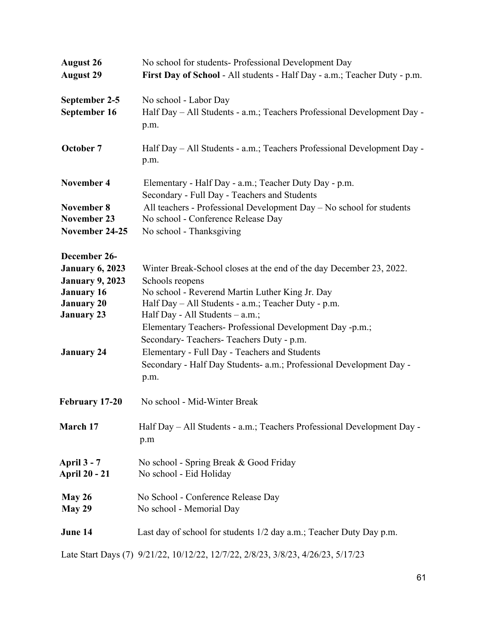| <b>August 26</b><br><b>August 29</b>                                                                                                                 | No school for students- Professional Development Day<br>First Day of School - All students - Half Day - a.m.; Teacher Duty - p.m.                                                                                                                                                                                                                                                                                                                                            |
|------------------------------------------------------------------------------------------------------------------------------------------------------|------------------------------------------------------------------------------------------------------------------------------------------------------------------------------------------------------------------------------------------------------------------------------------------------------------------------------------------------------------------------------------------------------------------------------------------------------------------------------|
| September 2-5<br>September 16                                                                                                                        | No school - Labor Day<br>Half Day - All Students - a.m.; Teachers Professional Development Day -<br>p.m.                                                                                                                                                                                                                                                                                                                                                                     |
| October 7                                                                                                                                            | Half Day – All Students - a.m.; Teachers Professional Development Day -<br>p.m.                                                                                                                                                                                                                                                                                                                                                                                              |
| <b>November 4</b><br><b>November 8</b><br><b>November 23</b><br>November 24-25                                                                       | Elementary - Half Day - a.m.; Teacher Duty Day - p.m.<br>Secondary - Full Day - Teachers and Students<br>All teachers - Professional Development Day – No school for students<br>No school - Conference Release Day<br>No school - Thanksgiving                                                                                                                                                                                                                              |
| December 26-<br><b>January 6, 2023</b><br><b>January 9, 2023</b><br><b>January 16</b><br><b>January 20</b><br><b>January 23</b><br><b>January 24</b> | Winter Break-School closes at the end of the day December 23, 2022.<br>Schools reopens<br>No school - Reverend Martin Luther King Jr. Day<br>Half Day - All Students - a.m.; Teacher Duty - p.m.<br>Half Day - All Students $-$ a.m.;<br>Elementary Teachers- Professional Development Day -p.m.;<br>Secondary-Teachers-Teachers Duty - p.m.<br>Elementary - Full Day - Teachers and Students<br>Secondary - Half Day Students- a.m.; Professional Development Day -<br>p.m. |
| February 17-20                                                                                                                                       | No school - Mid-Winter Break                                                                                                                                                                                                                                                                                                                                                                                                                                                 |
| March 17                                                                                                                                             | Half Day - All Students - a.m.; Teachers Professional Development Day -<br>p.m                                                                                                                                                                                                                                                                                                                                                                                               |
| <b>April 3 - 7</b><br><b>April 20 - 21</b>                                                                                                           | No school - Spring Break & Good Friday<br>No school - Eid Holiday                                                                                                                                                                                                                                                                                                                                                                                                            |
| May 26<br>May 29                                                                                                                                     | No School - Conference Release Day<br>No school - Memorial Day                                                                                                                                                                                                                                                                                                                                                                                                               |
| June 14                                                                                                                                              | Last day of school for students 1/2 day a.m.; Teacher Duty Day p.m.                                                                                                                                                                                                                                                                                                                                                                                                          |
|                                                                                                                                                      | Late Start Days (7) 9/21/22, 10/12/22, 12/7/22, 2/8/23, 3/8/23, 4/26/23, 5/17/23                                                                                                                                                                                                                                                                                                                                                                                             |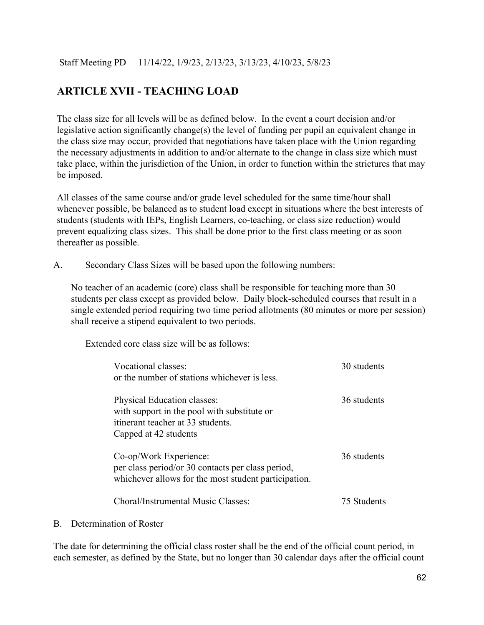Staff Meeting PD 11/14/22, 1/9/23, 2/13/23, 3/13/23, 4/10/23, 5/8/23

# **ARTICLE XVII - TEACHING LOAD**

The class size for all levels will be as defined below. In the event a court decision and/or legislative action significantly change(s) the level of funding per pupil an equivalent change in the class size may occur, provided that negotiations have taken place with the Union regarding the necessary adjustments in addition to and/or alternate to the change in class size which must take place, within the jurisdiction of the Union, in order to function within the strictures that may be imposed.

All classes of the same course and/or grade level scheduled for the same time/hour shall whenever possible, be balanced as to student load except in situations where the best interests of students (students with IEPs, English Learners, co-teaching, or class size reduction) would prevent equalizing class sizes. This shall be done prior to the first class meeting or as soon thereafter as possible.

A. Secondary Class Sizes will be based upon the following numbers:

No teacher of an academic (core) class shall be responsible for teaching more than 30 students per class except as provided below. Daily block-scheduled courses that result in a single extended period requiring two time period allotments (80 minutes or more per session) shall receive a stipend equivalent to two periods.

Extended core class size will be as follows:

| Vocational classes:<br>or the number of stations whichever is less.                                                                      | 30 students |
|------------------------------------------------------------------------------------------------------------------------------------------|-------------|
| Physical Education classes:<br>with support in the pool with substitute or<br>itinerant teacher at 33 students.<br>Capped at 42 students | 36 students |
| Co-op/Work Experience:<br>per class period/or 30 contacts per class period,<br>whichever allows for the most student participation.      | 36 students |
| Choral/Instrumental Music Classes:                                                                                                       | 75 Students |

B. Determination of Roster

The date for determining the official class roster shall be the end of the official count period, in each semester, as defined by the State, but no longer than 30 calendar days after the official count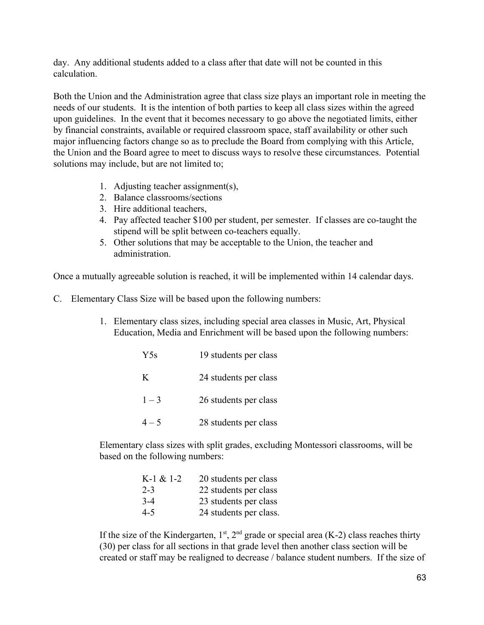day. Any additional students added to a class after that date will not be counted in this calculation.

Both the Union and the Administration agree that class size plays an important role in meeting the needs of our students. It is the intention of both parties to keep all class sizes within the agreed upon guidelines. In the event that it becomes necessary to go above the negotiated limits, either by financial constraints, available or required classroom space, staff availability or other such major influencing factors change so as to preclude the Board from complying with this Article, the Union and the Board agree to meet to discuss ways to resolve these circumstances. Potential solutions may include, but are not limited to;

- 1. Adjusting teacher assignment(s),
- 2. Balance classrooms/sections
- 3. Hire additional teachers,
- 4. Pay affected teacher \$100 per student, per semester. If classes are co-taught the stipend will be split between co-teachers equally.
- 5. Other solutions that may be acceptable to the Union, the teacher and administration.

Once a mutually agreeable solution is reached, it will be implemented within 14 calendar days.

- C. Elementary Class Size will be based upon the following numbers:
	- 1. Elementary class sizes, including special area classes in Music, Art, Physical Education, Media and Enrichment will be based upon the following numbers:

| Y <sub>5s</sub> | 19 students per class |
|-----------------|-----------------------|
| K               | 24 students per class |
| $1 - 3$         | 26 students per class |
| $4 - 5$         | 28 students per class |

Elementary class sizes with split grades, excluding Montessori classrooms, will be based on the following numbers:

| $K-1 & 21-2$ | 20 students per class  |
|--------------|------------------------|
| $2 - 3$      | 22 students per class  |
| $3-4$        | 23 students per class  |
| $4 - 5$      | 24 students per class. |

If the size of the Kindergarten,  $1<sup>st</sup>$ ,  $2<sup>nd</sup>$  grade or special area (K-2) class reaches thirty (30) per class for all sections in that grade level then another class section will be created or staff may be realigned to decrease / balance student numbers. If the size of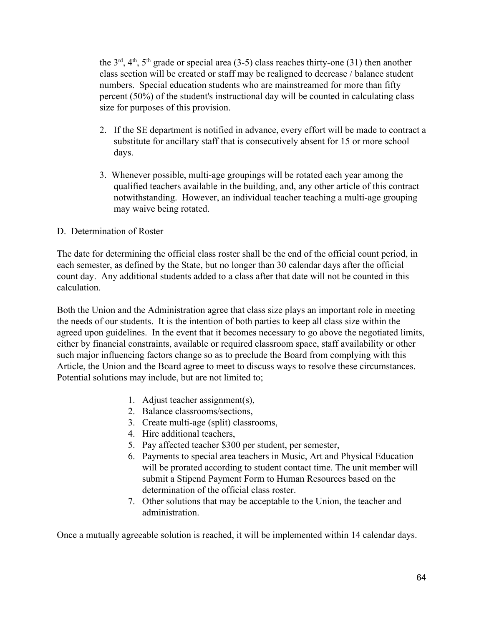the  $3<sup>rd</sup>$ ,  $4<sup>th</sup>$ ,  $5<sup>th</sup>$  grade or special area (3-5) class reaches thirty-one (31) then another class section will be created or staff may be realigned to decrease / balance student numbers. Special education students who are mainstreamed for more than fifty percent (50%) of the student's instructional day will be counted in calculating class size for purposes of this provision.

- 2. If the SE department is notified in advance, every effort will be made to contract a substitute for ancillary staff that is consecutively absent for 15 or more school days.
- 3. Whenever possible, multi-age groupings will be rotated each year among the qualified teachers available in the building, and, any other article of this contract notwithstanding. However, an individual teacher teaching a multi-age grouping may waive being rotated.

### D. Determination of Roster

The date for determining the official class roster shall be the end of the official count period, in each semester, as defined by the State, but no longer than 30 calendar days after the official count day. Any additional students added to a class after that date will not be counted in this calculation.

Both the Union and the Administration agree that class size plays an important role in meeting the needs of our students. It is the intention of both parties to keep all class size within the agreed upon guidelines. In the event that it becomes necessary to go above the negotiated limits, either by financial constraints, available or required classroom space, staff availability or other such major influencing factors change so as to preclude the Board from complying with this Article, the Union and the Board agree to meet to discuss ways to resolve these circumstances. Potential solutions may include, but are not limited to;

- 1. Adjust teacher assignment(s),
- 2. Balance classrooms/sections,
- 3. Create multi-age (split) classrooms,
- 4. Hire additional teachers,
- 5. Pay affected teacher \$300 per student, per semester,
- 6. Payments to special area teachers in Music, Art and Physical Education will be prorated according to student contact time. The unit member will submit a Stipend Payment Form to Human Resources based on the determination of the official class roster.
- 7. Other solutions that may be acceptable to the Union, the teacher and administration.

Once a mutually agreeable solution is reached, it will be implemented within 14 calendar days.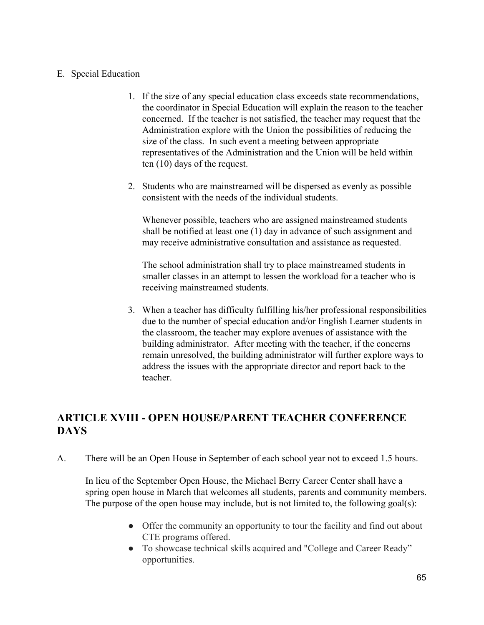### E. Special Education

- 1. If the size of any special education class exceeds state recommendations, the coordinator in Special Education will explain the reason to the teacher concerned. If the teacher is not satisfied, the teacher may request that the Administration explore with the Union the possibilities of reducing the size of the class. In such event a meeting between appropriate representatives of the Administration and the Union will be held within ten (10) days of the request.
- 2. Students who are mainstreamed will be dispersed as evenly as possible consistent with the needs of the individual students.

Whenever possible, teachers who are assigned mainstreamed students shall be notified at least one (1) day in advance of such assignment and may receive administrative consultation and assistance as requested.

The school administration shall try to place mainstreamed students in smaller classes in an attempt to lessen the workload for a teacher who is receiving mainstreamed students.

3. When a teacher has difficulty fulfilling his/her professional responsibilities due to the number of special education and/or English Learner students in the classroom, the teacher may explore avenues of assistance with the building administrator. After meeting with the teacher, if the concerns remain unresolved, the building administrator will further explore ways to address the issues with the appropriate director and report back to the teacher.

# **ARTICLE XVIII - OPEN HOUSE/PARENT TEACHER CONFERENCE DAYS**

A. There will be an Open House in September of each school year not to exceed 1.5 hours.

In lieu of the September Open House, the Michael Berry Career Center shall have a spring open house in March that welcomes all students, parents and community members. The purpose of the open house may include, but is not limited to, the following goal(s):

- Offer the community an opportunity to tour the facility and find out about CTE programs offered.
- To showcase technical skills acquired and "College and Career Ready" opportunities.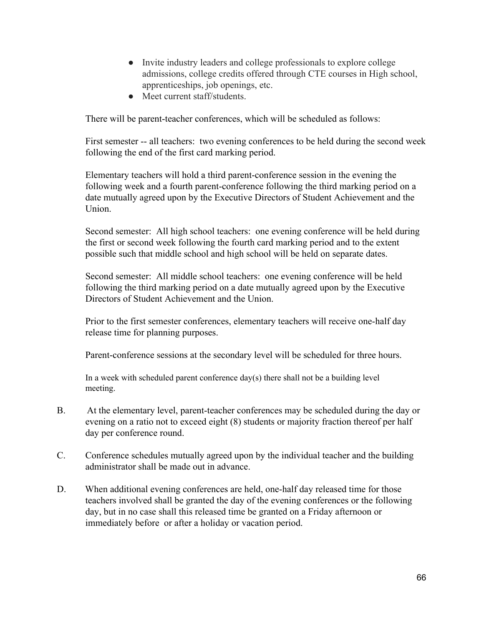- Invite industry leaders and college professionals to explore college admissions, college credits offered through CTE courses in High school, apprenticeships, job openings, etc.
- Meet current staff/students.

There will be parent-teacher conferences, which will be scheduled as follows:

First semester -- all teachers: two evening conferences to be held during the second week following the end of the first card marking period.

Elementary teachers will hold a third parent-conference session in the evening the following week and a fourth parent-conference following the third marking period on a date mutually agreed upon by the Executive Directors of Student Achievement and the **Union** 

Second semester: All high school teachers: one evening conference will be held during the first or second week following the fourth card marking period and to the extent possible such that middle school and high school will be held on separate dates.

Second semester: All middle school teachers: one evening conference will be held following the third marking period on a date mutually agreed upon by the Executive Directors of Student Achievement and the Union.

Prior to the first semester conferences, elementary teachers will receive one-half day release time for planning purposes.

Parent-conference sessions at the secondary level will be scheduled for three hours.

In a week with scheduled parent conference day(s) there shall not be a building level meeting.

- B. At the elementary level, parent-teacher conferences may be scheduled during the day or evening on a ratio not to exceed eight (8) students or majority fraction thereof per half day per conference round.
- C. Conference schedules mutually agreed upon by the individual teacher and the building administrator shall be made out in advance.
- D. When additional evening conferences are held, one-half day released time for those teachers involved shall be granted the day of the evening conferences or the following day, but in no case shall this released time be granted on a Friday afternoon or immediately before or after a holiday or vacation period.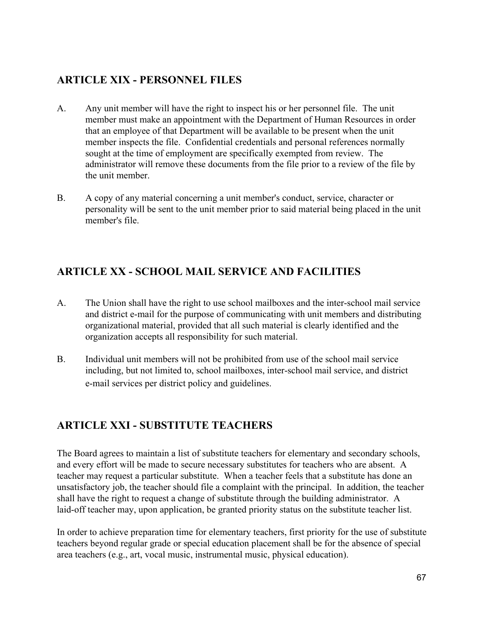# **ARTICLE XIX - PERSONNEL FILES**

- A. Any unit member will have the right to inspect his or her personnel file. The unit member must make an appointment with the Department of Human Resources in order that an employee of that Department will be available to be present when the unit member inspects the file. Confidential credentials and personal references normally sought at the time of employment are specifically exempted from review. The administrator will remove these documents from the file prior to a review of the file by the unit member.
- B. A copy of any material concerning a unit member's conduct, service, character or personality will be sent to the unit member prior to said material being placed in the unit member's file.

## **ARTICLE XX - SCHOOL MAIL SERVICE AND FACILITIES**

- A. The Union shall have the right to use school mailboxes and the inter-school mail service and district e-mail for the purpose of communicating with unit members and distributing organizational material, provided that all such material is clearly identified and the organization accepts all responsibility for such material.
- B. Individual unit members will not be prohibited from use of the school mail service including, but not limited to, school mailboxes, inter-school mail service, and district e-mail services per district policy and guidelines.

## **ARTICLE XXI - SUBSTITUTE TEACHERS**

The Board agrees to maintain a list of substitute teachers for elementary and secondary schools, and every effort will be made to secure necessary substitutes for teachers who are absent. A teacher may request a particular substitute. When a teacher feels that a substitute has done an unsatisfactory job, the teacher should file a complaint with the principal. In addition, the teacher shall have the right to request a change of substitute through the building administrator. A laid-off teacher may, upon application, be granted priority status on the substitute teacher list.

In order to achieve preparation time for elementary teachers, first priority for the use of substitute teachers beyond regular grade or special education placement shall be for the absence of special area teachers (e.g., art, vocal music, instrumental music, physical education).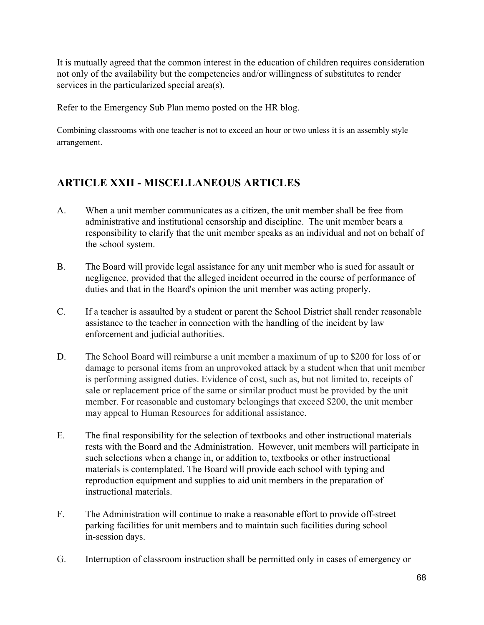It is mutually agreed that the common interest in the education of children requires consideration not only of the availability but the competencies and/or willingness of substitutes to render services in the particularized special area(s).

Refer to the Emergency Sub Plan memo posted on the HR blog.

Combining classrooms with one teacher is not to exceed an hour or two unless it is an assembly style arrangement.

# **ARTICLE XXII - MISCELLANEOUS ARTICLES**

- A. When a unit member communicates as a citizen, the unit member shall be free from administrative and institutional censorship and discipline. The unit member bears a responsibility to clarify that the unit member speaks as an individual and not on behalf of the school system.
- B. The Board will provide legal assistance for any unit member who is sued for assault or negligence, provided that the alleged incident occurred in the course of performance of duties and that in the Board's opinion the unit member was acting properly.
- C. If a teacher is assaulted by a student or parent the School District shall render reasonable assistance to the teacher in connection with the handling of the incident by law enforcement and judicial authorities.
- D. The School Board will reimburse a unit member a maximum of up to \$200 for loss of or damage to personal items from an unprovoked attack by a student when that unit member is performing assigned duties. Evidence of cost, such as, but not limited to, receipts of sale or replacement price of the same or similar product must be provided by the unit member. For reasonable and customary belongings that exceed \$200, the unit member may appeal to Human Resources for additional assistance.
- E. The final responsibility for the selection of textbooks and other instructional materials rests with the Board and the Administration. However, unit members will participate in such selections when a change in, or addition to, textbooks or other instructional materials is contemplated. The Board will provide each school with typing and reproduction equipment and supplies to aid unit members in the preparation of instructional materials.
- F. The Administration will continue to make a reasonable effort to provide off-street parking facilities for unit members and to maintain such facilities during school in-session days.
- G. Interruption of classroom instruction shall be permitted only in cases of emergency or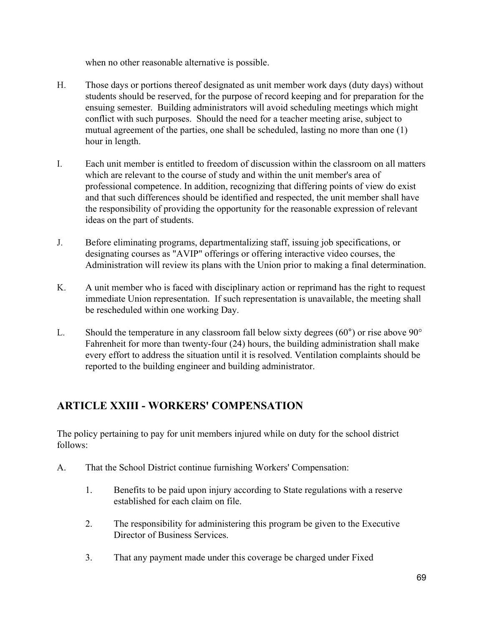when no other reasonable alternative is possible.

- H. Those days or portions thereof designated as unit member work days (duty days) without students should be reserved, for the purpose of record keeping and for preparation for the ensuing semester. Building administrators will avoid scheduling meetings which might conflict with such purposes. Should the need for a teacher meeting arise, subject to mutual agreement of the parties, one shall be scheduled, lasting no more than one (1) hour in length.
- I. Each unit member is entitled to freedom of discussion within the classroom on all matters which are relevant to the course of study and within the unit member's area of professional competence. In addition, recognizing that differing points of view do exist and that such differences should be identified and respected, the unit member shall have the responsibility of providing the opportunity for the reasonable expression of relevant ideas on the part of students.
- J. Before eliminating programs, departmentalizing staff, issuing job specifications, or designating courses as "AVIP" offerings or offering interactive video courses, the Administration will review its plans with the Union prior to making a final determination.
- K. A unit member who is faced with disciplinary action or reprimand has the right to request immediate Union representation. If such representation is unavailable, the meeting shall be rescheduled within one working Day.
- L. Should the temperature in any classroom fall below sixty degrees  $(60^{\circ})$  or rise above  $90^{\circ}$ Fahrenheit for more than twenty-four (24) hours, the building administration shall make every effort to address the situation until it is resolved. Ventilation complaints should be reported to the building engineer and building administrator.

## **ARTICLE XXIII - WORKERS' COMPENSATION**

The policy pertaining to pay for unit members injured while on duty for the school district follows:

- A. That the School District continue furnishing Workers' Compensation:
	- 1. Benefits to be paid upon injury according to State regulations with a reserve established for each claim on file.
	- 2. The responsibility for administering this program be given to the Executive Director of Business Services.
	- 3. That any payment made under this coverage be charged under Fixed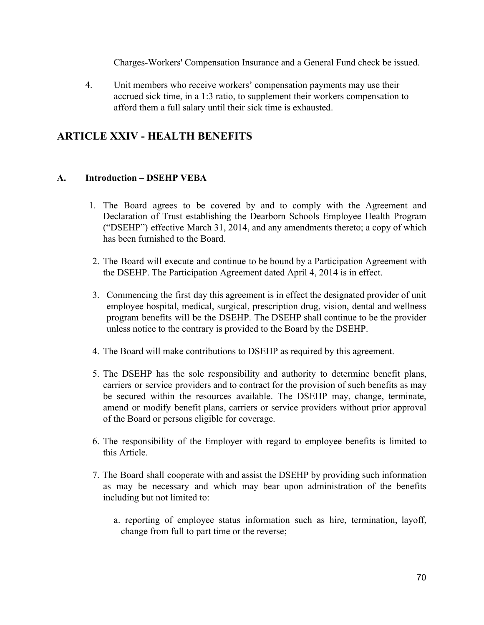Charges-Workers' Compensation Insurance and a General Fund check be issued.

4. Unit members who receive workers' compensation payments may use their accrued sick time, in a 1:3 ratio, to supplement their workers compensation to afford them a full salary until their sick time is exhausted.

### **ARTICLE XXIV - HEALTH BENEFITS**

### **A. Introduction – DSEHP VEBA**

- 1. The Board agrees to be covered by and to comply with the Agreement and Declaration of Trust establishing the Dearborn Schools Employee Health Program ("DSEHP") effective March 31, 2014, and any amendments thereto; a copy of which has been furnished to the Board.
- 2. The Board will execute and continue to be bound by a Participation Agreement with the DSEHP. The Participation Agreement dated April 4, 2014 is in effect.
- 3. Commencing the first day this agreement is in effect the designated provider of unit employee hospital, medical, surgical, prescription drug, vision, dental and wellness program benefits will be the DSEHP. The DSEHP shall continue to be the provider unless notice to the contrary is provided to the Board by the DSEHP.
- 4. The Board will make contributions to DSEHP as required by this agreement.
- 5. The DSEHP has the sole responsibility and authority to determine benefit plans, carriers or service providers and to contract for the provision of such benefits as may be secured within the resources available. The DSEHP may, change, terminate, amend or modify benefit plans, carriers or service providers without prior approval of the Board or persons eligible for coverage.
- 6. The responsibility of the Employer with regard to employee benefits is limited to this Article.
- 7. The Board shall cooperate with and assist the DSEHP by providing such information as may be necessary and which may bear upon administration of the benefits including but not limited to:
	- a. reporting of employee status information such as hire, termination, layoff, change from full to part time or the reverse;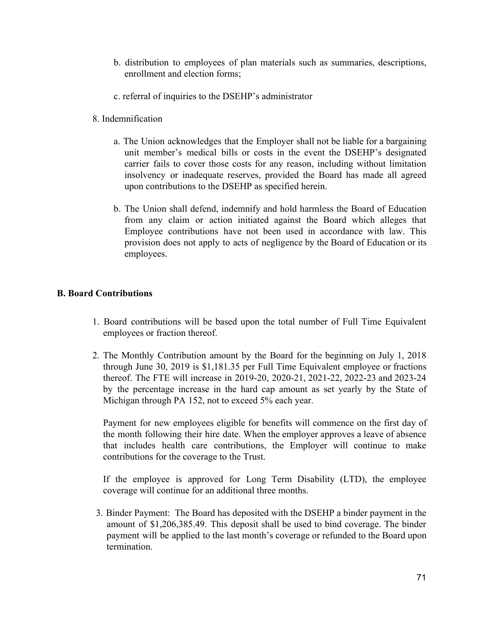- b. distribution to employees of plan materials such as summaries, descriptions, enrollment and election forms;
- c. referral of inquiries to the DSEHP's administrator
- 8. Indemnification
	- a. The Union acknowledges that the Employer shall not be liable for a bargaining unit member's medical bills or costs in the event the DSEHP's designated carrier fails to cover those costs for any reason, including without limitation insolvency or inadequate reserves, provided the Board has made all agreed upon contributions to the DSEHP as specified herein.
	- b. The Union shall defend, indemnify and hold harmless the Board of Education from any claim or action initiated against the Board which alleges that Employee contributions have not been used in accordance with law. This provision does not apply to acts of negligence by the Board of Education or its employees.

#### **B. Board Contributions**

- 1. Board contributions will be based upon the total number of Full Time Equivalent employees or fraction thereof.
- 2. The Monthly Contribution amount by the Board for the beginning on July 1, 2018 through June 30, 2019 is \$1,181.35 per Full Time Equivalent employee or fractions thereof. The FTE will increase in 2019-20, 2020-21, 2021-22, 2022-23 and 2023-24 by the percentage increase in the hard cap amount as set yearly by the State of Michigan through PA 152, not to exceed 5% each year.

Payment for new employees eligible for benefits will commence on the first day of the month following their hire date. When the employer approves a leave of absence that includes health care contributions, the Employer will continue to make contributions for the coverage to the Trust.

If the employee is approved for Long Term Disability (LTD), the employee coverage will continue for an additional three months.

3. Binder Payment: The Board has deposited with the DSEHP a binder payment in the amount of \$1,206,385.49. This deposit shall be used to bind coverage. The binder payment will be applied to the last month's coverage or refunded to the Board upon termination.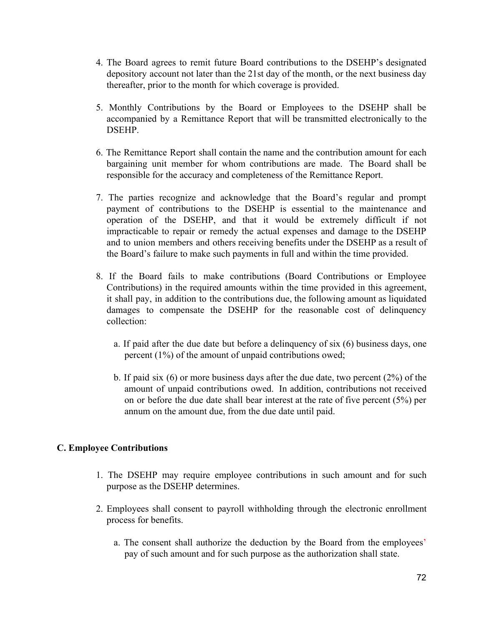- 4. The Board agrees to remit future Board contributions to the DSEHP's designated depository account not later than the 21st day of the month, or the next business day thereafter, prior to the month for which coverage is provided.
- 5. Monthly Contributions by the Board or Employees to the DSEHP shall be accompanied by a Remittance Report that will be transmitted electronically to the DSEHP.
- 6. The Remittance Report shall contain the name and the contribution amount for each bargaining unit member for whom contributions are made. The Board shall be responsible for the accuracy and completeness of the Remittance Report.
- 7. The parties recognize and acknowledge that the Board's regular and prompt payment of contributions to the DSEHP is essential to the maintenance and operation of the DSEHP, and that it would be extremely difficult if not impracticable to repair or remedy the actual expenses and damage to the DSEHP and to union members and others receiving benefits under the DSEHP as a result of the Board's failure to make such payments in full and within the time provided.
- 8. If the Board fails to make contributions (Board Contributions or Employee Contributions) in the required amounts within the time provided in this agreement, it shall pay, in addition to the contributions due, the following amount as liquidated damages to compensate the DSEHP for the reasonable cost of delinquency collection:
	- a. If paid after the due date but before a delinquency of six (6) business days, one percent (1%) of the amount of unpaid contributions owed;
	- b. If paid six (6) or more business days after the due date, two percent (2%) of the amount of unpaid contributions owed. In addition, contributions not received on or before the due date shall bear interest at the rate of five percent (5%) per annum on the amount due, from the due date until paid.

#### **C. Employee Contributions**

- 1. The DSEHP may require employee contributions in such amount and for such purpose as the DSEHP determines.
- 2. Employees shall consent to payroll withholding through the electronic enrollment process for benefits.
	- a. The consent shall authorize the deduction by the Board from the employees' pay of such amount and for such purpose as the authorization shall state.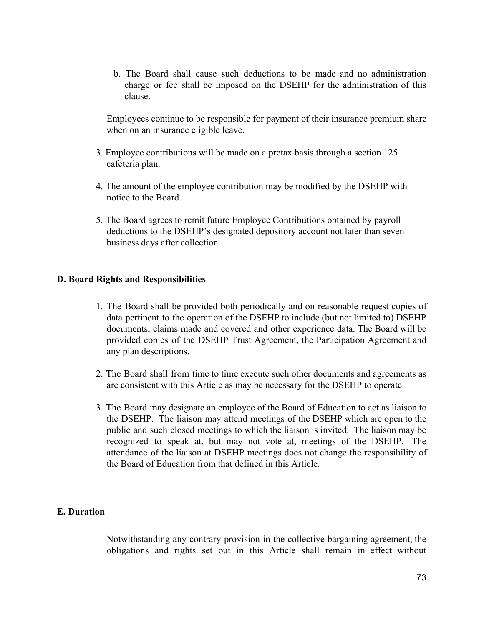b. The Board shall cause such deductions to be made and no administration charge or fee shall be imposed on the DSEHP for the administration of this clause.

Employees continue to be responsible for payment of their insurance premium share when on an insurance eligible leave.

- 3. Employee contributions will be made on a pretax basis through a section 125 cafeteria plan.
- 4. The amount of the employee contribution may be modified by the DSEHP with notice to the Board.
- 5. The Board agrees to remit future Employee Contributions obtained by payroll deductions to the DSEHP's designated depository account not later than seven business days after collection.

#### **D. Board Rights and Responsibilities**

- 1. The Board shall be provided both periodically and on reasonable request copies of data pertinent to the operation of the DSEHP to include (but not limited to) DSEHP documents, claims made and covered and other experience data. The Board will be provided copies of the DSEHP Trust Agreement, the Participation Agreement and any plan descriptions.
- 2. The Board shall from time to time execute such other documents and agreements as are consistent with this Article as may be necessary for the DSEHP to operate.
- 3. The Board may designate an employee of the Board of Education to act as liaison to the DSEHP. The liaison may attend meetings of the DSEHP which are open to the public and such closed meetings to which the liaison is invited. The liaison may be recognized to speak at, but may not vote at, meetings of the DSEHP. The attendance of the liaison at DSEHP meetings does not change the responsibility of the Board of Education from that defined in this Article.

#### **E. Duration**

Notwithstanding any contrary provision in the collective bargaining agreement, the obligations and rights set out in this Article shall remain in effect without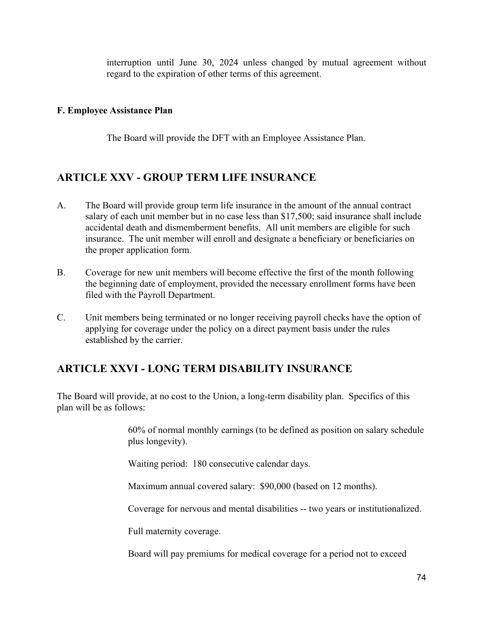interruption until June 30, 2024 unless changed by mutual agreement without regard to the expiration of other terms of this agreement.

#### **F. Employee Assistance Plan**

The Board will provide the DFT with an Employee Assistance Plan.

## **ARTICLE XXV - GROUP TERM LIFE INSURANCE**

- A. The Board will provide group term life insurance in the amount of the annual contract salary of each unit member but in no case less than \$17,500; said insurance shall include accidental death and dismemberment benefits. All unit members are eligible for such insurance. The unit member will enroll and designate a beneficiary or beneficiaries on the proper application form.
- B. Coverage for new unit members will become effective the first of the month following the beginning date of employment, provided the necessary enrollment forms have been filed with the Payroll Department.
- C. Unit members being terminated or no longer receiving payroll checks have the option of applying for coverage under the policy on a direct payment basis under the rules established by the carrier.

## **ARTICLE XXVI - LONG TERM DISABILITY INSURANCE**

The Board will provide, at no cost to the Union, a long-term disability plan. Specifics of this plan will be as follows:

> 60% of normal monthly earnings (to be defined as position on salary schedule plus longevity).

Waiting period: 180 consecutive calendar days.

Maximum annual covered salary: \$90,000 (based on 12 months).

Coverage for nervous and mental disabilities -- two years or institutionalized.

Full maternity coverage.

Board will pay premiums for medical coverage for a period not to exceed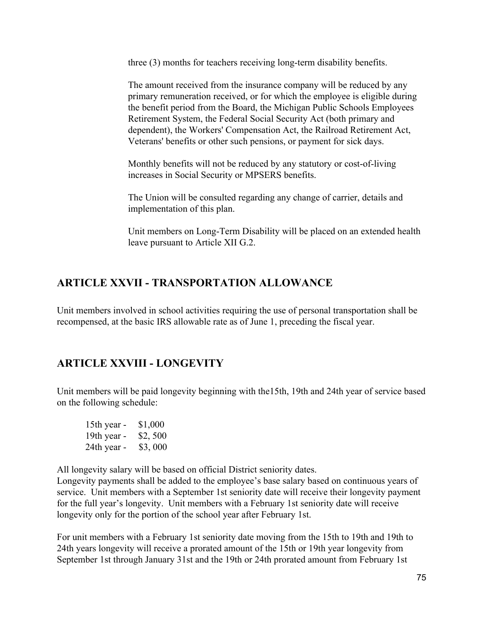three (3) months for teachers receiving long-term disability benefits.

The amount received from the insurance company will be reduced by any primary remuneration received, or for which the employee is eligible during the benefit period from the Board, the Michigan Public Schools Employees Retirement System, the Federal Social Security Act (both primary and dependent), the Workers' Compensation Act, the Railroad Retirement Act, Veterans' benefits or other such pensions, or payment for sick days.

Monthly benefits will not be reduced by any statutory or cost-of-living increases in Social Security or MPSERS benefits.

The Union will be consulted regarding any change of carrier, details and implementation of this plan.

Unit members on Long-Term Disability will be placed on an extended health leave pursuant to Article XII G.2.

## **ARTICLE XXVII - TRANSPORTATION ALLOWANCE**

Unit members involved in school activities requiring the use of personal transportation shall be recompensed, at the basic IRS allowable rate as of June 1, preceding the fiscal year.

# **ARTICLE XXVIII - LONGEVITY**

Unit members will be paid longevity beginning with the15th, 19th and 24th year of service based on the following schedule:

| 15th year - | \$1,000 |
|-------------|---------|
| 19th year - | \$2,500 |
| 24th year - | \$3,000 |

All longevity salary will be based on official District seniority dates.

Longevity payments shall be added to the employee's base salary based on continuous years of service. Unit members with a September 1st seniority date will receive their longevity payment for the full year's longevity. Unit members with a February 1st seniority date will receive longevity only for the portion of the school year after February 1st.

For unit members with a February 1st seniority date moving from the 15th to 19th and 19th to 24th years longevity will receive a prorated amount of the 15th or 19th year longevity from September 1st through January 31st and the 19th or 24th prorated amount from February 1st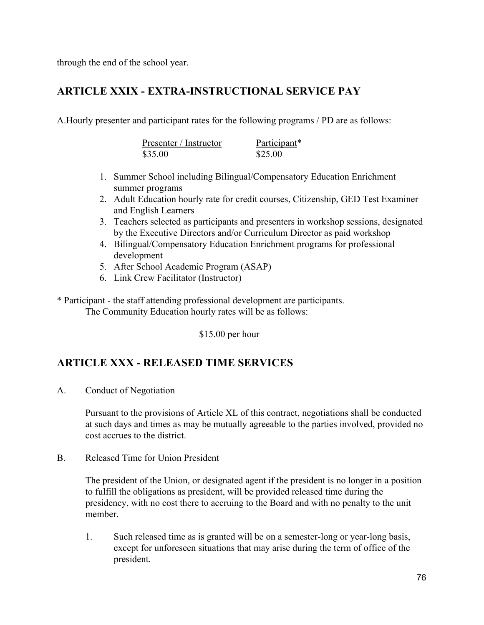through the end of the school year.

## **ARTICLE XXIX - EXTRA-INSTRUCTIONAL SERVICE PAY**

A.Hourly presenter and participant rates for the following programs / PD are as follows:

| Presenter / Instructor | Participant* |
|------------------------|--------------|
| \$35.00                | \$25.00      |

- 1. Summer School including Bilingual/Compensatory Education Enrichment summer programs
- 2. Adult Education hourly rate for credit courses, Citizenship, GED Test Examiner and English Learners
- 3. Teachers selected as participants and presenters in workshop sessions, designated by the Executive Directors and/or Curriculum Director as paid workshop
- 4. Bilingual/Compensatory Education Enrichment programs for professional development
- 5. After School Academic Program (ASAP)
- 6. Link Crew Facilitator (Instructor)
- \* Participant the staff attending professional development are participants. The Community Education hourly rates will be as follows:

\$15.00 per hour

# **ARTICLE XXX - RELEASED TIME SERVICES**

A. Conduct of Negotiation

Pursuant to the provisions of Article XL of this contract, negotiations shall be conducted at such days and times as may be mutually agreeable to the parties involved, provided no cost accrues to the district.

B. Released Time for Union President

The president of the Union, or designated agent if the president is no longer in a position to fulfill the obligations as president, will be provided released time during the presidency, with no cost there to accruing to the Board and with no penalty to the unit member.

1. Such released time as is granted will be on a semester-long or year-long basis, except for unforeseen situations that may arise during the term of office of the president.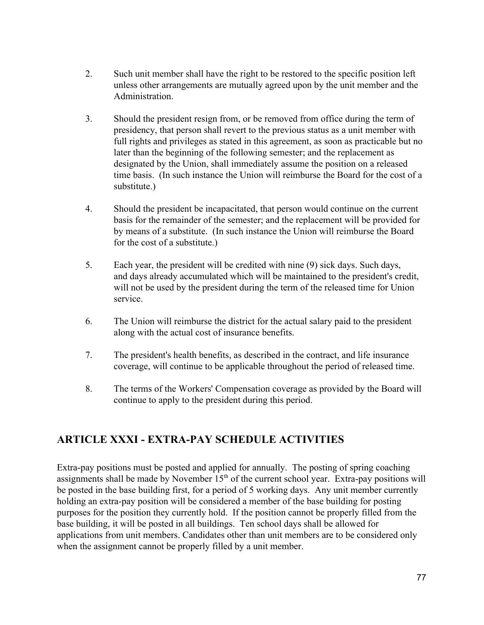- 2. Such unit member shall have the right to be restored to the specific position left unless other arrangements are mutually agreed upon by the unit member and the Administration.
- 3. Should the president resign from, or be removed from office during the term of presidency, that person shall revert to the previous status as a unit member with full rights and privileges as stated in this agreement, as soon as practicable but no later than the beginning of the following semester; and the replacement as designated by the Union, shall immediately assume the position on a released time basis. (In such instance the Union will reimburse the Board for the cost of a substitute.)
- 4. Should the president be incapacitated, that person would continue on the current basis for the remainder of the semester; and the replacement will be provided for by means of a substitute. (In such instance the Union will reimburse the Board for the cost of a substitute.)
- 5. Each year, the president will be credited with nine (9) sick days. Such days, and days already accumulated which will be maintained to the president's credit, will not be used by the president during the term of the released time for Union service.
- 6. The Union will reimburse the district for the actual salary paid to the president along with the actual cost of insurance benefits.
- 7. The president's health benefits, as described in the contract, and life insurance coverage, will continue to be applicable throughout the period of released time.
- 8. The terms of the Workers' Compensation coverage as provided by the Board will continue to apply to the president during this period.

# **ARTICLE XXXI - EXTRA-PAY SCHEDULE ACTIVITIES**

Extra-pay positions must be posted and applied for annually. The posting of spring coaching assignments shall be made by November  $15<sup>th</sup>$  of the current school year. Extra-pay positions will be posted in the base building first, for a period of 5 working days. Any unit member currently holding an extra-pay position will be considered a member of the base building for posting purposes for the position they currently hold. If the position cannot be properly filled from the base building, it will be posted in all buildings. Ten school days shall be allowed for applications from unit members. Candidates other than unit members are to be considered only when the assignment cannot be properly filled by a unit member.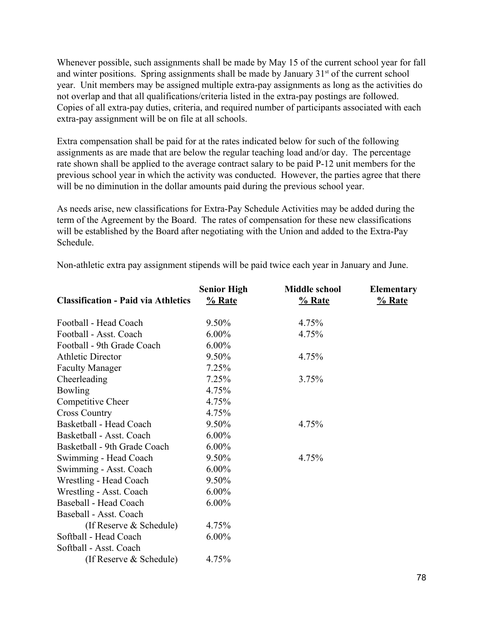Whenever possible, such assignments shall be made by May 15 of the current school year for fall and winter positions. Spring assignments shall be made by January  $31<sup>st</sup>$  of the current school year. Unit members may be assigned multiple extra-pay assignments as long as the activities do not overlap and that all qualifications/criteria listed in the extra-pay postings are followed. Copies of all extra-pay duties, criteria, and required number of participants associated with each extra-pay assignment will be on file at all schools.

Extra compensation shall be paid for at the rates indicated below for such of the following assignments as are made that are below the regular teaching load and/or day. The percentage rate shown shall be applied to the average contract salary to be paid P-12 unit members for the previous school year in which the activity was conducted. However, the parties agree that there will be no diminution in the dollar amounts paid during the previous school year.

As needs arise, new classifications for Extra-Pay Schedule Activities may be added during the term of the Agreement by the Board. The rates of compensation for these new classifications will be established by the Board after negotiating with the Union and added to the Extra-Pay Schedule.

|                                            | <b>Senior High</b> | <b>Middle school</b> | <b>Elementary</b> |
|--------------------------------------------|--------------------|----------------------|-------------------|
| <b>Classification - Paid via Athletics</b> | % Rate             | % Rate               | $%$ Rate          |
| Football - Head Coach                      | 9.50%              | 4.75%                |                   |
| Football - Asst. Coach                     | $6.00\%$           | 4.75%                |                   |
| Football - 9th Grade Coach                 | $6.00\%$           |                      |                   |
| <b>Athletic Director</b>                   | 9.50%              | 4.75%                |                   |
| <b>Faculty Manager</b>                     | 7.25%              |                      |                   |
| Cheerleading                               | 7.25%              | 3.75%                |                   |
| <b>Bowling</b>                             | 4.75%              |                      |                   |
| Competitive Cheer                          | 4.75%              |                      |                   |
| <b>Cross Country</b>                       | 4.75%              |                      |                   |
| Basketball - Head Coach                    | 9.50%              | 4.75%                |                   |
| Basketball - Asst. Coach                   | $6.00\%$           |                      |                   |
| Basketball - 9th Grade Coach               | $6.00\%$           |                      |                   |
| Swimming - Head Coach                      | 9.50%              | 4.75%                |                   |
| Swimming - Asst. Coach                     | $6.00\%$           |                      |                   |
| Wrestling - Head Coach                     | 9.50%              |                      |                   |
| Wrestling - Asst. Coach                    | $6.00\%$           |                      |                   |
| Baseball - Head Coach                      | $6.00\%$           |                      |                   |
| Baseball - Asst. Coach                     |                    |                      |                   |
| (If Reserve $&$ Schedule)                  | 4.75%              |                      |                   |
| Softball - Head Coach                      | $6.00\%$           |                      |                   |
| Softball - Asst. Coach                     |                    |                      |                   |
| (If Reserve $&$ Schedule)                  | 4.75%              |                      |                   |

Non-athletic extra pay assignment stipends will be paid twice each year in January and June.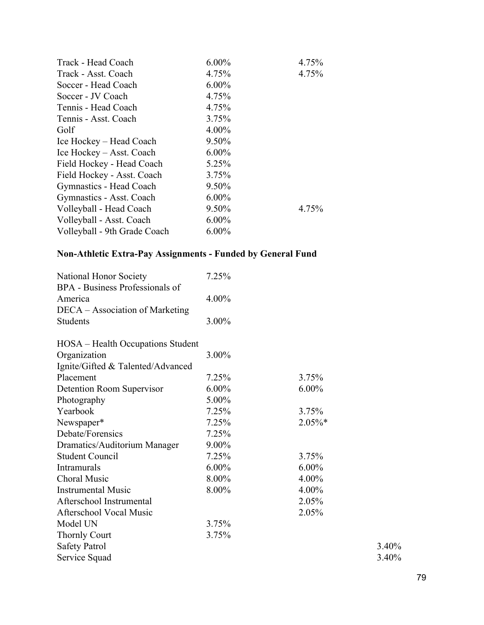| Track - Head Coach           | $6.00\%$ | 4.75% |
|------------------------------|----------|-------|
| Track - Asst. Coach          | 4.75%    | 4.75% |
| Soccer - Head Coach          | $6.00\%$ |       |
| Soccer - JV Coach            | 4.75%    |       |
| Tennis - Head Coach          | 4.75%    |       |
| Tennis - Asst. Coach         | 3.75%    |       |
| Golf                         | $4.00\%$ |       |
| Ice Hockey – Head Coach      | 9.50%    |       |
| Ice Hockey – Asst. Coach     | $6.00\%$ |       |
| Field Hockey - Head Coach    | 5.25%    |       |
| Field Hockey - Asst. Coach   | 3.75%    |       |
| Gymnastics - Head Coach      | 9.50%    |       |
| Gymnastics - Asst. Coach     | $6.00\%$ |       |
| Volleyball - Head Coach      | 9.50%    | 4.75% |
| Volleyball - Asst. Coach     | $6.00\%$ |       |
| Volleyball - 9th Grade Coach | $6.00\%$ |       |

# **Non-Athletic Extra-Pay Assignments - Funded by General Fund**

| National Honor Society<br>BPA - Business Professionals of | 7.25%    |            |       |
|-----------------------------------------------------------|----------|------------|-------|
| America                                                   | 4.00%    |            |       |
| DECA – Association of Marketing                           |          |            |       |
| <b>Students</b>                                           | 3.00%    |            |       |
| HOSA – Health Occupations Student                         |          |            |       |
| Organization                                              | 3.00%    |            |       |
| Ignite/Gifted & Talented/Advanced                         |          |            |       |
| Placement                                                 | 7.25%    | 3.75%      |       |
| Detention Room Supervisor                                 | $6.00\%$ | $6.00\%$   |       |
| Photography                                               | 5.00%    |            |       |
| Yearbook                                                  | 7.25%    | 3.75%      |       |
| Newspaper*                                                | 7.25%    | $2.05\%$ * |       |
| Debate/Forensics                                          | 7.25%    |            |       |
| Dramatics/Auditorium Manager                              | 9.00%    |            |       |
| <b>Student Council</b>                                    | 7.25%    | 3.75%      |       |
| Intramurals                                               | $6.00\%$ | $6.00\%$   |       |
| <b>Choral Music</b>                                       | 8.00%    | 4.00%      |       |
| <b>Instrumental Music</b>                                 | 8.00%    | 4.00%      |       |
| Afterschool Instrumental                                  |          | 2.05%      |       |
| <b>Afterschool Vocal Music</b>                            |          | 2.05%      |       |
| Model UN                                                  | 3.75%    |            |       |
| <b>Thornly Court</b>                                      | 3.75%    |            |       |
| <b>Safety Patrol</b>                                      |          |            | 3.40% |
| Service Squad                                             |          |            | 3.40% |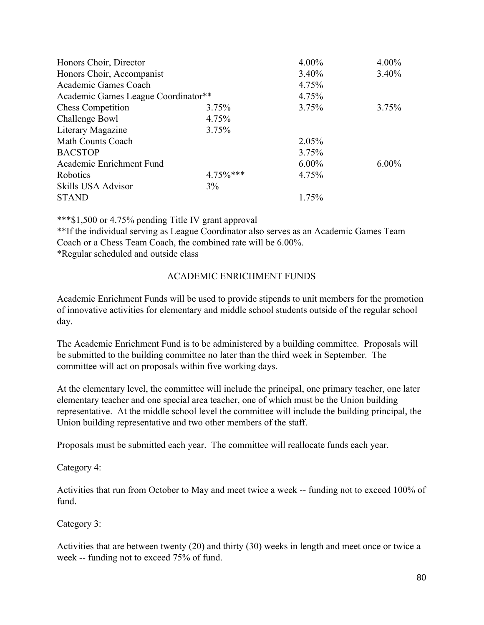| Honors Choir, Director              |             | $4.00\%$ | $4.00\%$ |
|-------------------------------------|-------------|----------|----------|
| Honors Choir, Accompanist           |             | $3.40\%$ | $3.40\%$ |
| Academic Games Coach                |             | 4.75%    |          |
| Academic Games League Coordinator** |             | 4.75%    |          |
| <b>Chess Competition</b>            | 3.75%       | 3.75%    | 3.75%    |
| Challenge Bowl                      | 4.75%       |          |          |
| Literary Magazine                   | 3.75%       |          |          |
| Math Counts Coach                   |             | 2.05%    |          |
| <b>BACSTOP</b>                      |             | 3.75%    |          |
| Academic Enrichment Fund            |             | $6.00\%$ | $6.00\%$ |
| Robotics                            | $4.75\%***$ | 4.75%    |          |
| Skills USA Advisor                  | 3%          |          |          |
| <b>STAND</b>                        |             | 1.75%    |          |

\*\*\*\$1,500 or 4.75% pending Title IV grant approval

\*\*If the individual serving as League Coordinator also serves as an Academic Games Team Coach or a Chess Team Coach, the combined rate will be 6.00%.

\*Regular scheduled and outside class

#### ACADEMIC ENRICHMENT FUNDS

Academic Enrichment Funds will be used to provide stipends to unit members for the promotion of innovative activities for elementary and middle school students outside of the regular school day.

The Academic Enrichment Fund is to be administered by a building committee. Proposals will be submitted to the building committee no later than the third week in September. The committee will act on proposals within five working days.

At the elementary level, the committee will include the principal, one primary teacher, one later elementary teacher and one special area teacher, one of which must be the Union building representative. At the middle school level the committee will include the building principal, the Union building representative and two other members of the staff.

Proposals must be submitted each year. The committee will reallocate funds each year.

Category 4:

Activities that run from October to May and meet twice a week -- funding not to exceed 100% of fund.

Category 3:

Activities that are between twenty (20) and thirty (30) weeks in length and meet once or twice a week -- funding not to exceed 75% of fund.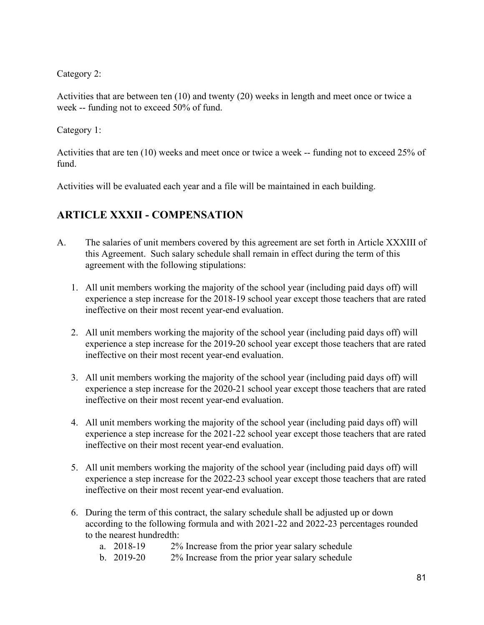Category 2:

Activities that are between ten (10) and twenty (20) weeks in length and meet once or twice a week -- funding not to exceed 50% of fund.

Category 1:

Activities that are ten (10) weeks and meet once or twice a week -- funding not to exceed 25% of fund.

Activities will be evaluated each year and a file will be maintained in each building.

# **ARTICLE XXXII - COMPENSATION**

- A. The salaries of unit members covered by this agreement are set forth in Article XXXIII of this Agreement. Such salary schedule shall remain in effect during the term of this agreement with the following stipulations:
	- 1. All unit members working the majority of the school year (including paid days off) will experience a step increase for the 2018-19 school year except those teachers that are rated ineffective on their most recent year-end evaluation.
	- 2. All unit members working the majority of the school year (including paid days off) will experience a step increase for the 2019-20 school year except those teachers that are rated ineffective on their most recent year-end evaluation.
	- 3. All unit members working the majority of the school year (including paid days off) will experience a step increase for the 2020-21 school year except those teachers that are rated ineffective on their most recent year-end evaluation.
	- 4. All unit members working the majority of the school year (including paid days off) will experience a step increase for the 2021-22 school year except those teachers that are rated ineffective on their most recent year-end evaluation.
	- 5. All unit members working the majority of the school year (including paid days off) will experience a step increase for the 2022-23 school year except those teachers that are rated ineffective on their most recent year-end evaluation.
	- 6. During the term of this contract, the salary schedule shall be adjusted up or down according to the following formula and with 2021-22 and 2022-23 percentages rounded to the nearest hundredth:
		- a. 2018-19 2% Increase from the prior year salary schedule
		- b. 2019-20 2% Increase from the prior year salary schedule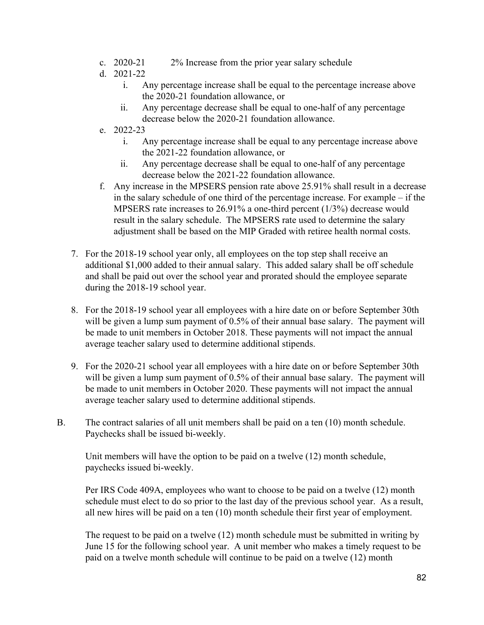- c. 2020-21 2% Increase from the prior year salary schedule
- d. 2021-22
	- i. Any percentage increase shall be equal to the percentage increase above the 2020-21 foundation allowance, or
	- ii. Any percentage decrease shall be equal to one-half of any percentage decrease below the 2020-21 foundation allowance.
- e. 2022-23
	- i. Any percentage increase shall be equal to any percentage increase above the 2021-22 foundation allowance, or
	- ii. Any percentage decrease shall be equal to one-half of any percentage decrease below the 2021-22 foundation allowance.
- f. Any increase in the MPSERS pension rate above 25.91% shall result in a decrease in the salary schedule of one third of the percentage increase. For example – if the MPSERS rate increases to 26.91% a one-third percent (1/3%) decrease would result in the salary schedule. The MPSERS rate used to determine the salary adjustment shall be based on the MIP Graded with retiree health normal costs.
- 7. For the 2018-19 school year only, all employees on the top step shall receive an additional \$1,000 added to their annual salary. This added salary shall be off schedule and shall be paid out over the school year and prorated should the employee separate during the 2018-19 school year.
- 8. For the 2018-19 school year all employees with a hire date on or before September 30th will be given a lump sum payment of 0.5% of their annual base salary. The payment will be made to unit members in October 2018. These payments will not impact the annual average teacher salary used to determine additional stipends.
- 9. For the 2020-21 school year all employees with a hire date on or before September 30th will be given a lump sum payment of 0.5% of their annual base salary. The payment will be made to unit members in October 2020. These payments will not impact the annual average teacher salary used to determine additional stipends.
- B. The contract salaries of all unit members shall be paid on a ten (10) month schedule. Paychecks shall be issued bi-weekly.

Unit members will have the option to be paid on a twelve (12) month schedule, paychecks issued bi-weekly.

Per IRS Code 409A, employees who want to choose to be paid on a twelve (12) month schedule must elect to do so prior to the last day of the previous school year. As a result, all new hires will be paid on a ten (10) month schedule their first year of employment.

The request to be paid on a twelve (12) month schedule must be submitted in writing by June 15 for the following school year. A unit member who makes a timely request to be paid on a twelve month schedule will continue to be paid on a twelve (12) month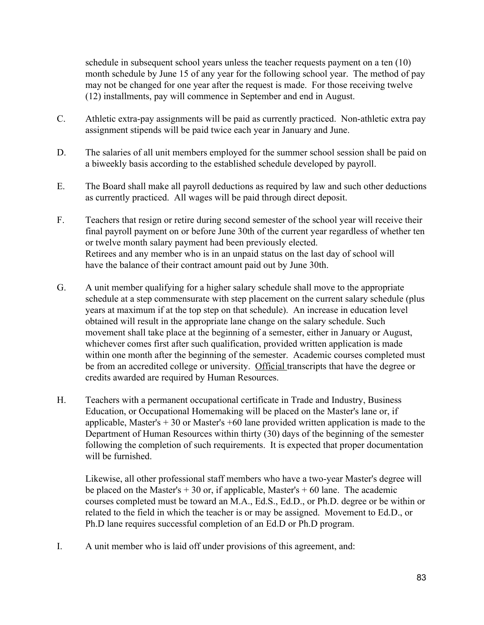schedule in subsequent school years unless the teacher requests payment on a ten (10) month schedule by June 15 of any year for the following school year. The method of pay may not be changed for one year after the request is made. For those receiving twelve (12) installments, pay will commence in September and end in August.

- C. Athletic extra-pay assignments will be paid as currently practiced. Non-athletic extra pay assignment stipends will be paid twice each year in January and June.
- D. The salaries of all unit members employed for the summer school session shall be paid on a biweekly basis according to the established schedule developed by payroll.
- E. The Board shall make all payroll deductions as required by law and such other deductions as currently practiced. All wages will be paid through direct deposit.
- F. Teachers that resign or retire during second semester of the school year will receive their final payroll payment on or before June 30th of the current year regardless of whether ten or twelve month salary payment had been previously elected. Retirees and any member who is in an unpaid status on the last day of school will have the balance of their contract amount paid out by June 30th.
- G. A unit member qualifying for a higher salary schedule shall move to the appropriate schedule at a step commensurate with step placement on the current salary schedule (plus years at maximum if at the top step on that schedule). An increase in education level obtained will result in the appropriate lane change on the salary schedule. Such movement shall take place at the beginning of a semester, either in January or August, whichever comes first after such qualification, provided written application is made within one month after the beginning of the semester. Academic courses completed must be from an accredited college or university. Official transcripts that have the degree or credits awarded are required by Human Resources.
- H. Teachers with a permanent occupational certificate in Trade and Industry, Business Education, or Occupational Homemaking will be placed on the Master's lane or, if applicable, Master's  $+30$  or Master's  $+60$  lane provided written application is made to the Department of Human Resources within thirty (30) days of the beginning of the semester following the completion of such requirements. It is expected that proper documentation will be furnished.

Likewise, all other professional staff members who have a two-year Master's degree will be placed on the Master's  $+30$  or, if applicable, Master's  $+60$  lane. The academic courses completed must be toward an M.A., Ed.S., Ed.D., or Ph.D. degree or be within or related to the field in which the teacher is or may be assigned. Movement to Ed.D., or Ph.D lane requires successful completion of an Ed.D or Ph.D program.

I. A unit member who is laid off under provisions of this agreement, and: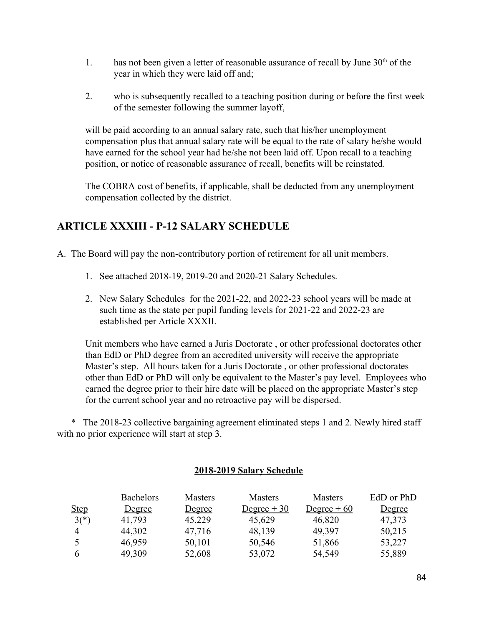- 1. has not been given a letter of reasonable assurance of recall by June  $30<sup>th</sup>$  of the year in which they were laid off and;
- 2. who is subsequently recalled to a teaching position during or before the first week of the semester following the summer layoff,

will be paid according to an annual salary rate, such that his/her unemployment compensation plus that annual salary rate will be equal to the rate of salary he/she would have earned for the school year had he/she not been laid off. Upon recall to a teaching position, or notice of reasonable assurance of recall, benefits will be reinstated.

The COBRA cost of benefits, if applicable, shall be deducted from any unemployment compensation collected by the district.

## **ARTICLE XXXIII - P-12 SALARY SCHEDULE**

- A. The Board will pay the non-contributory portion of retirement for all unit members.
	- 1. See attached 2018-19, 2019-20 and 2020-21 Salary Schedules.
	- 2. New Salary Schedules for the 2021-22, and 2022-23 school years will be made at such time as the state per pupil funding levels for 2021-22 and 2022-23 are established per Article XXXII.

Unit members who have earned a Juris Doctorate , or other professional doctorates other than EdD or PhD degree from an accredited university will receive the appropriate Master's step. All hours taken for a Juris Doctorate , or other professional doctorates other than EdD or PhD will only be equivalent to the Master's pay level. Employees who earned the degree prior to their hire date will be placed on the appropriate Master's step for the current school year and no retroactive pay will be dispersed.

\* The 2018-23 collective bargaining agreement eliminated steps 1 and 2. Newly hired staff with no prior experience will start at step 3.

#### **2018-2019 Salary Schedule**

|                | <b>Bachelors</b> | <b>Masters</b> | <b>Masters</b> | <b>Masters</b> | EdD or PhD    |
|----------------|------------------|----------------|----------------|----------------|---------------|
| <u>Step</u>    | <u>Degree</u>    | <u>Degree</u>  | $Degree + 30$  | $Degree + 60$  | <u>Degree</u> |
| $3(*)$         | 41,793           | 45,229         | 45,629         | 46,820         | 47,373        |
| $\overline{4}$ | 44,302           | 47,716         | 48,139         | 49,397         | 50,215        |
|                | 46,959           | 50,101         | 50,546         | 51,866         | 53,227        |
| 6              | 49,309           | 52,608         | 53,072         | 54,549         | 55,889        |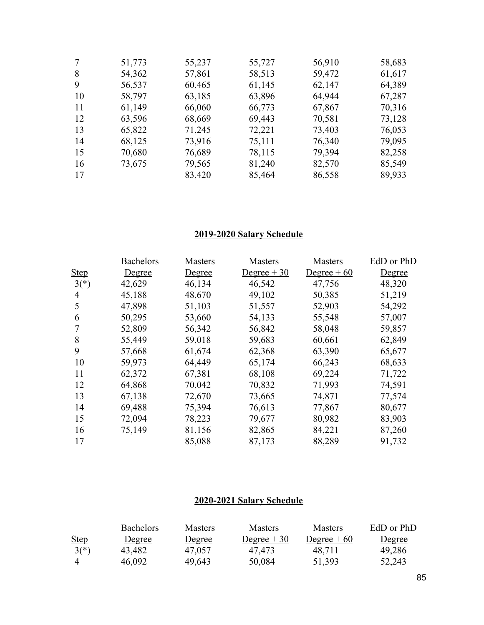| 7  | 51,773 | 55,237 | 55,727 | 56,910 | 58,683 |
|----|--------|--------|--------|--------|--------|
| 8  | 54,362 | 57,861 | 58,513 | 59,472 | 61,617 |
| 9  | 56,537 | 60,465 | 61,145 | 62,147 | 64,389 |
| 10 | 58,797 | 63,185 | 63,896 | 64,944 | 67,287 |
| 11 | 61,149 | 66,060 | 66,773 | 67,867 | 70,316 |
| 12 | 63,596 | 68,669 | 69,443 | 70,581 | 73,128 |
| 13 | 65,822 | 71,245 | 72,221 | 73,403 | 76,053 |
| 14 | 68,125 | 73,916 | 75,111 | 76,340 | 79,095 |
| 15 | 70,680 | 76,689 | 78,115 | 79,394 | 82,258 |
| 16 | 73,675 | 79,565 | 81,240 | 82,570 | 85,549 |
| 17 |        | 83,420 | 85,464 | 86,558 | 89,933 |

#### **2019-2020 Salary Schedule**

|             | <b>Bachelors</b> | Masters | Masters      | <b>Masters</b> | EdD or PhD    |
|-------------|------------------|---------|--------------|----------------|---------------|
| <b>Step</b> | <b>Degree</b>    | Degree  | Degree $+30$ | Degree $+60$   | <b>Degree</b> |
| $3(*)$      | 42,629           | 46,134  | 46,542       | 47,756         | 48,320        |
| 4           | 45,188           | 48,670  | 49,102       | 50,385         | 51,219        |
| 5           | 47,898           | 51,103  | 51,557       | 52,903         | 54,292        |
| 6           | 50,295           | 53,660  | 54,133       | 55,548         | 57,007        |
|             | 52,809           | 56,342  | 56,842       | 58,048         | 59,857        |
| 8           | 55,449           | 59,018  | 59,683       | 60,661         | 62,849        |
| 9           | 57,668           | 61,674  | 62,368       | 63,390         | 65,677        |
| 10          | 59,973           | 64,449  | 65,174       | 66,243         | 68,633        |
| 11          | 62,372           | 67,381  | 68,108       | 69,224         | 71,722        |
| 12          | 64,868           | 70,042  | 70,832       | 71,993         | 74,591        |
| 13          | 67,138           | 72,670  | 73,665       | 74,871         | 77,574        |
| 14          | 69,488           | 75,394  | 76,613       | 77,867         | 80,677        |
| 15          | 72,094           | 78,223  | 79,677       | 80,982         | 83,903        |
| 16          | 75,149           | 81,156  | 82,865       | 84,221         | 87,260        |
| 17          |                  | 85,088  | 87,173       | 88,289         | 91,732        |

## **2020-2021 Salary Schedule**

|                | <b>Bachelors</b> | <b>Masters</b> | <b>Masters</b> | <b>Masters</b> | EdD or PhD    |
|----------------|------------------|----------------|----------------|----------------|---------------|
| <b>Step</b>    | <u>Degree</u>    | Degree         | $Degree + 30$  | $Degree + 60$  | <u>Degree</u> |
| $3(*)$         | 43,482           | 47,057         | 47,473         | 48.711         | 49,286        |
| $\overline{4}$ | 46.092           | 49,643         | 50,084         | 51,393         | 52,243        |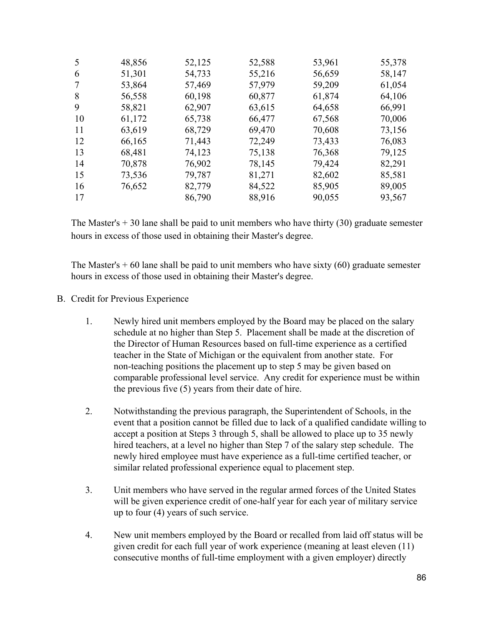| 5  | 48,856 | 52,125 | 52,588 | 53,961 | 55,378 |
|----|--------|--------|--------|--------|--------|
| 6  | 51,301 | 54,733 | 55,216 | 56,659 | 58,147 |
| 7  | 53,864 | 57,469 | 57,979 | 59,209 | 61,054 |
| 8  | 56,558 | 60,198 | 60,877 | 61,874 | 64,106 |
| 9  | 58,821 | 62,907 | 63,615 | 64,658 | 66,991 |
| 10 | 61,172 | 65,738 | 66,477 | 67,568 | 70,006 |
| 11 | 63,619 | 68,729 | 69,470 | 70,608 | 73,156 |
| 12 | 66,165 | 71,443 | 72,249 | 73,433 | 76,083 |
| 13 | 68,481 | 74,123 | 75,138 | 76,368 | 79,125 |
| 14 | 70,878 | 76,902 | 78,145 | 79,424 | 82,291 |
| 15 | 73,536 | 79,787 | 81,271 | 82,602 | 85,581 |
| 16 | 76,652 | 82,779 | 84,522 | 85,905 | 89,005 |
| 17 |        | 86,790 | 88,916 | 90,055 | 93,567 |

The Master's  $+30$  lane shall be paid to unit members who have thirty (30) graduate semester hours in excess of those used in obtaining their Master's degree.

The Master's  $+60$  lane shall be paid to unit members who have sixty  $(60)$  graduate semester hours in excess of those used in obtaining their Master's degree.

- B. Credit for Previous Experience
	- 1. Newly hired unit members employed by the Board may be placed on the salary schedule at no higher than Step 5. Placement shall be made at the discretion of the Director of Human Resources based on full-time experience as a certified teacher in the State of Michigan or the equivalent from another state. For non-teaching positions the placement up to step 5 may be given based on comparable professional level service. Any credit for experience must be within the previous five (5) years from their date of hire.
	- 2. Notwithstanding the previous paragraph, the Superintendent of Schools, in the event that a position cannot be filled due to lack of a qualified candidate willing to accept a position at Steps 3 through 5, shall be allowed to place up to 35 newly hired teachers, at a level no higher than Step 7 of the salary step schedule. The newly hired employee must have experience as a full-time certified teacher, or similar related professional experience equal to placement step.
	- 3. Unit members who have served in the regular armed forces of the United States will be given experience credit of one-half year for each year of military service up to four (4) years of such service.
	- 4. New unit members employed by the Board or recalled from laid off status will be given credit for each full year of work experience (meaning at least eleven (11) consecutive months of full-time employment with a given employer) directly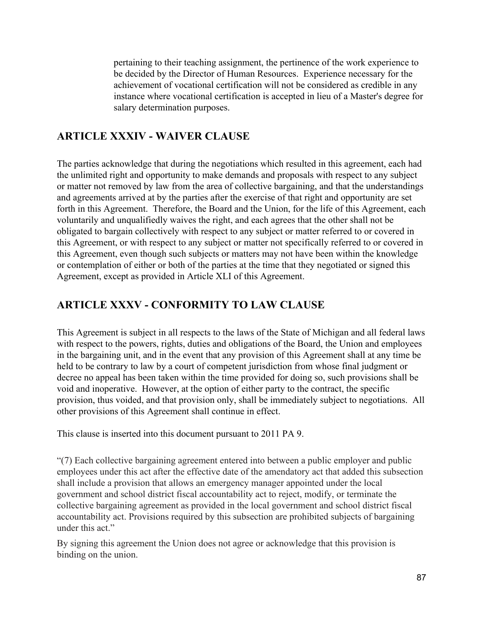pertaining to their teaching assignment, the pertinence of the work experience to be decided by the Director of Human Resources. Experience necessary for the achievement of vocational certification will not be considered as credible in any instance where vocational certification is accepted in lieu of a Master's degree for salary determination purposes.

## **ARTICLE XXXIV - WAIVER CLAUSE**

The parties acknowledge that during the negotiations which resulted in this agreement, each had the unlimited right and opportunity to make demands and proposals with respect to any subject or matter not removed by law from the area of collective bargaining, and that the understandings and agreements arrived at by the parties after the exercise of that right and opportunity are set forth in this Agreement. Therefore, the Board and the Union, for the life of this Agreement, each voluntarily and unqualifiedly waives the right, and each agrees that the other shall not be obligated to bargain collectively with respect to any subject or matter referred to or covered in this Agreement, or with respect to any subject or matter not specifically referred to or covered in this Agreement, even though such subjects or matters may not have been within the knowledge or contemplation of either or both of the parties at the time that they negotiated or signed this Agreement, except as provided in Article XLI of this Agreement.

#### **ARTICLE XXXV - CONFORMITY TO LAW CLAUSE**

This Agreement is subject in all respects to the laws of the State of Michigan and all federal laws with respect to the powers, rights, duties and obligations of the Board, the Union and employees in the bargaining unit, and in the event that any provision of this Agreement shall at any time be held to be contrary to law by a court of competent jurisdiction from whose final judgment or decree no appeal has been taken within the time provided for doing so, such provisions shall be void and inoperative. However, at the option of either party to the contract, the specific provision, thus voided, and that provision only, shall be immediately subject to negotiations. All other provisions of this Agreement shall continue in effect.

This clause is inserted into this document pursuant to 2011 PA 9.

"(7) Each collective bargaining agreement entered into between a public employer and public employees under this act after the effective date of the amendatory act that added this subsection shall include a provision that allows an emergency manager appointed under the local government and school district fiscal accountability act to reject, modify, or terminate the collective bargaining agreement as provided in the local government and school district fiscal accountability act. Provisions required by this subsection are prohibited subjects of bargaining under this act."

By signing this agreement the Union does not agree or acknowledge that this provision is binding on the union.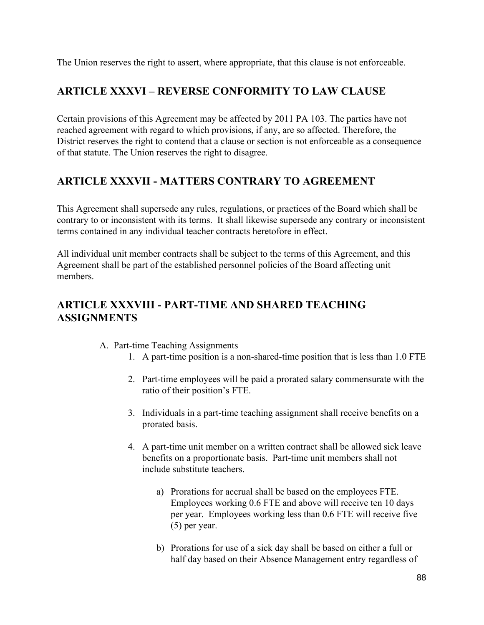The Union reserves the right to assert, where appropriate, that this clause is not enforceable.

## **ARTICLE XXXVI – REVERSE CONFORMITY TO LAW CLAUSE**

Certain provisions of this Agreement may be affected by 2011 PA 103. The parties have not reached agreement with regard to which provisions, if any, are so affected. Therefore, the District reserves the right to contend that a clause or section is not enforceable as a consequence of that statute. The Union reserves the right to disagree.

## **ARTICLE XXXVII - MATTERS CONTRARY TO AGREEMENT**

This Agreement shall supersede any rules, regulations, or practices of the Board which shall be contrary to or inconsistent with its terms. It shall likewise supersede any contrary or inconsistent terms contained in any individual teacher contracts heretofore in effect.

All individual unit member contracts shall be subject to the terms of this Agreement, and this Agreement shall be part of the established personnel policies of the Board affecting unit members.

## **ARTICLE XXXVIII - PART-TIME AND SHARED TEACHING ASSIGNMENTS**

- A. Part-time Teaching Assignments
	- 1. A part-time position is a non-shared-time position that is less than 1.0 FTE
	- 2. Part-time employees will be paid a prorated salary commensurate with the ratio of their position's FTE.
	- 3. Individuals in a part-time teaching assignment shall receive benefits on a prorated basis.
	- 4. A part-time unit member on a written contract shall be allowed sick leave benefits on a proportionate basis. Part-time unit members shall not include substitute teachers.
		- a) Prorations for accrual shall be based on the employees FTE. Employees working 0.6 FTE and above will receive ten 10 days per year. Employees working less than 0.6 FTE will receive five (5) per year.
		- b) Prorations for use of a sick day shall be based on either a full or half day based on their Absence Management entry regardless of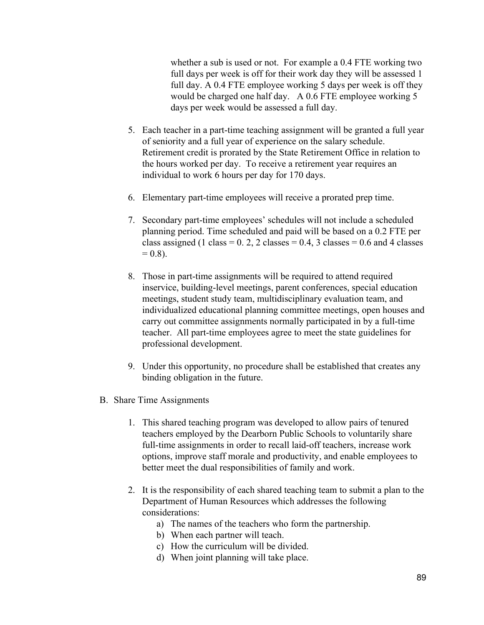whether a sub is used or not. For example a 0.4 FTE working two full days per week is off for their work day they will be assessed 1 full day. A 0.4 FTE employee working 5 days per week is off they would be charged one half day. A 0.6 FTE employee working 5 days per week would be assessed a full day.

- 5. Each teacher in a part-time teaching assignment will be granted a full year of seniority and a full year of experience on the salary schedule. Retirement credit is prorated by the State Retirement Office in relation to the hours worked per day. To receive a retirement year requires an individual to work 6 hours per day for 170 days.
- 6. Elementary part-time employees will receive a prorated prep time.
- 7. Secondary part-time employees' schedules will not include a scheduled planning period. Time scheduled and paid will be based on a 0.2 FTE per class assigned (1 class =  $0.2$ , 2 classes =  $0.4$ , 3 classes =  $0.6$  and 4 classes  $= 0.8$ ).
- 8. Those in part-time assignments will be required to attend required inservice, building-level meetings, parent conferences, special education meetings, student study team, multidisciplinary evaluation team, and individualized educational planning committee meetings, open houses and carry out committee assignments normally participated in by a full-time teacher. All part-time employees agree to meet the state guidelines for professional development.
- 9. Under this opportunity, no procedure shall be established that creates any binding obligation in the future.
- B. Share Time Assignments
	- 1. This shared teaching program was developed to allow pairs of tenured teachers employed by the Dearborn Public Schools to voluntarily share full-time assignments in order to recall laid-off teachers, increase work options, improve staff morale and productivity, and enable employees to better meet the dual responsibilities of family and work.
	- 2. It is the responsibility of each shared teaching team to submit a plan to the Department of Human Resources which addresses the following considerations:
		- a) The names of the teachers who form the partnership.
		- b) When each partner will teach.
		- c) How the curriculum will be divided.
		- d) When joint planning will take place.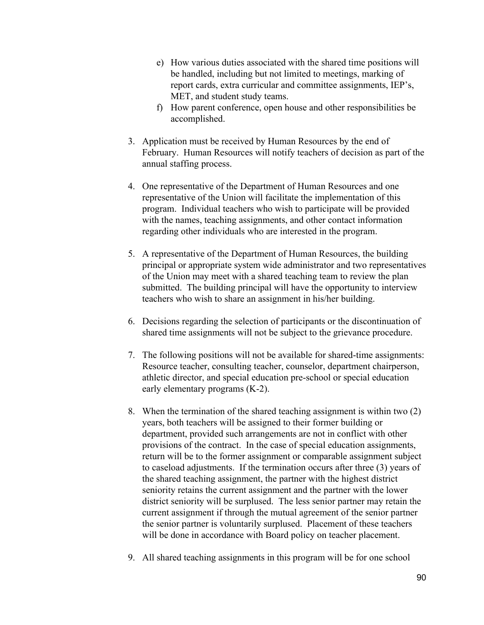- e) How various duties associated with the shared time positions will be handled, including but not limited to meetings, marking of report cards, extra curricular and committee assignments, IEP's, MET, and student study teams.
- f) How parent conference, open house and other responsibilities be accomplished.
- 3. Application must be received by Human Resources by the end of February. Human Resources will notify teachers of decision as part of the annual staffing process.
- 4. One representative of the Department of Human Resources and one representative of the Union will facilitate the implementation of this program. Individual teachers who wish to participate will be provided with the names, teaching assignments, and other contact information regarding other individuals who are interested in the program.
- 5. A representative of the Department of Human Resources, the building principal or appropriate system wide administrator and two representatives of the Union may meet with a shared teaching team to review the plan submitted. The building principal will have the opportunity to interview teachers who wish to share an assignment in his/her building.
- 6. Decisions regarding the selection of participants or the discontinuation of shared time assignments will not be subject to the grievance procedure.
- 7. The following positions will not be available for shared-time assignments: Resource teacher, consulting teacher, counselor, department chairperson, athletic director, and special education pre-school or special education early elementary programs (K-2).
- 8. When the termination of the shared teaching assignment is within two (2) years, both teachers will be assigned to their former building or department, provided such arrangements are not in conflict with other provisions of the contract. In the case of special education assignments, return will be to the former assignment or comparable assignment subject to caseload adjustments. If the termination occurs after three (3) years of the shared teaching assignment, the partner with the highest district seniority retains the current assignment and the partner with the lower district seniority will be surplused. The less senior partner may retain the current assignment if through the mutual agreement of the senior partner the senior partner is voluntarily surplused. Placement of these teachers will be done in accordance with Board policy on teacher placement.
- 9. All shared teaching assignments in this program will be for one school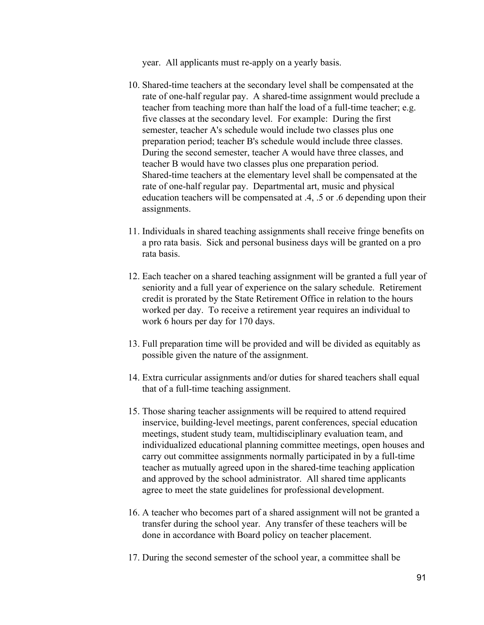year. All applicants must re-apply on a yearly basis.

- 10. Shared-time teachers at the secondary level shall be compensated at the rate of one-half regular pay. A shared-time assignment would preclude a teacher from teaching more than half the load of a full-time teacher; e.g. five classes at the secondary level. For example: During the first semester, teacher A's schedule would include two classes plus one preparation period; teacher B's schedule would include three classes. During the second semester, teacher A would have three classes, and teacher B would have two classes plus one preparation period. Shared-time teachers at the elementary level shall be compensated at the rate of one-half regular pay. Departmental art, music and physical education teachers will be compensated at .4, .5 or .6 depending upon their assignments.
- 11. Individuals in shared teaching assignments shall receive fringe benefits on a pro rata basis. Sick and personal business days will be granted on a pro rata basis.
- 12. Each teacher on a shared teaching assignment will be granted a full year of seniority and a full year of experience on the salary schedule. Retirement credit is prorated by the State Retirement Office in relation to the hours worked per day. To receive a retirement year requires an individual to work 6 hours per day for 170 days.
- 13. Full preparation time will be provided and will be divided as equitably as possible given the nature of the assignment.
- 14. Extra curricular assignments and/or duties for shared teachers shall equal that of a full-time teaching assignment.
- 15. Those sharing teacher assignments will be required to attend required inservice, building-level meetings, parent conferences, special education meetings, student study team, multidisciplinary evaluation team, and individualized educational planning committee meetings, open houses and carry out committee assignments normally participated in by a full-time teacher as mutually agreed upon in the shared-time teaching application and approved by the school administrator. All shared time applicants agree to meet the state guidelines for professional development.
- 16. A teacher who becomes part of a shared assignment will not be granted a transfer during the school year. Any transfer of these teachers will be done in accordance with Board policy on teacher placement.
- 17. During the second semester of the school year, a committee shall be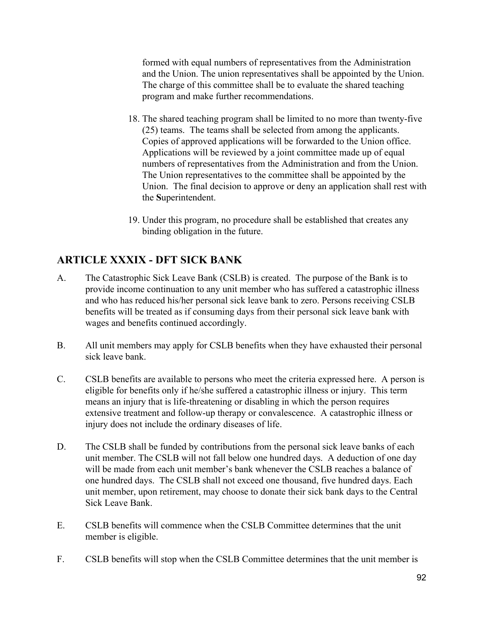formed with equal numbers of representatives from the Administration and the Union. The union representatives shall be appointed by the Union. The charge of this committee shall be to evaluate the shared teaching program and make further recommendations.

- 18. The shared teaching program shall be limited to no more than twenty-five (25) teams. The teams shall be selected from among the applicants. Copies of approved applications will be forwarded to the Union office. Applications will be reviewed by a joint committee made up of equal numbers of representatives from the Administration and from the Union. The Union representatives to the committee shall be appointed by the Union. The final decision to approve or deny an application shall rest with the **S**uperintendent.
- 19. Under this program, no procedure shall be established that creates any binding obligation in the future.

# **ARTICLE XXXIX - DFT SICK BANK**

- A. The Catastrophic Sick Leave Bank (CSLB) is created. The purpose of the Bank is to provide income continuation to any unit member who has suffered a catastrophic illness and who has reduced his/her personal sick leave bank to zero. Persons receiving CSLB benefits will be treated as if consuming days from their personal sick leave bank with wages and benefits continued accordingly.
- B. All unit members may apply for CSLB benefits when they have exhausted their personal sick leave bank.
- C. CSLB benefits are available to persons who meet the criteria expressed here. A person is eligible for benefits only if he/she suffered a catastrophic illness or injury. This term means an injury that is life-threatening or disabling in which the person requires extensive treatment and follow-up therapy or convalescence. A catastrophic illness or injury does not include the ordinary diseases of life.
- D. The CSLB shall be funded by contributions from the personal sick leave banks of each unit member. The CSLB will not fall below one hundred days. A deduction of one day will be made from each unit member's bank whenever the CSLB reaches a balance of one hundred days. The CSLB shall not exceed one thousand, five hundred days. Each unit member, upon retirement, may choose to donate their sick bank days to the Central Sick Leave Bank.
- E. CSLB benefits will commence when the CSLB Committee determines that the unit member is eligible.
- F. CSLB benefits will stop when the CSLB Committee determines that the unit member is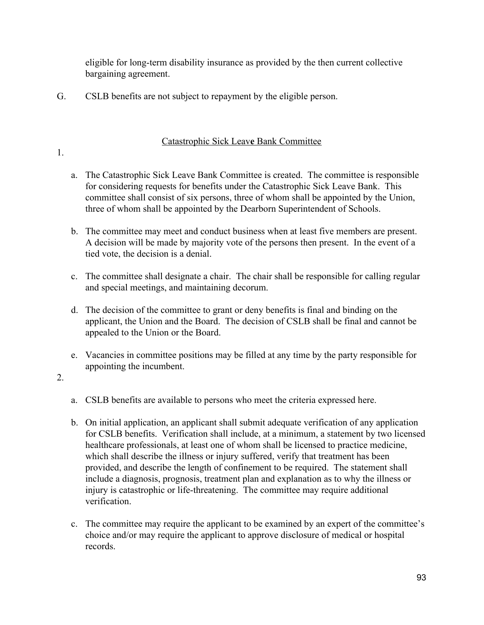eligible for long-term disability insurance as provided by the then current collective bargaining agreement.

G. CSLB benefits are not subject to repayment by the eligible person.

#### Catastrophic Sick Leav**e** Bank Committee

- 1.
- a. The Catastrophic Sick Leave Bank Committee is created. The committee is responsible for considering requests for benefits under the Catastrophic Sick Leave Bank. This committee shall consist of six persons, three of whom shall be appointed by the Union, three of whom shall be appointed by the Dearborn Superintendent of Schools.
- b. The committee may meet and conduct business when at least five members are present. A decision will be made by majority vote of the persons then present. In the event of a tied vote, the decision is a denial.
- c. The committee shall designate a chair. The chair shall be responsible for calling regular and special meetings, and maintaining decorum.
- d. The decision of the committee to grant or deny benefits is final and binding on the applicant, the Union and the Board. The decision of CSLB shall be final and cannot be appealed to the Union or the Board.
- e. Vacancies in committee positions may be filled at any time by the party responsible for appointing the incumbent.
- 2.
- a. CSLB benefits are available to persons who meet the criteria expressed here.
- b. On initial application, an applicant shall submit adequate verification of any application for CSLB benefits. Verification shall include, at a minimum, a statement by two licensed healthcare professionals, at least one of whom shall be licensed to practice medicine, which shall describe the illness or injury suffered, verify that treatment has been provided, and describe the length of confinement to be required. The statement shall include a diagnosis, prognosis, treatment plan and explanation as to why the illness or injury is catastrophic or life-threatening. The committee may require additional verification.
- c. The committee may require the applicant to be examined by an expert of the committee's choice and/or may require the applicant to approve disclosure of medical or hospital records.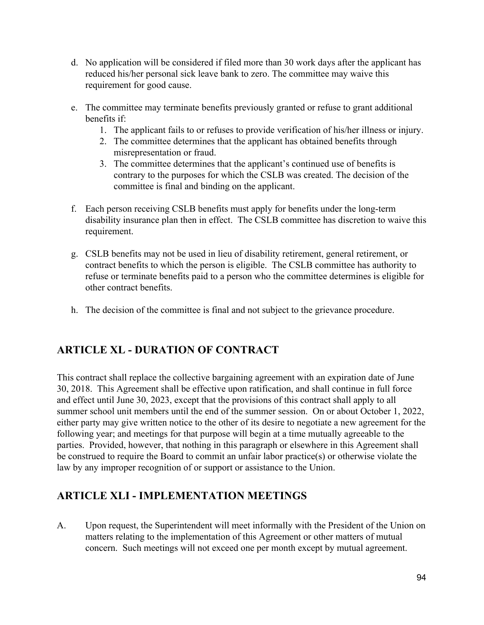- d. No application will be considered if filed more than 30 work days after the applicant has reduced his/her personal sick leave bank to zero. The committee may waive this requirement for good cause.
- e. The committee may terminate benefits previously granted or refuse to grant additional benefits if:
	- 1. The applicant fails to or refuses to provide verification of his/her illness or injury.
	- 2. The committee determines that the applicant has obtained benefits through misrepresentation or fraud.
	- 3. The committee determines that the applicant's continued use of benefits is contrary to the purposes for which the CSLB was created. The decision of the committee is final and binding on the applicant.
- f. Each person receiving CSLB benefits must apply for benefits under the long-term disability insurance plan then in effect. The CSLB committee has discretion to waive this requirement.
- g. CSLB benefits may not be used in lieu of disability retirement, general retirement, or contract benefits to which the person is eligible. The CSLB committee has authority to refuse or terminate benefits paid to a person who the committee determines is eligible for other contract benefits.
- h. The decision of the committee is final and not subject to the grievance procedure.

# **ARTICLE XL - DURATION OF CONTRACT**

This contract shall replace the collective bargaining agreement with an expiration date of June 30, 2018. This Agreement shall be effective upon ratification, and shall continue in full force and effect until June 30, 2023, except that the provisions of this contract shall apply to all summer school unit members until the end of the summer session. On or about October 1, 2022, either party may give written notice to the other of its desire to negotiate a new agreement for the following year; and meetings for that purpose will begin at a time mutually agreeable to the parties. Provided, however, that nothing in this paragraph or elsewhere in this Agreement shall be construed to require the Board to commit an unfair labor practice(s) or otherwise violate the law by any improper recognition of or support or assistance to the Union.

# **ARTICLE XLI - IMPLEMENTATION MEETINGS**

A. Upon request, the Superintendent will meet informally with the President of the Union on matters relating to the implementation of this Agreement or other matters of mutual concern. Such meetings will not exceed one per month except by mutual agreement.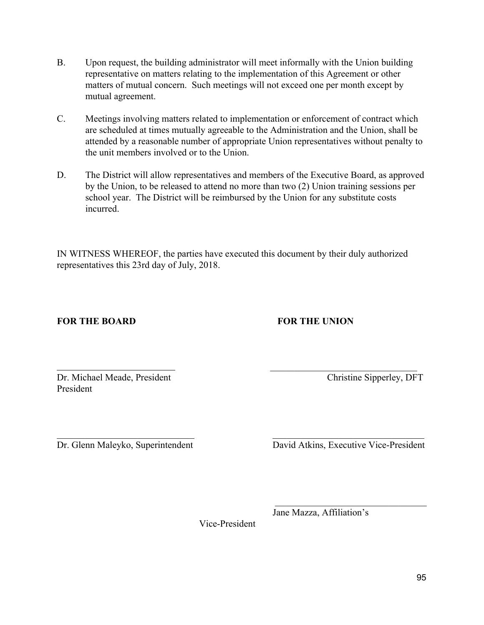- B. Upon request, the building administrator will meet informally with the Union building representative on matters relating to the implementation of this Agreement or other matters of mutual concern. Such meetings will not exceed one per month except by mutual agreement.
- C. Meetings involving matters related to implementation or enforcement of contract which are scheduled at times mutually agreeable to the Administration and the Union, shall be attended by a reasonable number of appropriate Union representatives without penalty to the unit members involved or to the Union.
- D. The District will allow representatives and members of the Executive Board, as approved by the Union, to be released to attend no more than two (2) Union training sessions per school year. The District will be reimbursed by the Union for any substitute costs incurred.

IN WITNESS WHEREOF, the parties have executed this document by their duly authorized representatives this 23rd day of July, 2018.

 $\overline{\phantom{a}}$  , and the contract of the contract of the contract of the contract of the contract of the contract of the contract of the contract of the contract of the contract of the contract of the contract of the contrac

 $\mathcal{L}_\text{max}$  , and the contribution of the contribution of  $\mathcal{L}_\text{max}$  , and the contribution of  $\mathcal{L}_\text{max}$ 

#### **FOR THE BOARD FOR THE UNION**

Dr. Michael Meade, President Christine Sipperley, DFT President

Dr. Glenn Maleyko, Superintendent David Atkins, Executive Vice-President

Vice-President

 $\mathcal{L}_\text{max} = \frac{1}{2} \sum_{i=1}^{n} \frac{1}{2} \sum_{i=1}^{n} \frac{1}{2} \sum_{i=1}^{n} \frac{1}{2} \sum_{i=1}^{n} \frac{1}{2} \sum_{i=1}^{n} \frac{1}{2} \sum_{i=1}^{n} \frac{1}{2} \sum_{i=1}^{n} \frac{1}{2} \sum_{i=1}^{n} \frac{1}{2} \sum_{i=1}^{n} \frac{1}{2} \sum_{i=1}^{n} \frac{1}{2} \sum_{i=1}^{n} \frac{1}{2} \sum_{i=1}^{n} \frac{1$ Jane Mazza, Affiliation's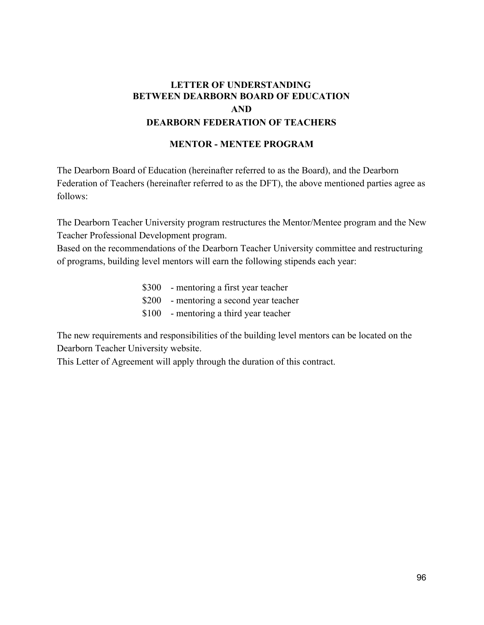## **LETTER OF UNDERSTANDING BETWEEN DEARBORN BOARD OF EDUCATION AND DEARBORN FEDERATION OF TEACHERS**

#### **MENTOR - MENTEE PROGRAM**

The Dearborn Board of Education (hereinafter referred to as the Board), and the Dearborn Federation of Teachers (hereinafter referred to as the DFT), the above mentioned parties agree as follows:

The Dearborn Teacher University program restructures the Mentor/Mentee program and the New Teacher Professional Development program.

Based on the recommendations of the Dearborn Teacher University committee and restructuring of programs, building level mentors will earn the following stipends each year:

> \$300 - mentoring a first year teacher \$200 - mentoring a second year teacher \$100 - mentoring a third year teacher

The new requirements and responsibilities of the building level mentors can be located on the Dearborn Teacher University website.

This Letter of Agreement will apply through the duration of this contract.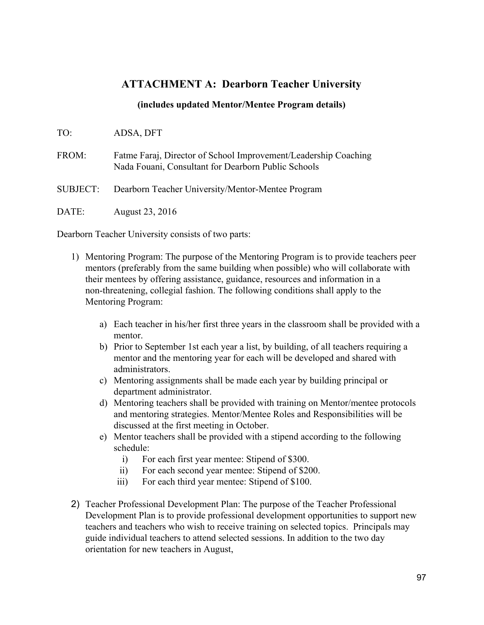#### **ATTACHMENT A: Dearborn Teacher University**

#### **(includes updated Mentor/Mentee Program details)**

TO: ADSA, DFT

FROM: Fatme Faraj, Director of School Improvement/Leadership Coaching Nada Fouani, Consultant for Dearborn Public Schools

SUBJECT: Dearborn Teacher University/Mentor-Mentee Program

DATE: August 23, 2016

Dearborn Teacher University consists of two parts:

- 1) Mentoring Program: The purpose of the Mentoring Program is to provide teachers peer mentors (preferably from the same building when possible) who will collaborate with their mentees by offering assistance, guidance, resources and information in a non-threatening, collegial fashion. The following conditions shall apply to the Mentoring Program:
	- a) Each teacher in his/her first three years in the classroom shall be provided with a mentor.
	- b) Prior to September 1st each year a list, by building, of all teachers requiring a mentor and the mentoring year for each will be developed and shared with administrators.
	- c) Mentoring assignments shall be made each year by building principal or department administrator.
	- d) Mentoring teachers shall be provided with training on Mentor/mentee protocols and mentoring strategies. Mentor/Mentee Roles and Responsibilities will be discussed at the first meeting in October.
	- e) Mentor teachers shall be provided with a stipend according to the following schedule:
		- i) For each first year mentee: Stipend of \$300.
		- ii) For each second year mentee: Stipend of \$200.
		- iii) For each third year mentee: Stipend of \$100.
- 2) Teacher Professional Development Plan: The purpose of the Teacher Professional Development Plan is to provide professional development opportunities to support new teachers and teachers who wish to receive training on selected topics. Principals may guide individual teachers to attend selected sessions. In addition to the two day orientation for new teachers in August,